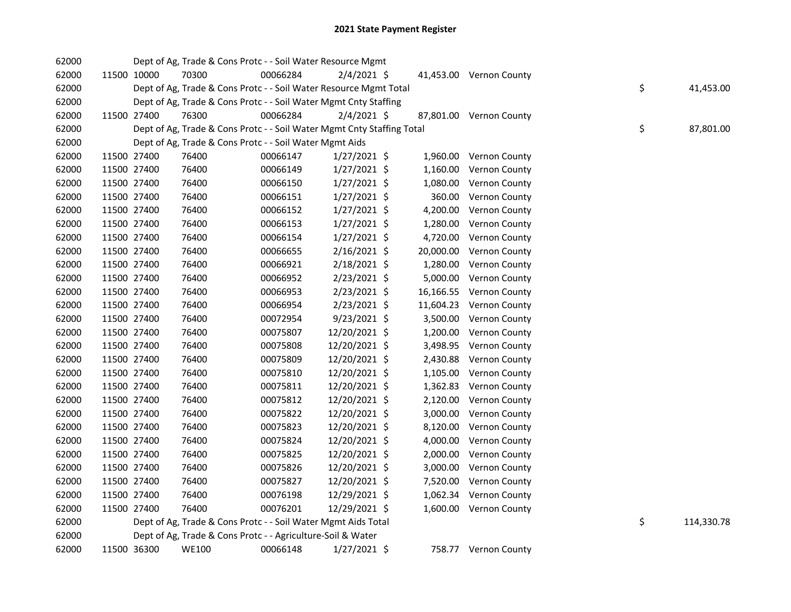| 62000 |             | Dept of Ag, Trade & Cons Protc - - Soil Water Resource Mgmt            |          |                |  |                         |    |            |
|-------|-------------|------------------------------------------------------------------------|----------|----------------|--|-------------------------|----|------------|
| 62000 | 11500 10000 | 70300                                                                  | 00066284 | $2/4/2021$ \$  |  | 41,453.00 Vernon County |    |            |
| 62000 |             | Dept of Ag, Trade & Cons Protc - - Soil Water Resource Mgmt Total      |          |                |  |                         | \$ | 41,453.00  |
| 62000 |             | Dept of Ag, Trade & Cons Protc - - Soil Water Mgmt Cnty Staffing       |          |                |  |                         |    |            |
| 62000 | 11500 27400 | 76300                                                                  | 00066284 | $2/4/2021$ \$  |  | 87,801.00 Vernon County |    |            |
| 62000 |             | Dept of Ag, Trade & Cons Protc - - Soil Water Mgmt Cnty Staffing Total |          |                |  |                         | \$ | 87,801.00  |
| 62000 |             | Dept of Ag, Trade & Cons Protc - - Soil Water Mgmt Aids                |          |                |  |                         |    |            |
| 62000 | 11500 27400 | 76400                                                                  | 00066147 | $1/27/2021$ \$ |  | 1,960.00 Vernon County  |    |            |
| 62000 | 11500 27400 | 76400                                                                  | 00066149 | $1/27/2021$ \$ |  | 1,160.00 Vernon County  |    |            |
| 62000 | 11500 27400 | 76400                                                                  | 00066150 | $1/27/2021$ \$ |  | 1,080.00 Vernon County  |    |            |
| 62000 | 11500 27400 | 76400                                                                  | 00066151 | $1/27/2021$ \$ |  | 360.00 Vernon County    |    |            |
| 62000 | 11500 27400 | 76400                                                                  | 00066152 | $1/27/2021$ \$ |  | 4,200.00 Vernon County  |    |            |
| 62000 | 11500 27400 | 76400                                                                  | 00066153 | $1/27/2021$ \$ |  | 1,280.00 Vernon County  |    |            |
| 62000 | 11500 27400 | 76400                                                                  | 00066154 | $1/27/2021$ \$ |  | 4,720.00 Vernon County  |    |            |
| 62000 | 11500 27400 | 76400                                                                  | 00066655 | $2/16/2021$ \$ |  | 20,000.00 Vernon County |    |            |
| 62000 | 11500 27400 | 76400                                                                  | 00066921 | 2/18/2021 \$   |  | 1,280.00 Vernon County  |    |            |
| 62000 | 11500 27400 | 76400                                                                  | 00066952 | 2/23/2021 \$   |  | 5,000.00 Vernon County  |    |            |
| 62000 | 11500 27400 | 76400                                                                  | 00066953 | 2/23/2021 \$   |  | 16,166.55 Vernon County |    |            |
| 62000 | 11500 27400 | 76400                                                                  | 00066954 | 2/23/2021 \$   |  | 11,604.23 Vernon County |    |            |
| 62000 | 11500 27400 | 76400                                                                  | 00072954 | 9/23/2021 \$   |  | 3,500.00 Vernon County  |    |            |
| 62000 | 11500 27400 | 76400                                                                  | 00075807 | 12/20/2021 \$  |  | 1,200.00 Vernon County  |    |            |
| 62000 | 11500 27400 | 76400                                                                  | 00075808 | 12/20/2021 \$  |  | 3,498.95 Vernon County  |    |            |
| 62000 | 11500 27400 | 76400                                                                  | 00075809 | 12/20/2021 \$  |  | 2,430.88 Vernon County  |    |            |
| 62000 | 11500 27400 | 76400                                                                  | 00075810 | 12/20/2021 \$  |  | 1,105.00 Vernon County  |    |            |
| 62000 | 11500 27400 | 76400                                                                  | 00075811 | 12/20/2021 \$  |  | 1,362.83 Vernon County  |    |            |
| 62000 | 11500 27400 | 76400                                                                  | 00075812 | 12/20/2021 \$  |  | 2,120.00 Vernon County  |    |            |
| 62000 | 11500 27400 | 76400                                                                  | 00075822 | 12/20/2021 \$  |  | 3,000.00 Vernon County  |    |            |
| 62000 | 11500 27400 | 76400                                                                  | 00075823 | 12/20/2021 \$  |  | 8,120.00 Vernon County  |    |            |
| 62000 | 11500 27400 | 76400                                                                  | 00075824 | 12/20/2021 \$  |  | 4,000.00 Vernon County  |    |            |
| 62000 | 11500 27400 | 76400                                                                  | 00075825 | 12/20/2021 \$  |  | 2,000.00 Vernon County  |    |            |
| 62000 | 11500 27400 | 76400                                                                  | 00075826 | 12/20/2021 \$  |  | 3,000.00 Vernon County  |    |            |
| 62000 | 11500 27400 | 76400                                                                  | 00075827 | 12/20/2021 \$  |  | 7,520.00 Vernon County  |    |            |
| 62000 | 11500 27400 | 76400                                                                  | 00076198 | 12/29/2021 \$  |  | 1,062.34 Vernon County  |    |            |
| 62000 | 11500 27400 | 76400                                                                  | 00076201 | 12/29/2021 \$  |  | 1,600.00 Vernon County  |    |            |
| 62000 |             | Dept of Ag, Trade & Cons Protc - - Soil Water Mgmt Aids Total          |          |                |  |                         | \$ | 114,330.78 |
| 62000 |             | Dept of Ag, Trade & Cons Protc - - Agriculture-Soil & Water            |          |                |  |                         |    |            |
| 62000 | 11500 36300 | <b>WE100</b>                                                           | 00066148 | $1/27/2021$ \$ |  | 758.77 Vernon County    |    |            |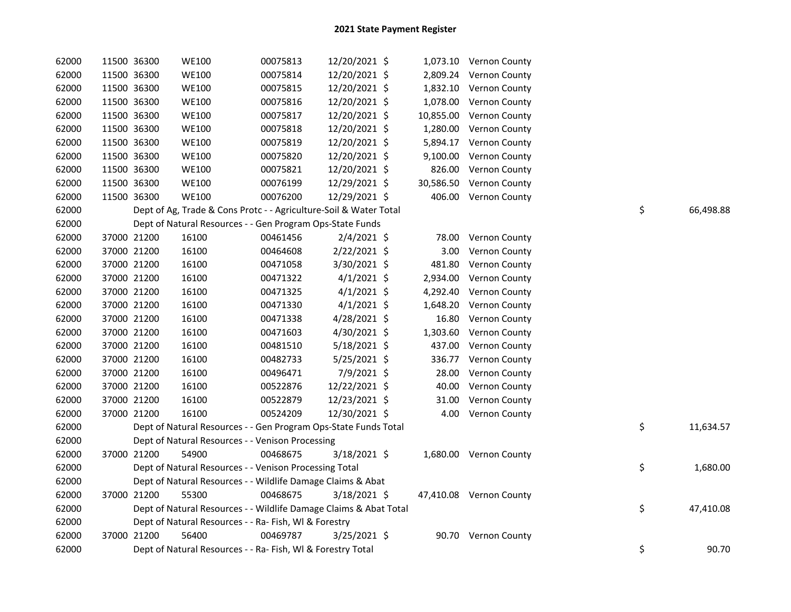| 62000 | 11500 36300 | <b>WE100</b> | 00075813                                                          | 12/20/2021 \$  |           | 1,073.10 Vernon County  |    |           |
|-------|-------------|--------------|-------------------------------------------------------------------|----------------|-----------|-------------------------|----|-----------|
| 62000 | 11500 36300 | <b>WE100</b> | 00075814                                                          | 12/20/2021 \$  |           | 2,809.24 Vernon County  |    |           |
| 62000 | 11500 36300 | <b>WE100</b> | 00075815                                                          | 12/20/2021 \$  |           | 1,832.10 Vernon County  |    |           |
| 62000 | 11500 36300 | <b>WE100</b> | 00075816                                                          | 12/20/2021 \$  | 1,078.00  | Vernon County           |    |           |
| 62000 | 11500 36300 | <b>WE100</b> | 00075817                                                          | 12/20/2021 \$  | 10,855.00 | Vernon County           |    |           |
| 62000 | 11500 36300 | <b>WE100</b> | 00075818                                                          | 12/20/2021 \$  | 1,280.00  | Vernon County           |    |           |
| 62000 | 11500 36300 | <b>WE100</b> | 00075819                                                          | 12/20/2021 \$  | 5,894.17  | Vernon County           |    |           |
| 62000 | 11500 36300 | <b>WE100</b> | 00075820                                                          | 12/20/2021 \$  | 9,100.00  | Vernon County           |    |           |
| 62000 | 11500 36300 | <b>WE100</b> | 00075821                                                          | 12/20/2021 \$  | 826.00    | Vernon County           |    |           |
| 62000 | 11500 36300 | <b>WE100</b> | 00076199                                                          | 12/29/2021 \$  | 30,586.50 | Vernon County           |    |           |
| 62000 | 11500 36300 | <b>WE100</b> | 00076200                                                          | 12/29/2021 \$  |           | 406.00 Vernon County    |    |           |
| 62000 |             |              | Dept of Ag, Trade & Cons Protc - - Agriculture-Soil & Water Total |                |           |                         | \$ | 66,498.88 |
| 62000 |             |              | Dept of Natural Resources - - Gen Program Ops-State Funds         |                |           |                         |    |           |
| 62000 | 37000 21200 | 16100        | 00461456                                                          | $2/4/2021$ \$  | 78.00     | Vernon County           |    |           |
| 62000 | 37000 21200 | 16100        | 00464608                                                          | 2/22/2021 \$   | 3.00      | Vernon County           |    |           |
| 62000 | 37000 21200 | 16100        | 00471058                                                          | 3/30/2021 \$   | 481.80    | Vernon County           |    |           |
| 62000 | 37000 21200 | 16100        | 00471322                                                          | $4/1/2021$ \$  | 2,934.00  | Vernon County           |    |           |
| 62000 | 37000 21200 | 16100        | 00471325                                                          | $4/1/2021$ \$  | 4,292.40  | Vernon County           |    |           |
| 62000 | 37000 21200 | 16100        | 00471330                                                          | $4/1/2021$ \$  | 1,648.20  | Vernon County           |    |           |
| 62000 | 37000 21200 | 16100        | 00471338                                                          | 4/28/2021 \$   | 16.80     | Vernon County           |    |           |
| 62000 | 37000 21200 | 16100        | 00471603                                                          | 4/30/2021 \$   | 1,303.60  | Vernon County           |    |           |
| 62000 | 37000 21200 | 16100        | 00481510                                                          | 5/18/2021 \$   | 437.00    | Vernon County           |    |           |
| 62000 | 37000 21200 | 16100        | 00482733                                                          | 5/25/2021 \$   | 336.77    | Vernon County           |    |           |
| 62000 | 37000 21200 | 16100        | 00496471                                                          | 7/9/2021 \$    | 28.00     | Vernon County           |    |           |
| 62000 | 37000 21200 | 16100        | 00522876                                                          | 12/22/2021 \$  | 40.00     | Vernon County           |    |           |
| 62000 | 37000 21200 | 16100        | 00522879                                                          | 12/23/2021 \$  | 31.00     | Vernon County           |    |           |
| 62000 | 37000 21200 | 16100        | 00524209                                                          | 12/30/2021 \$  |           | 4.00 Vernon County      |    |           |
| 62000 |             |              | Dept of Natural Resources - - Gen Program Ops-State Funds Total   |                |           |                         | \$ | 11,634.57 |
| 62000 |             |              | Dept of Natural Resources - - Venison Processing                  |                |           |                         |    |           |
| 62000 | 37000 21200 | 54900        | 00468675                                                          | 3/18/2021 \$   |           | 1,680.00 Vernon County  |    |           |
| 62000 |             |              | Dept of Natural Resources - - Venison Processing Total            |                |           |                         | \$ | 1,680.00  |
| 62000 |             |              | Dept of Natural Resources - - Wildlife Damage Claims & Abat       |                |           |                         |    |           |
| 62000 | 37000 21200 | 55300        | 00468675                                                          | $3/18/2021$ \$ |           | 47,410.08 Vernon County |    |           |
| 62000 |             |              | Dept of Natural Resources - - Wildlife Damage Claims & Abat Total |                |           |                         | \$ | 47,410.08 |
| 62000 |             |              | Dept of Natural Resources - - Ra- Fish, WI & Forestry             |                |           |                         |    |           |
| 62000 | 37000 21200 | 56400        | 00469787                                                          | $3/25/2021$ \$ |           | 90.70 Vernon County     |    |           |
| 62000 |             |              | Dept of Natural Resources - - Ra- Fish, WI & Forestry Total       |                |           |                         | \$ | 90.70     |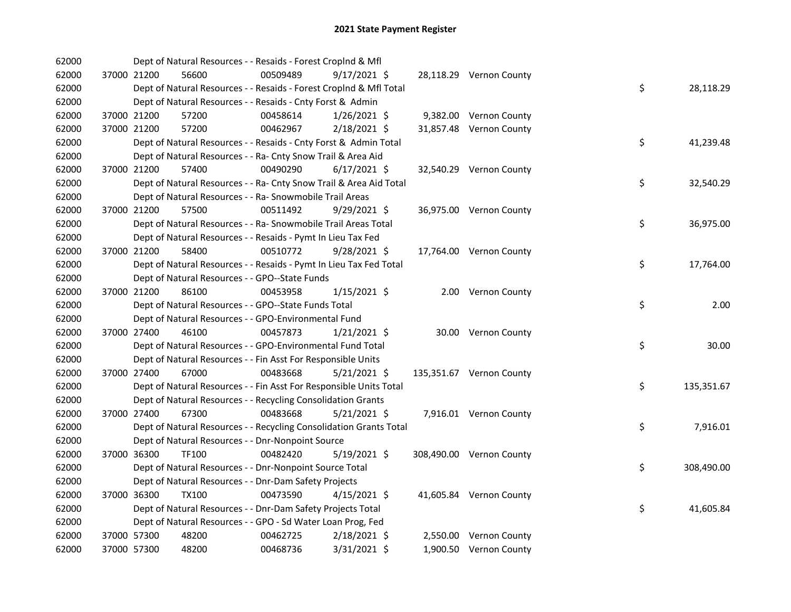| 62000 |             |              | Dept of Natural Resources - - Resaids - Forest CropInd & Mfl       |                |                          |    |            |
|-------|-------------|--------------|--------------------------------------------------------------------|----------------|--------------------------|----|------------|
| 62000 | 37000 21200 | 56600        | 00509489                                                           | $9/17/2021$ \$ | 28,118.29 Vernon County  |    |            |
| 62000 |             |              | Dept of Natural Resources - - Resaids - Forest CropInd & Mfl Total |                |                          | \$ | 28,118.29  |
| 62000 |             |              | Dept of Natural Resources - - Resaids - Cnty Forst & Admin         |                |                          |    |            |
| 62000 | 37000 21200 | 57200        | 00458614                                                           | $1/26/2021$ \$ | 9,382.00 Vernon County   |    |            |
| 62000 | 37000 21200 | 57200        | 00462967                                                           | 2/18/2021 \$   | 31,857.48 Vernon County  |    |            |
| 62000 |             |              | Dept of Natural Resources - - Resaids - Cnty Forst & Admin Total   |                |                          | \$ | 41,239.48  |
| 62000 |             |              | Dept of Natural Resources - - Ra- Cnty Snow Trail & Area Aid       |                |                          |    |            |
| 62000 | 37000 21200 | 57400        | 00490290                                                           | $6/17/2021$ \$ | 32,540.29 Vernon County  |    |            |
| 62000 |             |              | Dept of Natural Resources - - Ra- Cnty Snow Trail & Area Aid Total |                |                          | \$ | 32,540.29  |
| 62000 |             |              | Dept of Natural Resources - - Ra- Snowmobile Trail Areas           |                |                          |    |            |
| 62000 | 37000 21200 | 57500        | 00511492                                                           | 9/29/2021 \$   | 36,975.00 Vernon County  |    |            |
| 62000 |             |              | Dept of Natural Resources - - Ra- Snowmobile Trail Areas Total     |                |                          | \$ | 36,975.00  |
| 62000 |             |              | Dept of Natural Resources - - Resaids - Pymt In Lieu Tax Fed       |                |                          |    |            |
| 62000 | 37000 21200 | 58400        | 00510772                                                           | $9/28/2021$ \$ | 17,764.00 Vernon County  |    |            |
| 62000 |             |              | Dept of Natural Resources - - Resaids - Pymt In Lieu Tax Fed Total |                |                          | \$ | 17,764.00  |
| 62000 |             |              | Dept of Natural Resources - - GPO--State Funds                     |                |                          |    |            |
| 62000 | 37000 21200 | 86100        | 00453958                                                           | $1/15/2021$ \$ | 2.00 Vernon County       |    |            |
| 62000 |             |              | Dept of Natural Resources - - GPO--State Funds Total               |                |                          | \$ | 2.00       |
| 62000 |             |              | Dept of Natural Resources - - GPO-Environmental Fund               |                |                          |    |            |
| 62000 | 37000 27400 | 46100        | 00457873                                                           | $1/21/2021$ \$ | 30.00 Vernon County      |    |            |
| 62000 |             |              | Dept of Natural Resources - - GPO-Environmental Fund Total         |                |                          | \$ | 30.00      |
| 62000 |             |              | Dept of Natural Resources - - Fin Asst For Responsible Units       |                |                          |    |            |
| 62000 | 37000 27400 | 67000        | 00483668                                                           | $5/21/2021$ \$ | 135,351.67 Vernon County |    |            |
| 62000 |             |              | Dept of Natural Resources - - Fin Asst For Responsible Units Total |                |                          | \$ | 135,351.67 |
| 62000 |             |              | Dept of Natural Resources - - Recycling Consolidation Grants       |                |                          |    |            |
| 62000 | 37000 27400 | 67300        | 00483668                                                           | $5/21/2021$ \$ | 7,916.01 Vernon County   |    |            |
| 62000 |             |              | Dept of Natural Resources - - Recycling Consolidation Grants Total |                |                          | \$ | 7,916.01   |
| 62000 |             |              | Dept of Natural Resources - - Dnr-Nonpoint Source                  |                |                          |    |            |
| 62000 | 37000 36300 | <b>TF100</b> | 00482420                                                           | $5/19/2021$ \$ | 308,490.00 Vernon County |    |            |
| 62000 |             |              | Dept of Natural Resources - - Dnr-Nonpoint Source Total            |                |                          | \$ | 308,490.00 |
| 62000 |             |              | Dept of Natural Resources - - Dnr-Dam Safety Projects              |                |                          |    |            |
| 62000 | 37000 36300 | <b>TX100</b> | 00473590                                                           | $4/15/2021$ \$ | 41,605.84 Vernon County  |    |            |
| 62000 |             |              | Dept of Natural Resources - - Dnr-Dam Safety Projects Total        |                |                          | \$ | 41,605.84  |
| 62000 |             |              | Dept of Natural Resources - - GPO - Sd Water Loan Prog, Fed        |                |                          |    |            |
| 62000 | 37000 57300 | 48200        | 00462725                                                           | 2/18/2021 \$   | 2,550.00 Vernon County   |    |            |
| 62000 | 37000 57300 | 48200        | 00468736                                                           | 3/31/2021 \$   | 1,900.50 Vernon County   |    |            |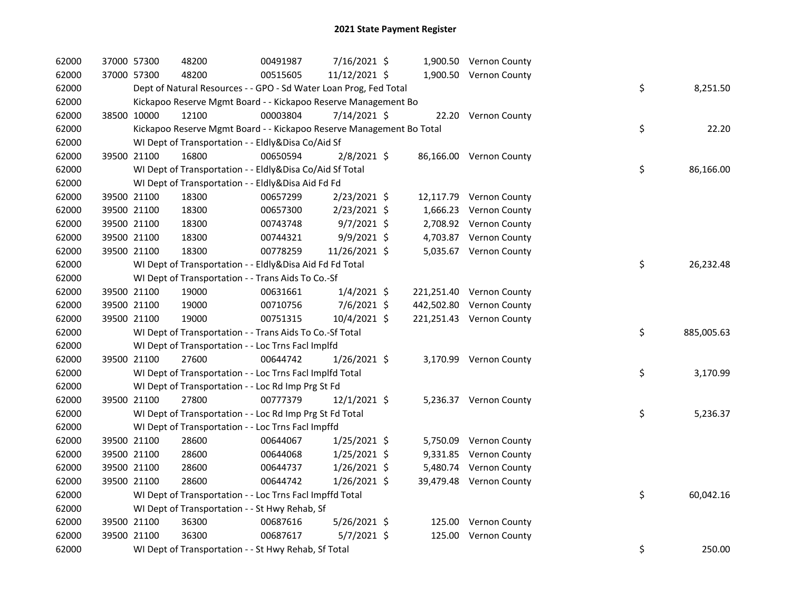| 62000 | 37000 57300 |             | 48200                                                                | 00491987 | 7/16/2021 \$   |  | 1,900.50 Vernon County   |    |            |
|-------|-------------|-------------|----------------------------------------------------------------------|----------|----------------|--|--------------------------|----|------------|
| 62000 |             | 37000 57300 | 48200                                                                | 00515605 | 11/12/2021 \$  |  | 1,900.50 Vernon County   |    |            |
| 62000 |             |             | Dept of Natural Resources - - GPO - Sd Water Loan Prog, Fed Total    |          |                |  |                          | \$ | 8,251.50   |
| 62000 |             |             | Kickapoo Reserve Mgmt Board - - Kickapoo Reserve Management Bo       |          |                |  |                          |    |            |
| 62000 |             | 38500 10000 | 12100                                                                | 00003804 | 7/14/2021 \$   |  | 22.20 Vernon County      |    |            |
| 62000 |             |             | Kickapoo Reserve Mgmt Board - - Kickapoo Reserve Management Bo Total |          |                |  |                          | \$ | 22.20      |
| 62000 |             |             | WI Dept of Transportation - - Eldly&Disa Co/Aid Sf                   |          |                |  |                          |    |            |
| 62000 |             | 39500 21100 | 16800                                                                | 00650594 | $2/8/2021$ \$  |  | 86,166.00 Vernon County  |    |            |
| 62000 |             |             | WI Dept of Transportation - - Eldly&Disa Co/Aid Sf Total             |          |                |  |                          | \$ | 86,166.00  |
| 62000 |             |             | WI Dept of Transportation - - Eldly&Disa Aid Fd Fd                   |          |                |  |                          |    |            |
| 62000 |             | 39500 21100 | 18300                                                                | 00657299 | 2/23/2021 \$   |  | 12,117.79 Vernon County  |    |            |
| 62000 |             | 39500 21100 | 18300                                                                | 00657300 | $2/23/2021$ \$ |  | 1,666.23 Vernon County   |    |            |
| 62000 |             | 39500 21100 | 18300                                                                | 00743748 | $9/7/2021$ \$  |  | 2,708.92 Vernon County   |    |            |
| 62000 |             | 39500 21100 | 18300                                                                | 00744321 | 9/9/2021 \$    |  | 4,703.87 Vernon County   |    |            |
| 62000 |             | 39500 21100 | 18300                                                                | 00778259 | 11/26/2021 \$  |  | 5,035.67 Vernon County   |    |            |
| 62000 |             |             | WI Dept of Transportation - - Eldly&Disa Aid Fd Fd Total             |          |                |  |                          | \$ | 26,232.48  |
| 62000 |             |             | WI Dept of Transportation - - Trans Aids To Co.-Sf                   |          |                |  |                          |    |            |
| 62000 |             | 39500 21100 | 19000                                                                | 00631661 | $1/4/2021$ \$  |  | 221,251.40 Vernon County |    |            |
| 62000 |             | 39500 21100 | 19000                                                                | 00710756 | 7/6/2021 \$    |  | 442,502.80 Vernon County |    |            |
| 62000 |             | 39500 21100 | 19000                                                                | 00751315 | 10/4/2021 \$   |  | 221,251.43 Vernon County |    |            |
| 62000 |             |             | WI Dept of Transportation - - Trans Aids To Co.-Sf Total             |          |                |  |                          | \$ | 885,005.63 |
| 62000 |             |             | WI Dept of Transportation - - Loc Trns Facl Implfd                   |          |                |  |                          |    |            |
| 62000 | 39500 21100 |             | 27600                                                                | 00644742 | 1/26/2021 \$   |  | 3,170.99 Vernon County   |    |            |
| 62000 |             |             | WI Dept of Transportation - - Loc Trns Facl Implfd Total             |          |                |  |                          | \$ | 3,170.99   |
| 62000 |             |             | WI Dept of Transportation - - Loc Rd Imp Prg St Fd                   |          |                |  |                          |    |            |
| 62000 |             | 39500 21100 | 27800                                                                | 00777379 | 12/1/2021 \$   |  | 5,236.37 Vernon County   |    |            |
| 62000 |             |             | WI Dept of Transportation - - Loc Rd Imp Prg St Fd Total             |          |                |  |                          | \$ | 5,236.37   |
| 62000 |             |             | WI Dept of Transportation - - Loc Trns Facl Impffd                   |          |                |  |                          |    |            |
| 62000 |             | 39500 21100 | 28600                                                                | 00644067 | $1/25/2021$ \$ |  | 5,750.09 Vernon County   |    |            |
| 62000 |             | 39500 21100 | 28600                                                                | 00644068 | 1/25/2021 \$   |  | 9,331.85 Vernon County   |    |            |
| 62000 |             | 39500 21100 | 28600                                                                | 00644737 | $1/26/2021$ \$ |  | 5,480.74 Vernon County   |    |            |
| 62000 |             | 39500 21100 | 28600                                                                | 00644742 | $1/26/2021$ \$ |  | 39,479.48 Vernon County  |    |            |
| 62000 |             |             | WI Dept of Transportation - - Loc Trns Facl Impffd Total             |          |                |  |                          | \$ | 60,042.16  |
| 62000 |             |             | WI Dept of Transportation - - St Hwy Rehab, Sf                       |          |                |  |                          |    |            |
| 62000 |             | 39500 21100 | 36300                                                                | 00687616 | 5/26/2021 \$   |  | 125.00 Vernon County     |    |            |
| 62000 | 39500 21100 |             | 36300                                                                | 00687617 | 5/7/2021 \$    |  | 125.00 Vernon County     |    |            |
| 62000 |             |             | WI Dept of Transportation - - St Hwy Rehab, Sf Total                 |          |                |  |                          | \$ | 250.00     |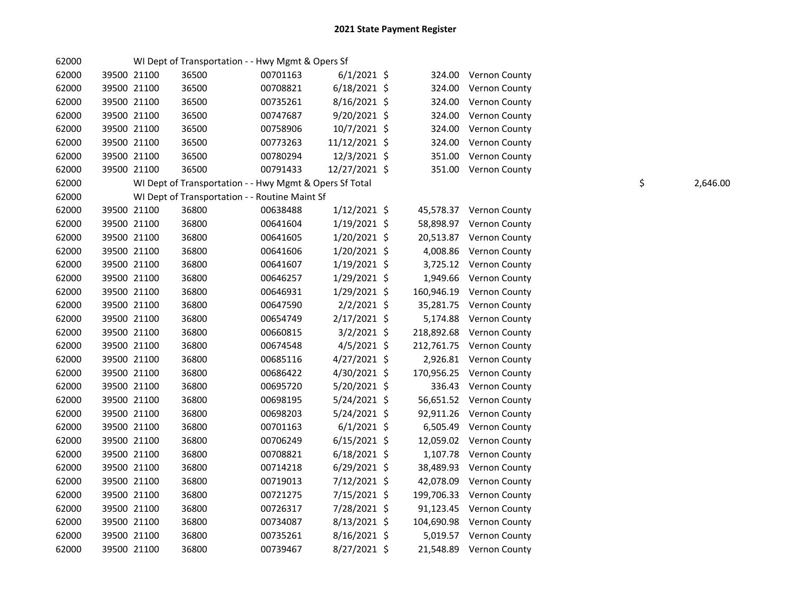| 62000 |             | WI Dept of Transportation - - Hwy Mgmt & Opers Sf       |          |                |        |                          |    |          |
|-------|-------------|---------------------------------------------------------|----------|----------------|--------|--------------------------|----|----------|
| 62000 | 39500 21100 | 36500                                                   | 00701163 | $6/1/2021$ \$  |        | 324.00 Vernon County     |    |          |
| 62000 | 39500 21100 | 36500                                                   | 00708821 | $6/18/2021$ \$ | 324.00 | <b>Vernon County</b>     |    |          |
| 62000 | 39500 21100 | 36500                                                   | 00735261 | 8/16/2021 \$   | 324.00 | Vernon County            |    |          |
| 62000 | 39500 21100 | 36500                                                   | 00747687 | 9/20/2021 \$   | 324.00 | <b>Vernon County</b>     |    |          |
| 62000 | 39500 21100 | 36500                                                   | 00758906 | 10/7/2021 \$   |        | 324.00 Vernon County     |    |          |
| 62000 | 39500 21100 | 36500                                                   | 00773263 | 11/12/2021 \$  |        | 324.00 Vernon County     |    |          |
| 62000 | 39500 21100 | 36500                                                   | 00780294 | 12/3/2021 \$   |        | 351.00 Vernon County     |    |          |
| 62000 | 39500 21100 | 36500                                                   | 00791433 | 12/27/2021 \$  |        | 351.00 Vernon County     |    |          |
| 62000 |             | WI Dept of Transportation - - Hwy Mgmt & Opers Sf Total |          |                |        |                          | \$ | 2,646.00 |
| 62000 |             | WI Dept of Transportation - - Routine Maint Sf          |          |                |        |                          |    |          |
| 62000 | 39500 21100 | 36800                                                   | 00638488 | $1/12/2021$ \$ |        | 45,578.37 Vernon County  |    |          |
| 62000 | 39500 21100 | 36800                                                   | 00641604 | 1/19/2021 \$   |        | 58,898.97 Vernon County  |    |          |
| 62000 | 39500 21100 | 36800                                                   | 00641605 | $1/20/2021$ \$ |        | 20,513.87 Vernon County  |    |          |
| 62000 | 39500 21100 | 36800                                                   | 00641606 | $1/20/2021$ \$ |        | 4,008.86 Vernon County   |    |          |
| 62000 | 39500 21100 | 36800                                                   | 00641607 | $1/19/2021$ \$ |        | 3,725.12 Vernon County   |    |          |
| 62000 | 39500 21100 | 36800                                                   | 00646257 | $1/29/2021$ \$ |        | 1,949.66 Vernon County   |    |          |
| 62000 | 39500 21100 | 36800                                                   | 00646931 | 1/29/2021 \$   |        | 160,946.19 Vernon County |    |          |
| 62000 | 39500 21100 | 36800                                                   | 00647590 | $2/2/2021$ \$  |        | 35,281.75 Vernon County  |    |          |
| 62000 | 39500 21100 | 36800                                                   | 00654749 | 2/17/2021 \$   |        | 5,174.88 Vernon County   |    |          |
| 62000 | 39500 21100 | 36800                                                   | 00660815 | $3/2/2021$ \$  |        | 218,892.68 Vernon County |    |          |
| 62000 | 39500 21100 | 36800                                                   | 00674548 | $4/5/2021$ \$  |        | 212,761.75 Vernon County |    |          |
| 62000 | 39500 21100 | 36800                                                   | 00685116 | 4/27/2021 \$   |        | 2,926.81 Vernon County   |    |          |
| 62000 | 39500 21100 | 36800                                                   | 00686422 | 4/30/2021 \$   |        | 170,956.25 Vernon County |    |          |
| 62000 | 39500 21100 | 36800                                                   | 00695720 | 5/20/2021 \$   |        | 336.43 Vernon County     |    |          |
| 62000 | 39500 21100 | 36800                                                   | 00698195 | 5/24/2021 \$   |        | 56,651.52 Vernon County  |    |          |
| 62000 | 39500 21100 | 36800                                                   | 00698203 | 5/24/2021 \$   |        | 92,911.26 Vernon County  |    |          |
| 62000 | 39500 21100 | 36800                                                   | 00701163 | $6/1/2021$ \$  |        | 6,505.49 Vernon County   |    |          |
| 62000 | 39500 21100 | 36800                                                   | 00706249 | $6/15/2021$ \$ |        | 12,059.02 Vernon County  |    |          |
| 62000 | 39500 21100 | 36800                                                   | 00708821 | $6/18/2021$ \$ |        | 1,107.78 Vernon County   |    |          |
| 62000 | 39500 21100 | 36800                                                   | 00714218 | $6/29/2021$ \$ |        | 38,489.93 Vernon County  |    |          |
| 62000 | 39500 21100 | 36800                                                   | 00719013 | 7/12/2021 \$   |        | 42,078.09 Vernon County  |    |          |
| 62000 | 39500 21100 | 36800                                                   | 00721275 | 7/15/2021 \$   |        | 199,706.33 Vernon County |    |          |
| 62000 | 39500 21100 | 36800                                                   | 00726317 | 7/28/2021 \$   |        | 91,123.45 Vernon County  |    |          |
| 62000 | 39500 21100 | 36800                                                   | 00734087 | 8/13/2021 \$   |        | 104,690.98 Vernon County |    |          |
| 62000 | 39500 21100 | 36800                                                   | 00735261 | 8/16/2021 \$   |        | 5,019.57 Vernon County   |    |          |
| 62000 | 39500 21100 | 36800                                                   | 00739467 | 8/27/2021 \$   |        | 21,548.89 Vernon County  |    |          |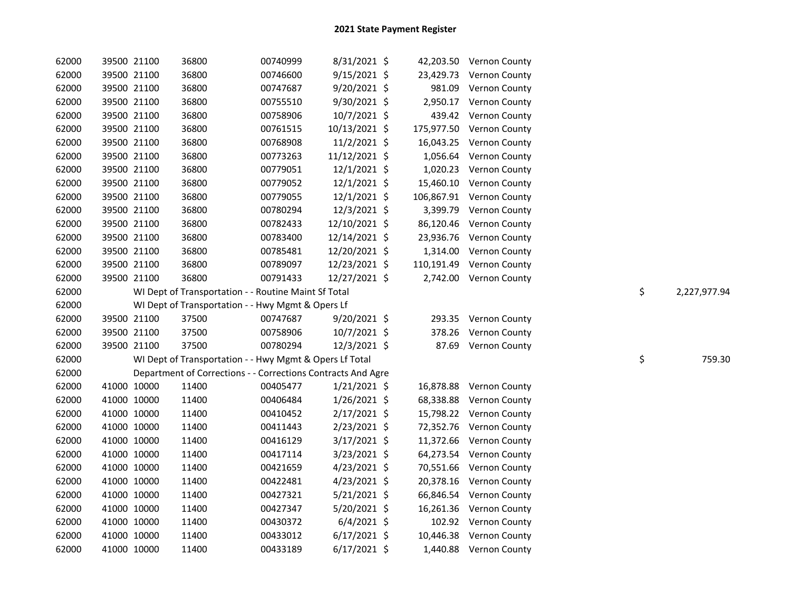| 62000 |             | 39500 21100 | 36800                                                        | 00740999 | 8/31/2021 \$   |          | 42,203.50 Vernon County  |    |              |
|-------|-------------|-------------|--------------------------------------------------------------|----------|----------------|----------|--------------------------|----|--------------|
| 62000 |             | 39500 21100 | 36800                                                        | 00746600 | $9/15/2021$ \$ |          | 23,429.73 Vernon County  |    |              |
| 62000 |             | 39500 21100 | 36800                                                        | 00747687 | 9/20/2021 \$   |          | 981.09 Vernon County     |    |              |
| 62000 |             | 39500 21100 | 36800                                                        | 00755510 | 9/30/2021 \$   |          | 2,950.17 Vernon County   |    |              |
| 62000 |             | 39500 21100 | 36800                                                        | 00758906 | 10/7/2021 \$   |          | 439.42 Vernon County     |    |              |
| 62000 |             | 39500 21100 | 36800                                                        | 00761515 | 10/13/2021 \$  |          | 175,977.50 Vernon County |    |              |
| 62000 |             | 39500 21100 | 36800                                                        | 00768908 | $11/2/2021$ \$ |          | 16,043.25 Vernon County  |    |              |
| 62000 |             | 39500 21100 | 36800                                                        | 00773263 | 11/12/2021 \$  | 1,056.64 | Vernon County            |    |              |
| 62000 |             | 39500 21100 | 36800                                                        | 00779051 | 12/1/2021 \$   | 1,020.23 | <b>Vernon County</b>     |    |              |
| 62000 |             | 39500 21100 | 36800                                                        | 00779052 | $12/1/2021$ \$ |          | 15,460.10 Vernon County  |    |              |
| 62000 |             | 39500 21100 | 36800                                                        | 00779055 | $12/1/2021$ \$ |          | 106,867.91 Vernon County |    |              |
| 62000 |             | 39500 21100 | 36800                                                        | 00780294 | 12/3/2021 \$   |          | 3,399.79 Vernon County   |    |              |
| 62000 |             | 39500 21100 | 36800                                                        | 00782433 | 12/10/2021 \$  |          | 86,120.46 Vernon County  |    |              |
| 62000 |             | 39500 21100 | 36800                                                        | 00783400 | 12/14/2021 \$  |          | 23,936.76 Vernon County  |    |              |
| 62000 |             | 39500 21100 | 36800                                                        | 00785481 | 12/20/2021 \$  |          | 1,314.00 Vernon County   |    |              |
| 62000 |             | 39500 21100 | 36800                                                        | 00789097 | 12/23/2021 \$  |          | 110,191.49 Vernon County |    |              |
| 62000 |             | 39500 21100 | 36800                                                        | 00791433 | 12/27/2021 \$  |          | 2,742.00 Vernon County   |    |              |
| 62000 |             |             | WI Dept of Transportation - - Routine Maint Sf Total         |          |                |          |                          | \$ | 2,227,977.94 |
| 62000 |             |             | WI Dept of Transportation - - Hwy Mgmt & Opers Lf            |          |                |          |                          |    |              |
| 62000 |             | 39500 21100 | 37500                                                        | 00747687 | 9/20/2021 \$   |          | 293.35 Vernon County     |    |              |
| 62000 |             | 39500 21100 | 37500                                                        | 00758906 | $10/7/2021$ \$ |          | 378.26 Vernon County     |    |              |
| 62000 |             | 39500 21100 | 37500                                                        | 00780294 | 12/3/2021 \$   |          | 87.69 Vernon County      |    |              |
| 62000 |             |             | WI Dept of Transportation - - Hwy Mgmt & Opers Lf Total      |          |                |          |                          | \$ | 759.30       |
| 62000 |             |             | Department of Corrections - - Corrections Contracts And Agre |          |                |          |                          |    |              |
| 62000 |             | 41000 10000 | 11400                                                        | 00405477 | $1/21/2021$ \$ |          | 16,878.88 Vernon County  |    |              |
| 62000 |             | 41000 10000 | 11400                                                        | 00406484 | $1/26/2021$ \$ |          | 68,338.88 Vernon County  |    |              |
| 62000 |             | 41000 10000 | 11400                                                        | 00410452 | 2/17/2021 \$   |          | 15,798.22 Vernon County  |    |              |
| 62000 |             | 41000 10000 | 11400                                                        | 00411443 | 2/23/2021 \$   |          | 72,352.76 Vernon County  |    |              |
| 62000 |             | 41000 10000 | 11400                                                        | 00416129 | 3/17/2021 \$   |          | 11,372.66 Vernon County  |    |              |
| 62000 |             | 41000 10000 | 11400                                                        | 00417114 | $3/23/2021$ \$ |          | 64,273.54 Vernon County  |    |              |
| 62000 |             | 41000 10000 | 11400                                                        | 00421659 | $4/23/2021$ \$ |          | 70,551.66 Vernon County  |    |              |
| 62000 |             | 41000 10000 | 11400                                                        | 00422481 | $4/23/2021$ \$ |          | 20,378.16 Vernon County  |    |              |
| 62000 |             | 41000 10000 | 11400                                                        | 00427321 | $5/21/2021$ \$ |          | 66,846.54 Vernon County  |    |              |
| 62000 |             | 41000 10000 | 11400                                                        | 00427347 | $5/20/2021$ \$ |          | 16,261.36 Vernon County  |    |              |
| 62000 |             | 41000 10000 | 11400                                                        | 00430372 | $6/4/2021$ \$  |          | 102.92 Vernon County     |    |              |
| 62000 |             | 41000 10000 | 11400                                                        | 00433012 | $6/17/2021$ \$ |          | 10,446.38 Vernon County  |    |              |
| 62000 | 41000 10000 |             | 11400                                                        | 00433189 | $6/17/2021$ \$ |          | 1,440.88 Vernon County   |    |              |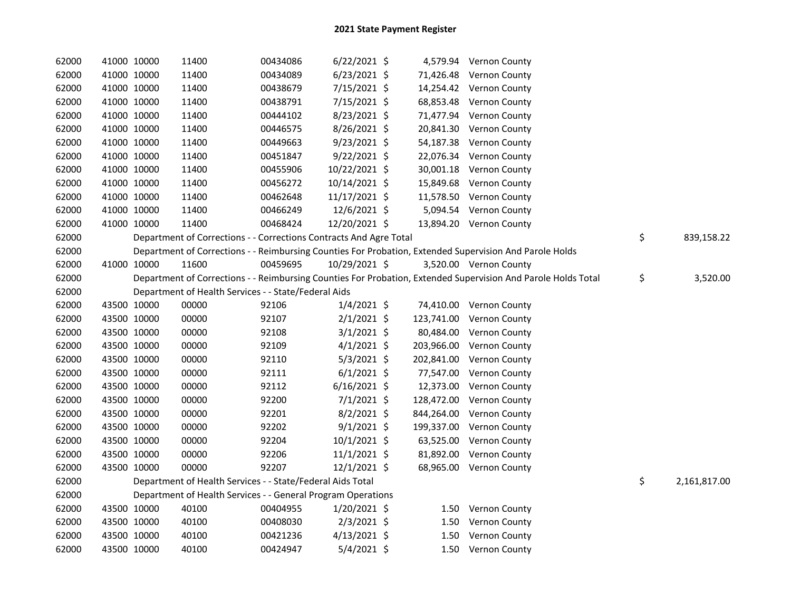| 62000 | 41000 10000 | 11400                                                              | 00434086 | $6/22/2021$ \$ |            | 4,579.94 Vernon County                                                                                        |                    |
|-------|-------------|--------------------------------------------------------------------|----------|----------------|------------|---------------------------------------------------------------------------------------------------------------|--------------------|
| 62000 | 41000 10000 | 11400                                                              | 00434089 | $6/23/2021$ \$ |            | 71,426.48 Vernon County                                                                                       |                    |
| 62000 | 41000 10000 | 11400                                                              | 00438679 | 7/15/2021 \$   |            | 14,254.42 Vernon County                                                                                       |                    |
| 62000 | 41000 10000 | 11400                                                              | 00438791 | 7/15/2021 \$   |            | 68,853.48 Vernon County                                                                                       |                    |
| 62000 | 41000 10000 | 11400                                                              | 00444102 | 8/23/2021 \$   |            | 71,477.94 Vernon County                                                                                       |                    |
| 62000 | 41000 10000 | 11400                                                              | 00446575 | 8/26/2021 \$   |            | 20,841.30 Vernon County                                                                                       |                    |
| 62000 | 41000 10000 | 11400                                                              | 00449663 | $9/23/2021$ \$ |            | 54,187.38 Vernon County                                                                                       |                    |
| 62000 | 41000 10000 | 11400                                                              | 00451847 | $9/22/2021$ \$ |            | 22,076.34 Vernon County                                                                                       |                    |
| 62000 | 41000 10000 | 11400                                                              | 00455906 | 10/22/2021 \$  |            | 30,001.18 Vernon County                                                                                       |                    |
| 62000 | 41000 10000 | 11400                                                              | 00456272 | 10/14/2021 \$  |            | 15,849.68 Vernon County                                                                                       |                    |
| 62000 | 41000 10000 | 11400                                                              | 00462648 | 11/17/2021 \$  |            | 11,578.50 Vernon County                                                                                       |                    |
| 62000 | 41000 10000 | 11400                                                              | 00466249 | 12/6/2021 \$   |            | 5,094.54 Vernon County                                                                                        |                    |
| 62000 | 41000 10000 | 11400                                                              | 00468424 | 12/20/2021 \$  |            | 13,894.20 Vernon County                                                                                       |                    |
| 62000 |             | Department of Corrections - - Corrections Contracts And Agre Total |          |                |            |                                                                                                               | \$<br>839,158.22   |
| 62000 |             |                                                                    |          |                |            | Department of Corrections - - Reimbursing Counties For Probation, Extended Supervision And Parole Holds       |                    |
| 62000 | 41000 10000 | 11600                                                              | 00459695 | 10/29/2021 \$  |            | 3,520.00 Vernon County                                                                                        |                    |
| 62000 |             |                                                                    |          |                |            | Department of Corrections - - Reimbursing Counties For Probation, Extended Supervision And Parole Holds Total | \$<br>3,520.00     |
| 62000 |             | Department of Health Services - - State/Federal Aids               |          |                |            |                                                                                                               |                    |
| 62000 | 43500 10000 | 00000                                                              | 92106    | $1/4/2021$ \$  |            | 74,410.00 Vernon County                                                                                       |                    |
| 62000 | 43500 10000 | 00000                                                              | 92107    | $2/1/2021$ \$  |            | 123,741.00 Vernon County                                                                                      |                    |
| 62000 | 43500 10000 | 00000                                                              | 92108    | $3/1/2021$ \$  |            | 80,484.00 Vernon County                                                                                       |                    |
| 62000 | 43500 10000 | 00000                                                              | 92109    | $4/1/2021$ \$  |            | 203,966.00 Vernon County                                                                                      |                    |
| 62000 | 43500 10000 | 00000                                                              | 92110    | $5/3/2021$ \$  |            | 202,841.00 Vernon County                                                                                      |                    |
| 62000 | 43500 10000 | 00000                                                              | 92111    | $6/1/2021$ \$  |            | 77,547.00 Vernon County                                                                                       |                    |
| 62000 | 43500 10000 | 00000                                                              | 92112    | $6/16/2021$ \$ |            | 12,373.00 Vernon County                                                                                       |                    |
| 62000 | 43500 10000 | 00000                                                              | 92200    | $7/1/2021$ \$  |            | 128,472.00 Vernon County                                                                                      |                    |
| 62000 | 43500 10000 | 00000                                                              | 92201    | 8/2/2021 \$    | 844,264.00 | <b>Vernon County</b>                                                                                          |                    |
| 62000 | 43500 10000 | 00000                                                              | 92202    | $9/1/2021$ \$  |            | 199,337.00 Vernon County                                                                                      |                    |
| 62000 | 43500 10000 | 00000                                                              | 92204    | $10/1/2021$ \$ | 63,525.00  | <b>Vernon County</b>                                                                                          |                    |
| 62000 | 43500 10000 | 00000                                                              | 92206    | $11/1/2021$ \$ |            | 81,892.00 Vernon County                                                                                       |                    |
| 62000 | 43500 10000 | 00000                                                              | 92207    | $12/1/2021$ \$ |            | 68,965.00 Vernon County                                                                                       |                    |
| 62000 |             | Department of Health Services - - State/Federal Aids Total         |          |                |            |                                                                                                               | \$<br>2,161,817.00 |
| 62000 |             | Department of Health Services - - General Program Operations       |          |                |            |                                                                                                               |                    |
| 62000 | 43500 10000 | 40100                                                              | 00404955 | $1/20/2021$ \$ |            | 1.50 Vernon County                                                                                            |                    |
| 62000 | 43500 10000 | 40100                                                              | 00408030 | $2/3/2021$ \$  | 1.50       | Vernon County                                                                                                 |                    |
| 62000 | 43500 10000 | 40100                                                              | 00421236 | $4/13/2021$ \$ | 1.50       | Vernon County                                                                                                 |                    |
| 62000 | 43500 10000 | 40100                                                              | 00424947 | $5/4/2021$ \$  |            | 1.50 Vernon County                                                                                            |                    |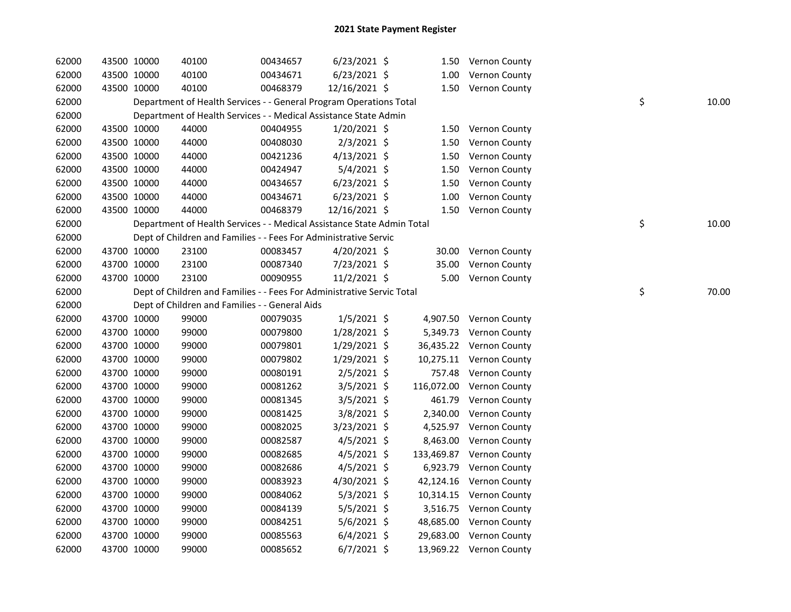| 62000 | 43500 10000 | 40100 | 00434657                                                               | $6/23/2021$ \$ |            | 1.50 Vernon County      |    |       |
|-------|-------------|-------|------------------------------------------------------------------------|----------------|------------|-------------------------|----|-------|
| 62000 | 43500 10000 | 40100 | 00434671                                                               | $6/23/2021$ \$ | 1.00       | Vernon County           |    |       |
| 62000 | 43500 10000 | 40100 | 00468379                                                               | 12/16/2021 \$  |            | 1.50 Vernon County      |    |       |
| 62000 |             |       | Department of Health Services - - General Program Operations Total     |                |            |                         | \$ | 10.00 |
| 62000 |             |       | Department of Health Services - - Medical Assistance State Admin       |                |            |                         |    |       |
| 62000 | 43500 10000 | 44000 | 00404955                                                               | 1/20/2021 \$   | 1.50       | Vernon County           |    |       |
| 62000 | 43500 10000 | 44000 | 00408030                                                               | $2/3/2021$ \$  | 1.50       | Vernon County           |    |       |
| 62000 | 43500 10000 | 44000 | 00421236                                                               | $4/13/2021$ \$ | 1.50       | Vernon County           |    |       |
| 62000 | 43500 10000 | 44000 | 00424947                                                               | $5/4/2021$ \$  | 1.50       | Vernon County           |    |       |
| 62000 | 43500 10000 | 44000 | 00434657                                                               | $6/23/2021$ \$ | 1.50       | Vernon County           |    |       |
| 62000 | 43500 10000 | 44000 | 00434671                                                               | $6/23/2021$ \$ | 1.00       | Vernon County           |    |       |
| 62000 | 43500 10000 | 44000 | 00468379                                                               | 12/16/2021 \$  |            | 1.50 Vernon County      |    |       |
| 62000 |             |       | Department of Health Services - - Medical Assistance State Admin Total |                |            |                         | \$ | 10.00 |
| 62000 |             |       | Dept of Children and Families - - Fees For Administrative Servic       |                |            |                         |    |       |
| 62000 | 43700 10000 | 23100 | 00083457                                                               | 4/20/2021 \$   | 30.00      | Vernon County           |    |       |
| 62000 | 43700 10000 | 23100 | 00087340                                                               | 7/23/2021 \$   | 35.00      | Vernon County           |    |       |
| 62000 | 43700 10000 | 23100 | 00090955                                                               | 11/2/2021 \$   |            | 5.00 Vernon County      |    |       |
| 62000 |             |       | Dept of Children and Families - - Fees For Administrative Servic Total |                |            |                         | \$ | 70.00 |
| 62000 |             |       | Dept of Children and Families - - General Aids                         |                |            |                         |    |       |
| 62000 | 43700 10000 | 99000 | 00079035                                                               | $1/5/2021$ \$  |            | 4,907.50 Vernon County  |    |       |
| 62000 | 43700 10000 | 99000 | 00079800                                                               | 1/28/2021 \$   | 5,349.73   | Vernon County           |    |       |
| 62000 | 43700 10000 | 99000 | 00079801                                                               | 1/29/2021 \$   |            | 36,435.22 Vernon County |    |       |
| 62000 | 43700 10000 | 99000 | 00079802                                                               | 1/29/2021 \$   |            | 10,275.11 Vernon County |    |       |
| 62000 | 43700 10000 | 99000 | 00080191                                                               | $2/5/2021$ \$  | 757.48     | Vernon County           |    |       |
| 62000 | 43700 10000 | 99000 | 00081262                                                               | $3/5/2021$ \$  | 116,072.00 | Vernon County           |    |       |
| 62000 | 43700 10000 | 99000 | 00081345                                                               | $3/5/2021$ \$  | 461.79     | Vernon County           |    |       |
| 62000 | 43700 10000 | 99000 | 00081425                                                               | 3/8/2021 \$    | 2,340.00   | Vernon County           |    |       |
| 62000 | 43700 10000 | 99000 | 00082025                                                               | 3/23/2021 \$   | 4,525.97   | Vernon County           |    |       |
| 62000 | 43700 10000 | 99000 | 00082587                                                               | $4/5/2021$ \$  | 8,463.00   | Vernon County           |    |       |
| 62000 | 43700 10000 | 99000 | 00082685                                                               | $4/5/2021$ \$  | 133,469.87 | Vernon County           |    |       |
| 62000 | 43700 10000 | 99000 | 00082686                                                               | $4/5/2021$ \$  | 6,923.79   | Vernon County           |    |       |
| 62000 | 43700 10000 | 99000 | 00083923                                                               | 4/30/2021 \$   | 42,124.16  | Vernon County           |    |       |
| 62000 | 43700 10000 | 99000 | 00084062                                                               | $5/3/2021$ \$  | 10,314.15  | <b>Vernon County</b>    |    |       |
| 62000 | 43700 10000 | 99000 | 00084139                                                               | $5/5/2021$ \$  | 3,516.75   | Vernon County           |    |       |
| 62000 | 43700 10000 | 99000 | 00084251                                                               | $5/6/2021$ \$  | 48,685.00  | Vernon County           |    |       |
| 62000 | 43700 10000 | 99000 | 00085563                                                               | $6/4/2021$ \$  | 29,683.00  | <b>Vernon County</b>    |    |       |
| 62000 | 43700 10000 | 99000 | 00085652                                                               | $6/7/2021$ \$  |            | 13,969.22 Vernon County |    |       |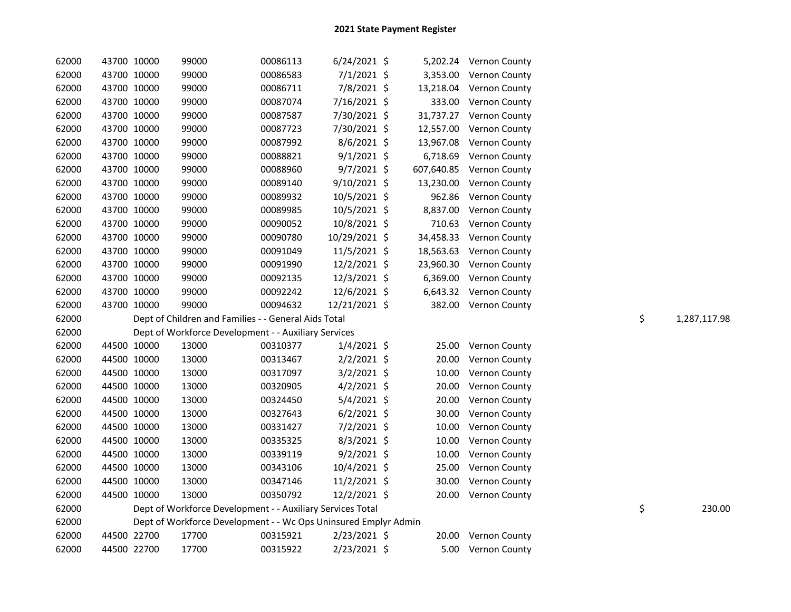| 62000 | 43700 10000 | 99000                                                           | 00086113 | $6/24/2021$ \$ |            | 5,202.24 Vernon County |    |              |
|-------|-------------|-----------------------------------------------------------------|----------|----------------|------------|------------------------|----|--------------|
| 62000 | 43700 10000 | 99000                                                           | 00086583 | $7/1/2021$ \$  |            | 3,353.00 Vernon County |    |              |
| 62000 | 43700 10000 | 99000                                                           | 00086711 | 7/8/2021 \$    | 13,218.04  | Vernon County          |    |              |
| 62000 | 43700 10000 | 99000                                                           | 00087074 | 7/16/2021 \$   | 333.00     | <b>Vernon County</b>   |    |              |
| 62000 | 43700 10000 | 99000                                                           | 00087587 | 7/30/2021 \$   | 31,737.27  | Vernon County          |    |              |
| 62000 | 43700 10000 | 99000                                                           | 00087723 | 7/30/2021 \$   | 12,557.00  | Vernon County          |    |              |
| 62000 | 43700 10000 | 99000                                                           | 00087992 | $8/6/2021$ \$  | 13,967.08  | Vernon County          |    |              |
| 62000 | 43700 10000 | 99000                                                           | 00088821 | $9/1/2021$ \$  | 6,718.69   | Vernon County          |    |              |
| 62000 | 43700 10000 | 99000                                                           | 00088960 | 9/7/2021 \$    | 607,640.85 | Vernon County          |    |              |
| 62000 | 43700 10000 | 99000                                                           | 00089140 | $9/10/2021$ \$ | 13,230.00  | Vernon County          |    |              |
| 62000 | 43700 10000 | 99000                                                           | 00089932 | 10/5/2021 \$   | 962.86     | Vernon County          |    |              |
| 62000 | 43700 10000 | 99000                                                           | 00089985 | 10/5/2021 \$   | 8,837.00   | Vernon County          |    |              |
| 62000 | 43700 10000 | 99000                                                           | 00090052 | 10/8/2021 \$   | 710.63     | Vernon County          |    |              |
| 62000 | 43700 10000 | 99000                                                           | 00090780 | 10/29/2021 \$  | 34,458.33  | Vernon County          |    |              |
| 62000 | 43700 10000 | 99000                                                           | 00091049 | 11/5/2021 \$   | 18,563.63  | <b>Vernon County</b>   |    |              |
| 62000 | 43700 10000 | 99000                                                           | 00091990 | 12/2/2021 \$   | 23,960.30  | <b>Vernon County</b>   |    |              |
| 62000 | 43700 10000 | 99000                                                           | 00092135 | 12/3/2021 \$   |            | 6,369.00 Vernon County |    |              |
| 62000 | 43700 10000 | 99000                                                           | 00092242 | 12/6/2021 \$   |            | 6,643.32 Vernon County |    |              |
| 62000 | 43700 10000 | 99000                                                           | 00094632 | 12/21/2021 \$  |            | 382.00 Vernon County   |    |              |
| 62000 |             | Dept of Children and Families - - General Aids Total            |          |                |            |                        | \$ | 1,287,117.98 |
| 62000 |             | Dept of Workforce Development - - Auxiliary Services            |          |                |            |                        |    |              |
| 62000 | 44500 10000 | 13000                                                           | 00310377 | $1/4/2021$ \$  | 25.00      | <b>Vernon County</b>   |    |              |
| 62000 | 44500 10000 | 13000                                                           | 00313467 | $2/2/2021$ \$  | 20.00      | Vernon County          |    |              |
| 62000 | 44500 10000 | 13000                                                           | 00317097 | $3/2/2021$ \$  | 10.00      | Vernon County          |    |              |
| 62000 | 44500 10000 | 13000                                                           | 00320905 | $4/2/2021$ \$  | 20.00      | Vernon County          |    |              |
| 62000 | 44500 10000 | 13000                                                           | 00324450 | $5/4/2021$ \$  | 20.00      | Vernon County          |    |              |
| 62000 | 44500 10000 | 13000                                                           | 00327643 | $6/2/2021$ \$  | 30.00      | Vernon County          |    |              |
| 62000 | 44500 10000 | 13000                                                           | 00331427 | $7/2/2021$ \$  | 10.00      | Vernon County          |    |              |
| 62000 | 44500 10000 | 13000                                                           | 00335325 | $8/3/2021$ \$  | 10.00      | Vernon County          |    |              |
| 62000 | 44500 10000 | 13000                                                           | 00339119 | $9/2/2021$ \$  | 10.00      | Vernon County          |    |              |
| 62000 | 44500 10000 | 13000                                                           | 00343106 | 10/4/2021 \$   | 25.00      | Vernon County          |    |              |
| 62000 | 44500 10000 | 13000                                                           | 00347146 | 11/2/2021 \$   | 30.00      | Vernon County          |    |              |
| 62000 | 44500 10000 | 13000                                                           | 00350792 | 12/2/2021 \$   | 20.00      | <b>Vernon County</b>   |    |              |
| 62000 |             | Dept of Workforce Development - - Auxiliary Services Total      |          |                |            |                        | \$ | 230.00       |
| 62000 |             | Dept of Workforce Development - - Wc Ops Uninsured Emplyr Admin |          |                |            |                        |    |              |
| 62000 | 44500 22700 | 17700                                                           | 00315921 | $2/23/2021$ \$ | 20.00      | Vernon County          |    |              |
| 62000 | 44500 22700 | 17700                                                           | 00315922 | 2/23/2021 \$   |            | 5.00 Vernon County     |    |              |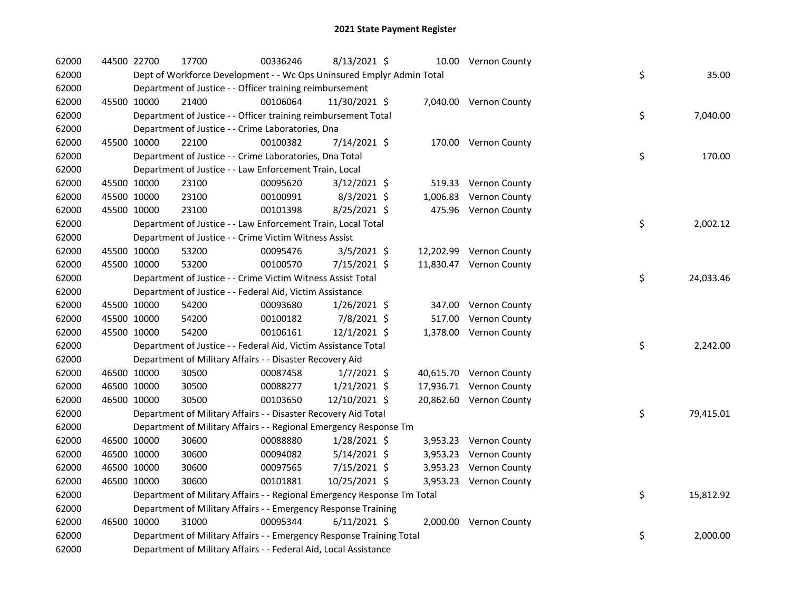| 62000 | 44500 22700 | 17700                                                                   | 00336246 | $8/13/2021$ \$ |  | 10.00 Vernon County     |    |           |
|-------|-------------|-------------------------------------------------------------------------|----------|----------------|--|-------------------------|----|-----------|
| 62000 |             | Dept of Workforce Development - - Wc Ops Uninsured Emplyr Admin Total   |          |                |  |                         | \$ | 35.00     |
| 62000 |             | Department of Justice - - Officer training reimbursement                |          |                |  |                         |    |           |
| 62000 | 45500 10000 | 21400                                                                   | 00106064 | 11/30/2021 \$  |  | 7,040.00 Vernon County  |    |           |
| 62000 |             | Department of Justice - - Officer training reimbursement Total          |          |                |  |                         | \$ | 7,040.00  |
| 62000 |             | Department of Justice - - Crime Laboratories, Dna                       |          |                |  |                         |    |           |
| 62000 | 45500 10000 | 22100                                                                   | 00100382 | 7/14/2021 \$   |  | 170.00 Vernon County    |    |           |
| 62000 |             | Department of Justice - - Crime Laboratories, Dna Total                 |          |                |  |                         | \$ | 170.00    |
| 62000 |             | Department of Justice - - Law Enforcement Train, Local                  |          |                |  |                         |    |           |
| 62000 | 45500 10000 | 23100                                                                   | 00095620 | $3/12/2021$ \$ |  | 519.33 Vernon County    |    |           |
| 62000 | 45500 10000 | 23100                                                                   | 00100991 | $8/3/2021$ \$  |  | 1,006.83 Vernon County  |    |           |
| 62000 | 45500 10000 | 23100                                                                   | 00101398 | 8/25/2021 \$   |  | 475.96 Vernon County    |    |           |
| 62000 |             | Department of Justice - - Law Enforcement Train, Local Total            |          |                |  |                         | \$ | 2,002.12  |
| 62000 |             | Department of Justice - - Crime Victim Witness Assist                   |          |                |  |                         |    |           |
| 62000 | 45500 10000 | 53200                                                                   | 00095476 | $3/5/2021$ \$  |  | 12,202.99 Vernon County |    |           |
| 62000 | 45500 10000 | 53200                                                                   | 00100570 | 7/15/2021 \$   |  | 11,830.47 Vernon County |    |           |
| 62000 |             | Department of Justice - - Crime Victim Witness Assist Total             |          |                |  |                         | \$ | 24,033.46 |
| 62000 |             | Department of Justice - - Federal Aid, Victim Assistance                |          |                |  |                         |    |           |
| 62000 | 45500 10000 | 54200                                                                   | 00093680 | $1/26/2021$ \$ |  | 347.00 Vernon County    |    |           |
| 62000 | 45500 10000 | 54200                                                                   | 00100182 | 7/8/2021 \$    |  | 517.00 Vernon County    |    |           |
| 62000 | 45500 10000 | 54200                                                                   | 00106161 | 12/1/2021 \$   |  | 1,378.00 Vernon County  |    |           |
| 62000 |             | Department of Justice - - Federal Aid, Victim Assistance Total          |          |                |  |                         | \$ | 2,242.00  |
| 62000 |             | Department of Military Affairs - - Disaster Recovery Aid                |          |                |  |                         |    |           |
| 62000 | 46500 10000 | 30500                                                                   | 00087458 | $1/7/2021$ \$  |  | 40,615.70 Vernon County |    |           |
| 62000 | 46500 10000 | 30500                                                                   | 00088277 | $1/21/2021$ \$ |  | 17,936.71 Vernon County |    |           |
| 62000 | 46500 10000 | 30500                                                                   | 00103650 | 12/10/2021 \$  |  | 20,862.60 Vernon County |    |           |
| 62000 |             | Department of Military Affairs - - Disaster Recovery Aid Total          |          |                |  |                         | \$ | 79,415.01 |
| 62000 |             | Department of Military Affairs - - Regional Emergency Response Tm       |          |                |  |                         |    |           |
| 62000 | 46500 10000 | 30600                                                                   | 00088880 | 1/28/2021 \$   |  | 3,953.23 Vernon County  |    |           |
| 62000 | 46500 10000 | 30600                                                                   | 00094082 | $5/14/2021$ \$ |  | 3,953.23 Vernon County  |    |           |
| 62000 | 46500 10000 | 30600                                                                   | 00097565 | 7/15/2021 \$   |  | 3,953.23 Vernon County  |    |           |
| 62000 | 46500 10000 | 30600                                                                   | 00101881 | 10/25/2021 \$  |  | 3,953.23 Vernon County  |    |           |
| 62000 |             | Department of Military Affairs - - Regional Emergency Response Tm Total |          |                |  |                         | \$ | 15,812.92 |
| 62000 |             | Department of Military Affairs - - Emergency Response Training          |          |                |  |                         |    |           |
| 62000 | 46500 10000 | 31000                                                                   | 00095344 | $6/11/2021$ \$ |  | 2,000.00 Vernon County  |    |           |
| 62000 |             | Department of Military Affairs - - Emergency Response Training Total    |          |                |  |                         | \$ | 2,000.00  |
| 62000 |             | Department of Military Affairs - - Federal Aid, Local Assistance        |          |                |  |                         |    |           |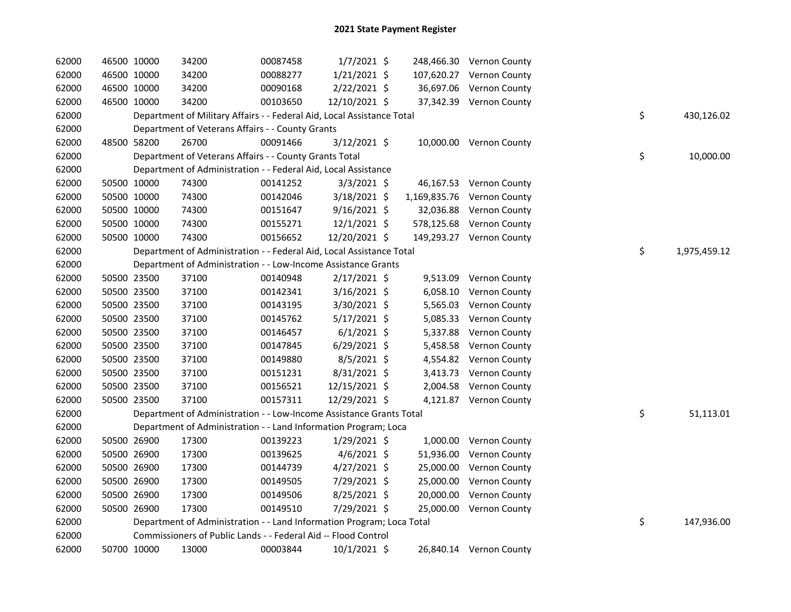| 62000 | 46500 10000 | 34200                                                                  | 00087458 | $1/7/2021$ \$  |  | 248,466.30 Vernon County   |    |              |
|-------|-------------|------------------------------------------------------------------------|----------|----------------|--|----------------------------|----|--------------|
| 62000 | 46500 10000 | 34200                                                                  | 00088277 | $1/21/2021$ \$ |  | 107,620.27 Vernon County   |    |              |
| 62000 | 46500 10000 | 34200                                                                  | 00090168 | $2/22/2021$ \$ |  | 36,697.06 Vernon County    |    |              |
| 62000 | 46500 10000 | 34200                                                                  | 00103650 | 12/10/2021 \$  |  | 37,342.39 Vernon County    |    |              |
| 62000 |             | Department of Military Affairs - - Federal Aid, Local Assistance Total |          |                |  |                            | \$ | 430,126.02   |
| 62000 |             | Department of Veterans Affairs - - County Grants                       |          |                |  |                            |    |              |
| 62000 | 48500 58200 | 26700                                                                  | 00091466 | $3/12/2021$ \$ |  | 10,000.00 Vernon County    |    |              |
| 62000 |             | Department of Veterans Affairs - - County Grants Total                 |          |                |  |                            | \$ | 10,000.00    |
| 62000 |             | Department of Administration - - Federal Aid, Local Assistance         |          |                |  |                            |    |              |
| 62000 | 50500 10000 | 74300                                                                  | 00141252 | $3/3/2021$ \$  |  | 46,167.53 Vernon County    |    |              |
| 62000 | 50500 10000 | 74300                                                                  | 00142046 | 3/18/2021 \$   |  | 1,169,835.76 Vernon County |    |              |
| 62000 | 50500 10000 | 74300                                                                  | 00151647 | $9/16/2021$ \$ |  | 32,036.88 Vernon County    |    |              |
| 62000 | 50500 10000 | 74300                                                                  | 00155271 | $12/1/2021$ \$ |  | 578,125.68 Vernon County   |    |              |
| 62000 | 50500 10000 | 74300                                                                  | 00156652 | 12/20/2021 \$  |  | 149,293.27 Vernon County   |    |              |
| 62000 |             | Department of Administration - - Federal Aid, Local Assistance Total   |          |                |  |                            | \$ | 1,975,459.12 |
| 62000 |             | Department of Administration - - Low-Income Assistance Grants          |          |                |  |                            |    |              |
| 62000 | 50500 23500 | 37100                                                                  | 00140948 | $2/17/2021$ \$ |  | 9,513.09 Vernon County     |    |              |
| 62000 | 50500 23500 | 37100                                                                  | 00142341 | $3/16/2021$ \$ |  | 6,058.10 Vernon County     |    |              |
| 62000 | 50500 23500 | 37100                                                                  | 00143195 | 3/30/2021 \$   |  | 5,565.03 Vernon County     |    |              |
| 62000 | 50500 23500 | 37100                                                                  | 00145762 | 5/17/2021 \$   |  | 5,085.33 Vernon County     |    |              |
| 62000 | 50500 23500 | 37100                                                                  | 00146457 | $6/1/2021$ \$  |  | 5,337.88 Vernon County     |    |              |
| 62000 | 50500 23500 | 37100                                                                  | 00147845 | $6/29/2021$ \$ |  | 5,458.58 Vernon County     |    |              |
| 62000 | 50500 23500 | 37100                                                                  | 00149880 | 8/5/2021 \$    |  | 4,554.82 Vernon County     |    |              |
| 62000 | 50500 23500 | 37100                                                                  | 00151231 | 8/31/2021 \$   |  | 3,413.73 Vernon County     |    |              |
| 62000 | 50500 23500 | 37100                                                                  | 00156521 | 12/15/2021 \$  |  | 2,004.58 Vernon County     |    |              |
| 62000 | 50500 23500 | 37100                                                                  | 00157311 | 12/29/2021 \$  |  | 4,121.87 Vernon County     |    |              |
| 62000 |             | Department of Administration - - Low-Income Assistance Grants Total    |          |                |  |                            | \$ | 51,113.01    |
| 62000 |             | Department of Administration - - Land Information Program; Loca        |          |                |  |                            |    |              |
| 62000 | 50500 26900 | 17300                                                                  | 00139223 | $1/29/2021$ \$ |  | 1,000.00 Vernon County     |    |              |
| 62000 | 50500 26900 | 17300                                                                  | 00139625 | $4/6/2021$ \$  |  | 51,936.00 Vernon County    |    |              |
| 62000 | 50500 26900 | 17300                                                                  | 00144739 | $4/27/2021$ \$ |  | 25,000.00 Vernon County    |    |              |
| 62000 | 50500 26900 | 17300                                                                  | 00149505 | 7/29/2021 \$   |  | 25,000.00 Vernon County    |    |              |
| 62000 | 50500 26900 | 17300                                                                  | 00149506 | $8/25/2021$ \$ |  | 20,000.00 Vernon County    |    |              |
| 62000 | 50500 26900 | 17300                                                                  | 00149510 | 7/29/2021 \$   |  | 25,000.00 Vernon County    |    |              |
| 62000 |             | Department of Administration - - Land Information Program; Loca Total  |          |                |  |                            | \$ | 147,936.00   |
| 62000 |             | Commissioners of Public Lands - - Federal Aid -- Flood Control         |          |                |  |                            |    |              |
| 62000 | 50700 10000 | 13000                                                                  | 00003844 | 10/1/2021 \$   |  | 26,840.14 Vernon County    |    |              |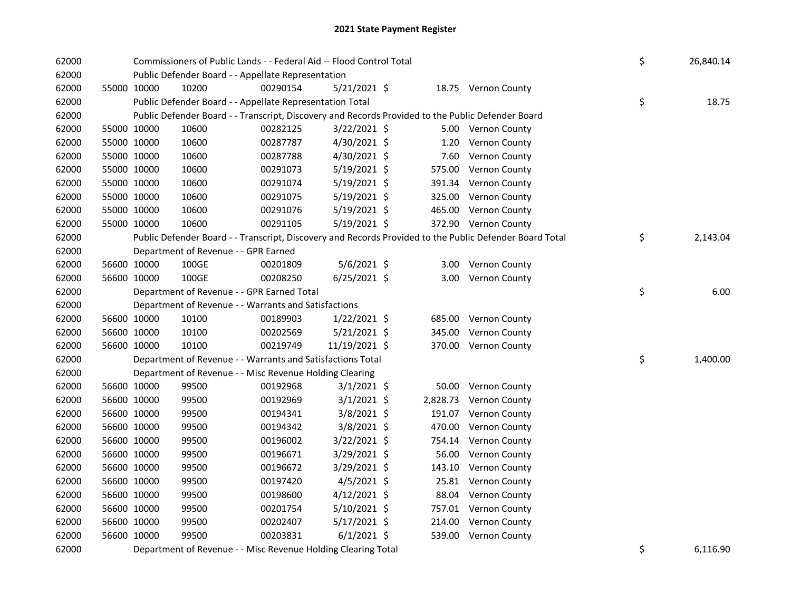| 62000 |             | Commissioners of Public Lands - - Federal Aid -- Flood Control Total                              |          |                | \$<br>26,840.14 |                                                                                                         |                |
|-------|-------------|---------------------------------------------------------------------------------------------------|----------|----------------|-----------------|---------------------------------------------------------------------------------------------------------|----------------|
| 62000 |             | Public Defender Board - - Appellate Representation                                                |          |                |                 |                                                                                                         |                |
| 62000 | 55000 10000 | 10200                                                                                             | 00290154 | 5/21/2021 \$   |                 | 18.75 Vernon County                                                                                     |                |
| 62000 |             | Public Defender Board - - Appellate Representation Total                                          |          |                |                 |                                                                                                         | \$<br>18.75    |
| 62000 |             | Public Defender Board - - Transcript, Discovery and Records Provided to the Public Defender Board |          |                |                 |                                                                                                         |                |
| 62000 | 55000 10000 | 10600                                                                                             | 00282125 | 3/22/2021 \$   |                 | 5.00 Vernon County                                                                                      |                |
| 62000 | 55000 10000 | 10600                                                                                             | 00287787 | 4/30/2021 \$   | 1.20            | Vernon County                                                                                           |                |
| 62000 | 55000 10000 | 10600                                                                                             | 00287788 | 4/30/2021 \$   | 7.60            | Vernon County                                                                                           |                |
| 62000 | 55000 10000 | 10600                                                                                             | 00291073 | $5/19/2021$ \$ | 575.00          | Vernon County                                                                                           |                |
| 62000 | 55000 10000 | 10600                                                                                             | 00291074 | $5/19/2021$ \$ |                 | 391.34 Vernon County                                                                                    |                |
| 62000 | 55000 10000 | 10600                                                                                             | 00291075 | $5/19/2021$ \$ |                 | 325.00 Vernon County                                                                                    |                |
| 62000 | 55000 10000 | 10600                                                                                             | 00291076 | $5/19/2021$ \$ |                 | 465.00 Vernon County                                                                                    |                |
| 62000 | 55000 10000 | 10600                                                                                             | 00291105 | 5/19/2021 \$   |                 | 372.90 Vernon County                                                                                    |                |
| 62000 |             |                                                                                                   |          |                |                 | Public Defender Board - - Transcript, Discovery and Records Provided to the Public Defender Board Total | \$<br>2,143.04 |
| 62000 |             | Department of Revenue - - GPR Earned                                                              |          |                |                 |                                                                                                         |                |
| 62000 | 56600 10000 | 100GE                                                                                             | 00201809 | 5/6/2021 \$    |                 | 3.00 Vernon County                                                                                      |                |
| 62000 | 56600 10000 | 100GE                                                                                             | 00208250 | $6/25/2021$ \$ |                 | 3.00 Vernon County                                                                                      |                |
| 62000 |             | Department of Revenue - - GPR Earned Total                                                        |          |                |                 |                                                                                                         | \$<br>6.00     |
| 62000 |             | Department of Revenue - - Warrants and Satisfactions                                              |          |                |                 |                                                                                                         |                |
| 62000 | 56600 10000 | 10100                                                                                             | 00189903 | 1/22/2021 \$   |                 | 685.00 Vernon County                                                                                    |                |
| 62000 | 56600 10000 | 10100                                                                                             | 00202569 | $5/21/2021$ \$ |                 | 345.00 Vernon County                                                                                    |                |
| 62000 | 56600 10000 | 10100                                                                                             | 00219749 | 11/19/2021 \$  |                 | 370.00 Vernon County                                                                                    |                |
| 62000 |             | Department of Revenue - - Warrants and Satisfactions Total                                        |          |                |                 |                                                                                                         | \$<br>1,400.00 |
| 62000 |             | Department of Revenue - - Misc Revenue Holding Clearing                                           |          |                |                 |                                                                                                         |                |
| 62000 | 56600 10000 | 99500                                                                                             | 00192968 | $3/1/2021$ \$  |                 | 50.00 Vernon County                                                                                     |                |
| 62000 | 56600 10000 | 99500                                                                                             | 00192969 | $3/1/2021$ \$  |                 | 2,828.73 Vernon County                                                                                  |                |
| 62000 | 56600 10000 | 99500                                                                                             | 00194341 | $3/8/2021$ \$  |                 | 191.07 Vernon County                                                                                    |                |
| 62000 | 56600 10000 | 99500                                                                                             | 00194342 | 3/8/2021 \$    |                 | 470.00 Vernon County                                                                                    |                |
| 62000 | 56600 10000 | 99500                                                                                             | 00196002 | 3/22/2021 \$   |                 | 754.14 Vernon County                                                                                    |                |
| 62000 | 56600 10000 | 99500                                                                                             | 00196671 | $3/29/2021$ \$ |                 | 56.00 Vernon County                                                                                     |                |
| 62000 | 56600 10000 | 99500                                                                                             | 00196672 | 3/29/2021 \$   |                 | 143.10 Vernon County                                                                                    |                |
| 62000 | 56600 10000 | 99500                                                                                             | 00197420 | $4/5/2021$ \$  |                 | 25.81 Vernon County                                                                                     |                |
| 62000 | 56600 10000 | 99500                                                                                             | 00198600 | $4/12/2021$ \$ |                 | 88.04 Vernon County                                                                                     |                |
| 62000 | 56600 10000 | 99500                                                                                             | 00201754 | 5/10/2021 \$   |                 | 757.01 Vernon County                                                                                    |                |
| 62000 | 56600 10000 | 99500                                                                                             | 00202407 | $5/17/2021$ \$ |                 | 214.00 Vernon County                                                                                    |                |
| 62000 | 56600 10000 | 99500                                                                                             | 00203831 | $6/1/2021$ \$  |                 | 539.00 Vernon County                                                                                    |                |
| 62000 |             | Department of Revenue - - Misc Revenue Holding Clearing Total                                     |          |                |                 |                                                                                                         | \$<br>6,116.90 |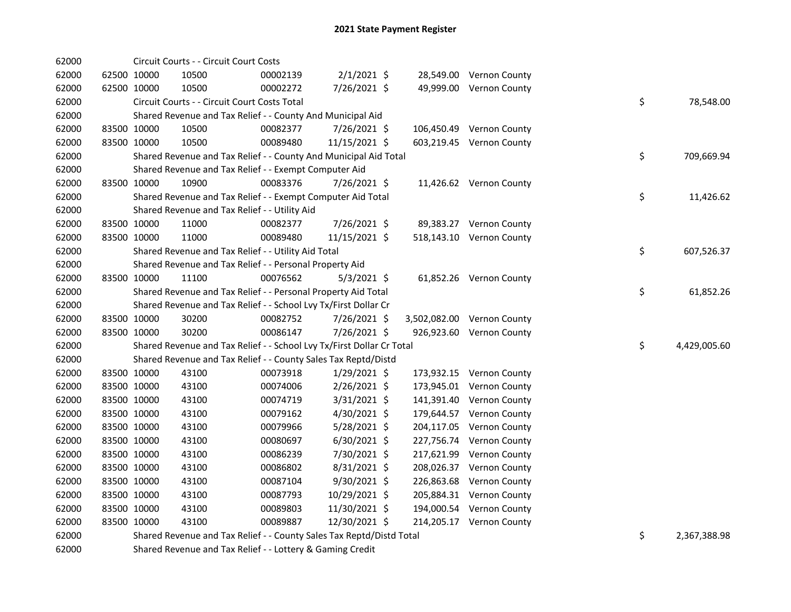|  | 10500                                                                                                                                                                                                                                                                                                                                  | 00002139 |                                                                                                                                         |                                                                                                                                                                         |                                                                                                                                                                                                                                                                                                                                                                                                                                                                                                                                                                                                                                                                                                              |                                                                                                                                                                                                                   |                                                                                                                                                                                                                                                                                                                                                                                                                                                                                                                                                                                                                                   |                    |
|--|----------------------------------------------------------------------------------------------------------------------------------------------------------------------------------------------------------------------------------------------------------------------------------------------------------------------------------------|----------|-----------------------------------------------------------------------------------------------------------------------------------------|-------------------------------------------------------------------------------------------------------------------------------------------------------------------------|--------------------------------------------------------------------------------------------------------------------------------------------------------------------------------------------------------------------------------------------------------------------------------------------------------------------------------------------------------------------------------------------------------------------------------------------------------------------------------------------------------------------------------------------------------------------------------------------------------------------------------------------------------------------------------------------------------------|-------------------------------------------------------------------------------------------------------------------------------------------------------------------------------------------------------------------|-----------------------------------------------------------------------------------------------------------------------------------------------------------------------------------------------------------------------------------------------------------------------------------------------------------------------------------------------------------------------------------------------------------------------------------------------------------------------------------------------------------------------------------------------------------------------------------------------------------------------------------|--------------------|
|  | 10500                                                                                                                                                                                                                                                                                                                                  | 00002272 |                                                                                                                                         |                                                                                                                                                                         |                                                                                                                                                                                                                                                                                                                                                                                                                                                                                                                                                                                                                                                                                                              |                                                                                                                                                                                                                   |                                                                                                                                                                                                                                                                                                                                                                                                                                                                                                                                                                                                                                   |                    |
|  |                                                                                                                                                                                                                                                                                                                                        |          |                                                                                                                                         |                                                                                                                                                                         |                                                                                                                                                                                                                                                                                                                                                                                                                                                                                                                                                                                                                                                                                                              |                                                                                                                                                                                                                   |                                                                                                                                                                                                                                                                                                                                                                                                                                                                                                                                                                                                                                   | \$<br>78,548.00    |
|  |                                                                                                                                                                                                                                                                                                                                        |          |                                                                                                                                         |                                                                                                                                                                         |                                                                                                                                                                                                                                                                                                                                                                                                                                                                                                                                                                                                                                                                                                              |                                                                                                                                                                                                                   |                                                                                                                                                                                                                                                                                                                                                                                                                                                                                                                                                                                                                                   |                    |
|  | 10500                                                                                                                                                                                                                                                                                                                                  | 00082377 |                                                                                                                                         |                                                                                                                                                                         |                                                                                                                                                                                                                                                                                                                                                                                                                                                                                                                                                                                                                                                                                                              |                                                                                                                                                                                                                   |                                                                                                                                                                                                                                                                                                                                                                                                                                                                                                                                                                                                                                   |                    |
|  | 10500                                                                                                                                                                                                                                                                                                                                  | 00089480 |                                                                                                                                         |                                                                                                                                                                         |                                                                                                                                                                                                                                                                                                                                                                                                                                                                                                                                                                                                                                                                                                              |                                                                                                                                                                                                                   |                                                                                                                                                                                                                                                                                                                                                                                                                                                                                                                                                                                                                                   |                    |
|  |                                                                                                                                                                                                                                                                                                                                        |          |                                                                                                                                         |                                                                                                                                                                         |                                                                                                                                                                                                                                                                                                                                                                                                                                                                                                                                                                                                                                                                                                              |                                                                                                                                                                                                                   |                                                                                                                                                                                                                                                                                                                                                                                                                                                                                                                                                                                                                                   | \$<br>709,669.94   |
|  |                                                                                                                                                                                                                                                                                                                                        |          |                                                                                                                                         |                                                                                                                                                                         |                                                                                                                                                                                                                                                                                                                                                                                                                                                                                                                                                                                                                                                                                                              |                                                                                                                                                                                                                   |                                                                                                                                                                                                                                                                                                                                                                                                                                                                                                                                                                                                                                   |                    |
|  | 10900                                                                                                                                                                                                                                                                                                                                  | 00083376 |                                                                                                                                         |                                                                                                                                                                         |                                                                                                                                                                                                                                                                                                                                                                                                                                                                                                                                                                                                                                                                                                              |                                                                                                                                                                                                                   |                                                                                                                                                                                                                                                                                                                                                                                                                                                                                                                                                                                                                                   |                    |
|  |                                                                                                                                                                                                                                                                                                                                        |          |                                                                                                                                         |                                                                                                                                                                         |                                                                                                                                                                                                                                                                                                                                                                                                                                                                                                                                                                                                                                                                                                              |                                                                                                                                                                                                                   |                                                                                                                                                                                                                                                                                                                                                                                                                                                                                                                                                                                                                                   | \$<br>11,426.62    |
|  |                                                                                                                                                                                                                                                                                                                                        |          |                                                                                                                                         |                                                                                                                                                                         |                                                                                                                                                                                                                                                                                                                                                                                                                                                                                                                                                                                                                                                                                                              |                                                                                                                                                                                                                   |                                                                                                                                                                                                                                                                                                                                                                                                                                                                                                                                                                                                                                   |                    |
|  | 11000                                                                                                                                                                                                                                                                                                                                  | 00082377 |                                                                                                                                         |                                                                                                                                                                         |                                                                                                                                                                                                                                                                                                                                                                                                                                                                                                                                                                                                                                                                                                              |                                                                                                                                                                                                                   |                                                                                                                                                                                                                                                                                                                                                                                                                                                                                                                                                                                                                                   |                    |
|  | 11000                                                                                                                                                                                                                                                                                                                                  | 00089480 |                                                                                                                                         |                                                                                                                                                                         |                                                                                                                                                                                                                                                                                                                                                                                                                                                                                                                                                                                                                                                                                                              |                                                                                                                                                                                                                   |                                                                                                                                                                                                                                                                                                                                                                                                                                                                                                                                                                                                                                   |                    |
|  |                                                                                                                                                                                                                                                                                                                                        |          |                                                                                                                                         |                                                                                                                                                                         |                                                                                                                                                                                                                                                                                                                                                                                                                                                                                                                                                                                                                                                                                                              |                                                                                                                                                                                                                   |                                                                                                                                                                                                                                                                                                                                                                                                                                                                                                                                                                                                                                   | \$<br>607,526.37   |
|  |                                                                                                                                                                                                                                                                                                                                        |          |                                                                                                                                         |                                                                                                                                                                         |                                                                                                                                                                                                                                                                                                                                                                                                                                                                                                                                                                                                                                                                                                              |                                                                                                                                                                                                                   |                                                                                                                                                                                                                                                                                                                                                                                                                                                                                                                                                                                                                                   |                    |
|  | 11100                                                                                                                                                                                                                                                                                                                                  | 00076562 |                                                                                                                                         |                                                                                                                                                                         |                                                                                                                                                                                                                                                                                                                                                                                                                                                                                                                                                                                                                                                                                                              |                                                                                                                                                                                                                   |                                                                                                                                                                                                                                                                                                                                                                                                                                                                                                                                                                                                                                   |                    |
|  |                                                                                                                                                                                                                                                                                                                                        |          |                                                                                                                                         |                                                                                                                                                                         |                                                                                                                                                                                                                                                                                                                                                                                                                                                                                                                                                                                                                                                                                                              |                                                                                                                                                                                                                   |                                                                                                                                                                                                                                                                                                                                                                                                                                                                                                                                                                                                                                   | \$<br>61,852.26    |
|  |                                                                                                                                                                                                                                                                                                                                        |          |                                                                                                                                         |                                                                                                                                                                         |                                                                                                                                                                                                                                                                                                                                                                                                                                                                                                                                                                                                                                                                                                              |                                                                                                                                                                                                                   |                                                                                                                                                                                                                                                                                                                                                                                                                                                                                                                                                                                                                                   |                    |
|  | 30200                                                                                                                                                                                                                                                                                                                                  | 00082752 |                                                                                                                                         |                                                                                                                                                                         |                                                                                                                                                                                                                                                                                                                                                                                                                                                                                                                                                                                                                                                                                                              |                                                                                                                                                                                                                   |                                                                                                                                                                                                                                                                                                                                                                                                                                                                                                                                                                                                                                   |                    |
|  | 30200                                                                                                                                                                                                                                                                                                                                  | 00086147 |                                                                                                                                         |                                                                                                                                                                         |                                                                                                                                                                                                                                                                                                                                                                                                                                                                                                                                                                                                                                                                                                              |                                                                                                                                                                                                                   |                                                                                                                                                                                                                                                                                                                                                                                                                                                                                                                                                                                                                                   |                    |
|  |                                                                                                                                                                                                                                                                                                                                        |          |                                                                                                                                         |                                                                                                                                                                         |                                                                                                                                                                                                                                                                                                                                                                                                                                                                                                                                                                                                                                                                                                              |                                                                                                                                                                                                                   |                                                                                                                                                                                                                                                                                                                                                                                                                                                                                                                                                                                                                                   | \$<br>4,429,005.60 |
|  |                                                                                                                                                                                                                                                                                                                                        |          |                                                                                                                                         |                                                                                                                                                                         |                                                                                                                                                                                                                                                                                                                                                                                                                                                                                                                                                                                                                                                                                                              |                                                                                                                                                                                                                   |                                                                                                                                                                                                                                                                                                                                                                                                                                                                                                                                                                                                                                   |                    |
|  | 43100                                                                                                                                                                                                                                                                                                                                  | 00073918 |                                                                                                                                         |                                                                                                                                                                         |                                                                                                                                                                                                                                                                                                                                                                                                                                                                                                                                                                                                                                                                                                              |                                                                                                                                                                                                                   |                                                                                                                                                                                                                                                                                                                                                                                                                                                                                                                                                                                                                                   |                    |
|  | 43100                                                                                                                                                                                                                                                                                                                                  | 00074006 |                                                                                                                                         |                                                                                                                                                                         |                                                                                                                                                                                                                                                                                                                                                                                                                                                                                                                                                                                                                                                                                                              |                                                                                                                                                                                                                   |                                                                                                                                                                                                                                                                                                                                                                                                                                                                                                                                                                                                                                   |                    |
|  | 43100                                                                                                                                                                                                                                                                                                                                  | 00074719 |                                                                                                                                         |                                                                                                                                                                         |                                                                                                                                                                                                                                                                                                                                                                                                                                                                                                                                                                                                                                                                                                              |                                                                                                                                                                                                                   |                                                                                                                                                                                                                                                                                                                                                                                                                                                                                                                                                                                                                                   |                    |
|  | 43100                                                                                                                                                                                                                                                                                                                                  | 00079162 |                                                                                                                                         |                                                                                                                                                                         |                                                                                                                                                                                                                                                                                                                                                                                                                                                                                                                                                                                                                                                                                                              |                                                                                                                                                                                                                   |                                                                                                                                                                                                                                                                                                                                                                                                                                                                                                                                                                                                                                   |                    |
|  | 43100                                                                                                                                                                                                                                                                                                                                  | 00079966 |                                                                                                                                         |                                                                                                                                                                         |                                                                                                                                                                                                                                                                                                                                                                                                                                                                                                                                                                                                                                                                                                              |                                                                                                                                                                                                                   |                                                                                                                                                                                                                                                                                                                                                                                                                                                                                                                                                                                                                                   |                    |
|  | 43100                                                                                                                                                                                                                                                                                                                                  | 00080697 |                                                                                                                                         |                                                                                                                                                                         |                                                                                                                                                                                                                                                                                                                                                                                                                                                                                                                                                                                                                                                                                                              |                                                                                                                                                                                                                   |                                                                                                                                                                                                                                                                                                                                                                                                                                                                                                                                                                                                                                   |                    |
|  | 43100                                                                                                                                                                                                                                                                                                                                  | 00086239 |                                                                                                                                         |                                                                                                                                                                         |                                                                                                                                                                                                                                                                                                                                                                                                                                                                                                                                                                                                                                                                                                              |                                                                                                                                                                                                                   |                                                                                                                                                                                                                                                                                                                                                                                                                                                                                                                                                                                                                                   |                    |
|  | 43100                                                                                                                                                                                                                                                                                                                                  | 00086802 |                                                                                                                                         |                                                                                                                                                                         |                                                                                                                                                                                                                                                                                                                                                                                                                                                                                                                                                                                                                                                                                                              |                                                                                                                                                                                                                   |                                                                                                                                                                                                                                                                                                                                                                                                                                                                                                                                                                                                                                   |                    |
|  | 43100                                                                                                                                                                                                                                                                                                                                  | 00087104 |                                                                                                                                         |                                                                                                                                                                         |                                                                                                                                                                                                                                                                                                                                                                                                                                                                                                                                                                                                                                                                                                              |                                                                                                                                                                                                                   |                                                                                                                                                                                                                                                                                                                                                                                                                                                                                                                                                                                                                                   |                    |
|  | 43100                                                                                                                                                                                                                                                                                                                                  | 00087793 |                                                                                                                                         |                                                                                                                                                                         |                                                                                                                                                                                                                                                                                                                                                                                                                                                                                                                                                                                                                                                                                                              |                                                                                                                                                                                                                   |                                                                                                                                                                                                                                                                                                                                                                                                                                                                                                                                                                                                                                   |                    |
|  | 43100                                                                                                                                                                                                                                                                                                                                  | 00089803 |                                                                                                                                         |                                                                                                                                                                         |                                                                                                                                                                                                                                                                                                                                                                                                                                                                                                                                                                                                                                                                                                              |                                                                                                                                                                                                                   |                                                                                                                                                                                                                                                                                                                                                                                                                                                                                                                                                                                                                                   |                    |
|  | 43100                                                                                                                                                                                                                                                                                                                                  | 00089887 |                                                                                                                                         |                                                                                                                                                                         |                                                                                                                                                                                                                                                                                                                                                                                                                                                                                                                                                                                                                                                                                                              |                                                                                                                                                                                                                   |                                                                                                                                                                                                                                                                                                                                                                                                                                                                                                                                                                                                                                   |                    |
|  |                                                                                                                                                                                                                                                                                                                                        |          |                                                                                                                                         |                                                                                                                                                                         |                                                                                                                                                                                                                                                                                                                                                                                                                                                                                                                                                                                                                                                                                                              |                                                                                                                                                                                                                   |                                                                                                                                                                                                                                                                                                                                                                                                                                                                                                                                                                                                                                   | \$<br>2,367,388.98 |
|  | 62500 10000<br>62500 10000<br>83500 10000<br>83500 10000<br>83500 10000<br>83500 10000<br>83500 10000<br>83500 10000<br>83500 10000<br>83500 10000<br>83500 10000<br>83500 10000<br>83500 10000<br>83500 10000<br>83500 10000<br>83500 10000<br>83500 10000<br>83500 10000<br>83500 10000<br>83500 10000<br>83500 10000<br>83500 10000 |          | Circuit Courts - - Circuit Court Costs<br>Circuit Courts - - Circuit Court Costs Total<br>Shared Revenue and Tax Relief - - Utility Aid | Shared Revenue and Tax Relief - - Exempt Computer Aid<br>Shared Revenue and Tax Relief - - Utility Aid Total<br>Shared Revenue and Tax Relief - - Personal Property Aid | $2/1/2021$ \$<br>7/26/2021 \$<br>Shared Revenue and Tax Relief - - County And Municipal Aid<br>7/26/2021 \$<br>11/15/2021 \$<br>7/26/2021 \$<br>Shared Revenue and Tax Relief - - Exempt Computer Aid Total<br>7/26/2021 \$<br>11/15/2021 \$<br>$5/3/2021$ \$<br>Shared Revenue and Tax Relief - - Personal Property Aid Total<br>Shared Revenue and Tax Relief - - School Lvy Tx/First Dollar Cr<br>7/26/2021 \$<br>7/26/2021 \$<br>Shared Revenue and Tax Relief - - County Sales Tax Reptd/Distd<br>1/29/2021 \$<br>2/26/2021 \$<br>$3/31/2021$ \$<br>4/30/2021 \$<br>5/28/2021 \$<br>$6/30/2021$ \$<br>7/30/2021 \$<br>$8/31/2021$ \$<br>9/30/2021 \$<br>10/29/2021 \$<br>11/30/2021 \$<br>12/30/2021 \$ | Shared Revenue and Tax Relief - - County And Municipal Aid Total<br>Shared Revenue and Tax Relief - - School Lvy Tx/First Dollar Cr Total<br>Shared Revenue and Tax Relief - - County Sales Tax Reptd/Distd Total | 28,549.00 Vernon County<br>49,999.00 Vernon County<br>106,450.49 Vernon County<br>603,219.45 Vernon County<br>11,426.62 Vernon County<br>89,383.27 Vernon County<br>518,143.10 Vernon County<br>61,852.26 Vernon County<br>3,502,082.00 Vernon County<br>926,923.60 Vernon County<br>173,932.15 Vernon County<br>173,945.01 Vernon County<br>141,391.40 Vernon County<br>179,644.57 Vernon County<br>204,117.05 Vernon County<br>227,756.74 Vernon County<br>217,621.99 Vernon County<br>208,026.37 Vernon County<br>226,863.68 Vernon County<br>205,884.31 Vernon County<br>194,000.54 Vernon County<br>214,205.17 Vernon County |                    |

62000 Shared Revenue and Tax Relief - - Lottery & Gaming Credit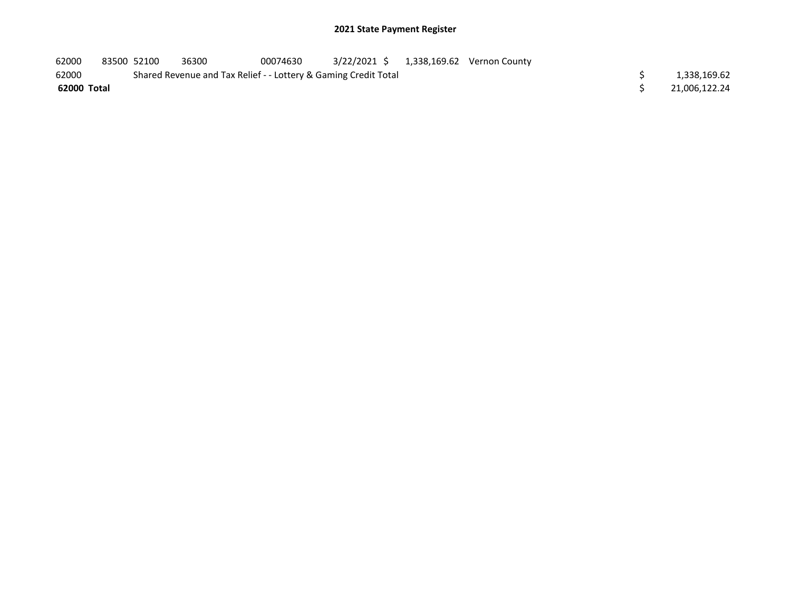| 62000       | 83500 52100 | 36300                                                           | 00074630 |  | 3/22/2021 \$ 1,338,169.62 Vernon County |  |               |
|-------------|-------------|-----------------------------------------------------------------|----------|--|-----------------------------------------|--|---------------|
| 62000       |             | Shared Revenue and Tax Relief - - Lottery & Gaming Credit Total |          |  |                                         |  | 1,338,169.62  |
| 62000 Total |             |                                                                 |          |  |                                         |  | 21.006.122.24 |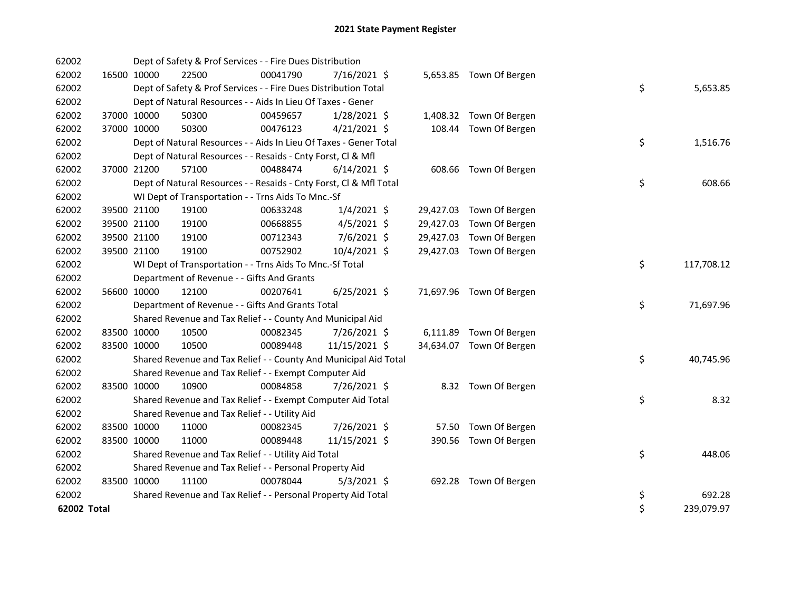| 62002       |             | Dept of Safety & Prof Services - - Fire Dues Distribution          |          |                |       |                          |    |            |
|-------------|-------------|--------------------------------------------------------------------|----------|----------------|-------|--------------------------|----|------------|
| 62002       | 16500 10000 | 22500                                                              | 00041790 | $7/16/2021$ \$ |       | 5,653.85 Town Of Bergen  |    |            |
| 62002       |             | Dept of Safety & Prof Services - - Fire Dues Distribution Total    |          |                |       |                          | \$ | 5,653.85   |
| 62002       |             | Dept of Natural Resources - - Aids In Lieu Of Taxes - Gener        |          |                |       |                          |    |            |
| 62002       | 37000 10000 | 50300                                                              | 00459657 | $1/28/2021$ \$ |       | 1,408.32 Town Of Bergen  |    |            |
| 62002       | 37000 10000 | 50300                                                              | 00476123 | $4/21/2021$ \$ |       | 108.44 Town Of Bergen    |    |            |
| 62002       |             | Dept of Natural Resources - - Aids In Lieu Of Taxes - Gener Total  |          |                |       |                          | \$ | 1,516.76   |
| 62002       |             | Dept of Natural Resources - - Resaids - Cnty Forst, Cl & Mfl       |          |                |       |                          |    |            |
| 62002       | 37000 21200 | 57100                                                              | 00488474 | $6/14/2021$ \$ |       | 608.66 Town Of Bergen    |    |            |
| 62002       |             | Dept of Natural Resources - - Resaids - Cnty Forst, Cl & Mfl Total |          |                |       |                          | \$ | 608.66     |
| 62002       |             | WI Dept of Transportation - - Trns Aids To Mnc.-Sf                 |          |                |       |                          |    |            |
| 62002       | 39500 21100 | 19100                                                              | 00633248 | $1/4/2021$ \$  |       | 29,427.03 Town Of Bergen |    |            |
| 62002       | 39500 21100 | 19100                                                              | 00668855 | $4/5/2021$ \$  |       | 29,427.03 Town Of Bergen |    |            |
| 62002       | 39500 21100 | 19100                                                              | 00712343 | 7/6/2021 \$    |       | 29,427.03 Town Of Bergen |    |            |
| 62002       | 39500 21100 | 19100                                                              | 00752902 | 10/4/2021 \$   |       | 29,427.03 Town Of Bergen |    |            |
| 62002       |             | WI Dept of Transportation - - Trns Aids To Mnc.-Sf Total           |          |                |       |                          | \$ | 117,708.12 |
| 62002       |             | Department of Revenue - - Gifts And Grants                         |          |                |       |                          |    |            |
| 62002       | 56600 10000 | 12100                                                              | 00207641 | $6/25/2021$ \$ |       | 71,697.96 Town Of Bergen |    |            |
| 62002       |             | Department of Revenue - - Gifts And Grants Total                   |          |                |       |                          | \$ | 71,697.96  |
| 62002       |             | Shared Revenue and Tax Relief - - County And Municipal Aid         |          |                |       |                          |    |            |
| 62002       | 83500 10000 | 10500                                                              | 00082345 | 7/26/2021 \$   |       | 6,111.89 Town Of Bergen  |    |            |
| 62002       | 83500 10000 | 10500                                                              | 00089448 | 11/15/2021 \$  |       | 34,634.07 Town Of Bergen |    |            |
| 62002       |             | Shared Revenue and Tax Relief - - County And Municipal Aid Total   |          |                |       |                          | \$ | 40,745.96  |
| 62002       |             | Shared Revenue and Tax Relief - - Exempt Computer Aid              |          |                |       |                          |    |            |
| 62002       | 83500 10000 | 10900                                                              | 00084858 | 7/26/2021 \$   |       | 8.32 Town Of Bergen      |    |            |
| 62002       |             | Shared Revenue and Tax Relief - - Exempt Computer Aid Total        |          |                |       |                          | \$ | 8.32       |
| 62002       |             | Shared Revenue and Tax Relief - - Utility Aid                      |          |                |       |                          |    |            |
| 62002       | 83500 10000 | 11000                                                              | 00082345 | 7/26/2021 \$   | 57.50 | Town Of Bergen           |    |            |
| 62002       | 83500 10000 | 11000                                                              | 00089448 | 11/15/2021 \$  |       | 390.56 Town Of Bergen    |    |            |
| 62002       |             | Shared Revenue and Tax Relief - - Utility Aid Total                |          |                |       |                          | \$ | 448.06     |
| 62002       |             | Shared Revenue and Tax Relief - - Personal Property Aid            |          |                |       |                          |    |            |
| 62002       | 83500 10000 | 11100                                                              | 00078044 | $5/3/2021$ \$  |       | 692.28 Town Of Bergen    |    |            |
| 62002       |             | Shared Revenue and Tax Relief - - Personal Property Aid Total      |          |                |       |                          | \$ | 692.28     |
| 62002 Total |             |                                                                    |          |                |       |                          | \$ | 239,079.97 |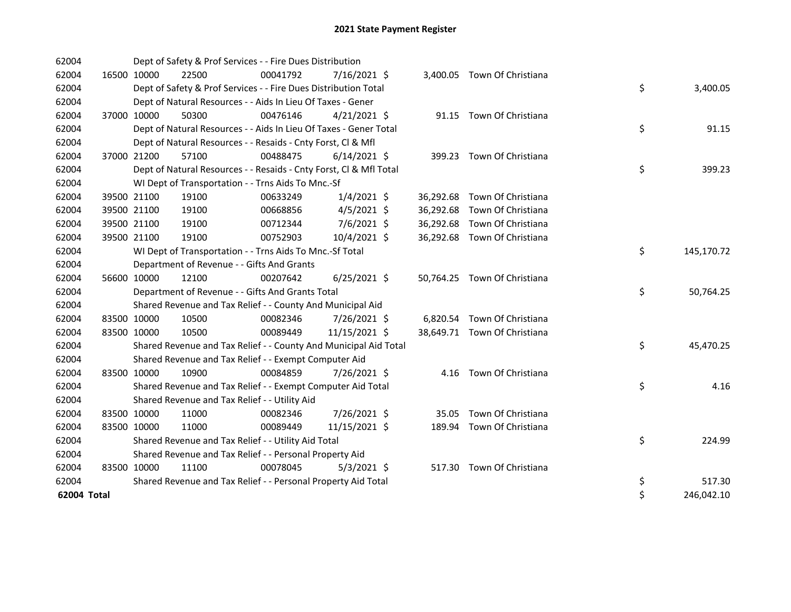| 62004       |             | Dept of Safety & Prof Services - - Fire Dues Distribution          |          |                |  |                              |    |            |
|-------------|-------------|--------------------------------------------------------------------|----------|----------------|--|------------------------------|----|------------|
| 62004       | 16500 10000 | 22500                                                              | 00041792 | 7/16/2021 \$   |  | 3,400.05 Town Of Christiana  |    |            |
| 62004       |             | Dept of Safety & Prof Services - - Fire Dues Distribution Total    |          |                |  |                              | \$ | 3,400.05   |
| 62004       |             | Dept of Natural Resources - - Aids In Lieu Of Taxes - Gener        |          |                |  |                              |    |            |
| 62004       | 37000 10000 | 50300                                                              | 00476146 | $4/21/2021$ \$ |  | 91.15 Town Of Christiana     |    |            |
| 62004       |             | Dept of Natural Resources - - Aids In Lieu Of Taxes - Gener Total  |          |                |  |                              | \$ | 91.15      |
| 62004       |             | Dept of Natural Resources - - Resaids - Cnty Forst, Cl & Mfl       |          |                |  |                              |    |            |
| 62004       | 37000 21200 | 57100                                                              | 00488475 | $6/14/2021$ \$ |  | 399.23 Town Of Christiana    |    |            |
| 62004       |             | Dept of Natural Resources - - Resaids - Cnty Forst, Cl & Mfl Total |          |                |  |                              | \$ | 399.23     |
| 62004       |             | WI Dept of Transportation - - Trns Aids To Mnc.-Sf                 |          |                |  |                              |    |            |
| 62004       | 39500 21100 | 19100                                                              | 00633249 | $1/4/2021$ \$  |  | 36,292.68 Town Of Christiana |    |            |
| 62004       | 39500 21100 | 19100                                                              | 00668856 | $4/5/2021$ \$  |  | 36,292.68 Town Of Christiana |    |            |
| 62004       | 39500 21100 | 19100                                                              | 00712344 | 7/6/2021 \$    |  | 36,292.68 Town Of Christiana |    |            |
| 62004       | 39500 21100 | 19100                                                              | 00752903 | 10/4/2021 \$   |  | 36,292.68 Town Of Christiana |    |            |
| 62004       |             | WI Dept of Transportation - - Trns Aids To Mnc.-Sf Total           |          |                |  |                              | \$ | 145,170.72 |
| 62004       |             | Department of Revenue - - Gifts And Grants                         |          |                |  |                              |    |            |
| 62004       | 56600 10000 | 12100                                                              | 00207642 | $6/25/2021$ \$ |  | 50,764.25 Town Of Christiana |    |            |
| 62004       |             | Department of Revenue - - Gifts And Grants Total                   |          |                |  |                              | \$ | 50,764.25  |
| 62004       |             | Shared Revenue and Tax Relief - - County And Municipal Aid         |          |                |  |                              |    |            |
| 62004       | 83500 10000 | 10500                                                              | 00082346 | 7/26/2021 \$   |  | 6,820.54 Town Of Christiana  |    |            |
| 62004       | 83500 10000 | 10500                                                              | 00089449 | 11/15/2021 \$  |  | 38,649.71 Town Of Christiana |    |            |
| 62004       |             | Shared Revenue and Tax Relief - - County And Municipal Aid Total   |          |                |  |                              | \$ | 45,470.25  |
| 62004       |             | Shared Revenue and Tax Relief - - Exempt Computer Aid              |          |                |  |                              |    |            |
| 62004       | 83500 10000 | 10900                                                              | 00084859 | 7/26/2021 \$   |  | 4.16 Town Of Christiana      |    |            |
| 62004       |             | Shared Revenue and Tax Relief - - Exempt Computer Aid Total        |          |                |  |                              | \$ | 4.16       |
| 62004       |             | Shared Revenue and Tax Relief - - Utility Aid                      |          |                |  |                              |    |            |
| 62004       | 83500 10000 | 11000                                                              | 00082346 | 7/26/2021 \$   |  | 35.05 Town Of Christiana     |    |            |
| 62004       | 83500 10000 | 11000                                                              | 00089449 | 11/15/2021 \$  |  | 189.94 Town Of Christiana    |    |            |
| 62004       |             | Shared Revenue and Tax Relief - - Utility Aid Total                |          |                |  |                              | \$ | 224.99     |
| 62004       |             | Shared Revenue and Tax Relief - - Personal Property Aid            |          |                |  |                              |    |            |
| 62004       | 83500 10000 | 11100                                                              | 00078045 | $5/3/2021$ \$  |  | 517.30 Town Of Christiana    |    |            |
| 62004       |             | Shared Revenue and Tax Relief - - Personal Property Aid Total      |          |                |  |                              | \$ | 517.30     |
| 62004 Total |             |                                                                    |          |                |  |                              | \$ | 246,042.10 |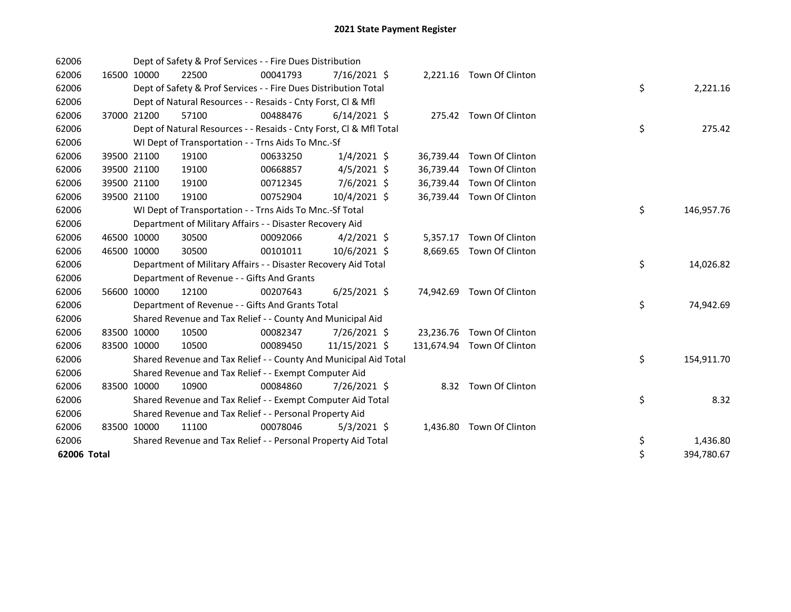| 62006       |             |             | Dept of Safety & Prof Services - - Fire Dues Distribution          |          |                |           |                            |    |            |
|-------------|-------------|-------------|--------------------------------------------------------------------|----------|----------------|-----------|----------------------------|----|------------|
| 62006       |             | 16500 10000 | 22500                                                              | 00041793 | $7/16/2021$ \$ |           | 2,221.16 Town Of Clinton   |    |            |
| 62006       |             |             | Dept of Safety & Prof Services - - Fire Dues Distribution Total    |          |                |           |                            | \$ | 2,221.16   |
| 62006       |             |             | Dept of Natural Resources - - Resaids - Cnty Forst, Cl & Mfl       |          |                |           |                            |    |            |
| 62006       |             | 37000 21200 | 57100                                                              | 00488476 | $6/14/2021$ \$ |           | 275.42 Town Of Clinton     |    |            |
| 62006       |             |             | Dept of Natural Resources - - Resaids - Cnty Forst, CI & Mfl Total |          |                |           |                            | \$ | 275.42     |
| 62006       |             |             | WI Dept of Transportation - - Trns Aids To Mnc.-Sf                 |          |                |           |                            |    |            |
| 62006       |             | 39500 21100 | 19100                                                              | 00633250 | $1/4/2021$ \$  |           | 36,739.44 Town Of Clinton  |    |            |
| 62006       |             | 39500 21100 | 19100                                                              | 00668857 | $4/5/2021$ \$  | 36,739.44 | Town Of Clinton            |    |            |
| 62006       |             | 39500 21100 | 19100                                                              | 00712345 | 7/6/2021 \$    |           | 36,739.44 Town Of Clinton  |    |            |
| 62006       |             | 39500 21100 | 19100                                                              | 00752904 | 10/4/2021 \$   |           | 36,739.44 Town Of Clinton  |    |            |
| 62006       |             |             | WI Dept of Transportation - - Trns Aids To Mnc.-Sf Total           |          |                |           |                            | \$ | 146,957.76 |
| 62006       |             |             | Department of Military Affairs - - Disaster Recovery Aid           |          |                |           |                            |    |            |
| 62006       | 46500 10000 |             | 30500                                                              | 00092066 | $4/2/2021$ \$  |           | 5,357.17 Town Of Clinton   |    |            |
| 62006       | 46500 10000 |             | 30500                                                              | 00101011 | 10/6/2021 \$   | 8,669.65  | Town Of Clinton            |    |            |
| 62006       |             |             | Department of Military Affairs - - Disaster Recovery Aid Total     |          |                |           |                            | \$ | 14,026.82  |
| 62006       |             |             | Department of Revenue - - Gifts And Grants                         |          |                |           |                            |    |            |
| 62006       |             | 56600 10000 | 12100                                                              | 00207643 | $6/25/2021$ \$ |           | 74,942.69 Town Of Clinton  |    |            |
| 62006       |             |             | Department of Revenue - - Gifts And Grants Total                   |          |                |           |                            | \$ | 74,942.69  |
| 62006       |             |             | Shared Revenue and Tax Relief - - County And Municipal Aid         |          |                |           |                            |    |            |
| 62006       | 83500 10000 |             | 10500                                                              | 00082347 | 7/26/2021 \$   |           | 23,236.76 Town Of Clinton  |    |            |
| 62006       | 83500 10000 |             | 10500                                                              | 00089450 | 11/15/2021 \$  |           | 131,674.94 Town Of Clinton |    |            |
| 62006       |             |             | Shared Revenue and Tax Relief - - County And Municipal Aid Total   |          |                |           |                            | \$ | 154,911.70 |
| 62006       |             |             | Shared Revenue and Tax Relief - - Exempt Computer Aid              |          |                |           |                            |    |            |
| 62006       | 83500 10000 |             | 10900                                                              | 00084860 | 7/26/2021 \$   |           | 8.32 Town Of Clinton       |    |            |
| 62006       |             |             | Shared Revenue and Tax Relief - - Exempt Computer Aid Total        |          |                |           |                            | \$ | 8.32       |
| 62006       |             |             | Shared Revenue and Tax Relief - - Personal Property Aid            |          |                |           |                            |    |            |
| 62006       | 83500 10000 |             | 11100                                                              | 00078046 | $5/3/2021$ \$  | 1,436.80  | Town Of Clinton            |    |            |
| 62006       |             |             | Shared Revenue and Tax Relief - - Personal Property Aid Total      |          |                |           |                            | \$ | 1,436.80   |
| 62006 Total |             |             |                                                                    |          |                |           |                            | \$ | 394,780.67 |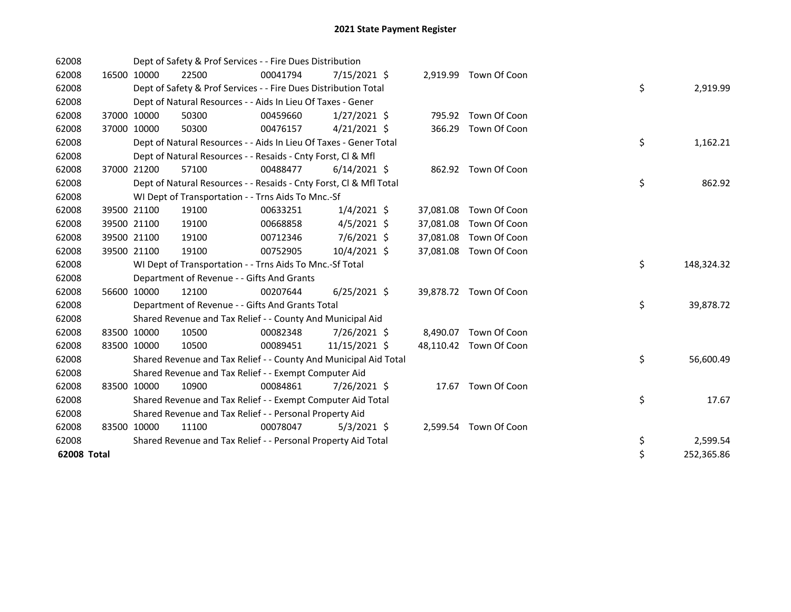| 62008       |             |             | Dept of Safety & Prof Services - - Fire Dues Distribution          |          |                |           |                        |    |            |
|-------------|-------------|-------------|--------------------------------------------------------------------|----------|----------------|-----------|------------------------|----|------------|
| 62008       |             | 16500 10000 | 22500                                                              | 00041794 | $7/15/2021$ \$ |           | 2,919.99 Town Of Coon  |    |            |
| 62008       |             |             | Dept of Safety & Prof Services - - Fire Dues Distribution Total    |          |                |           |                        | \$ | 2,919.99   |
| 62008       |             |             | Dept of Natural Resources - - Aids In Lieu Of Taxes - Gener        |          |                |           |                        |    |            |
| 62008       |             | 37000 10000 | 50300                                                              | 00459660 | $1/27/2021$ \$ | 795.92    | Town Of Coon           |    |            |
| 62008       |             | 37000 10000 | 50300                                                              | 00476157 | $4/21/2021$ \$ | 366.29    | Town Of Coon           |    |            |
| 62008       |             |             | Dept of Natural Resources - - Aids In Lieu Of Taxes - Gener Total  |          |                |           |                        | \$ | 1,162.21   |
| 62008       |             |             | Dept of Natural Resources - - Resaids - Cnty Forst, Cl & Mfl       |          |                |           |                        |    |            |
| 62008       |             | 37000 21200 | 57100                                                              | 00488477 | $6/14/2021$ \$ |           | 862.92 Town Of Coon    |    |            |
| 62008       |             |             | Dept of Natural Resources - - Resaids - Cnty Forst, Cl & Mfl Total |          |                |           |                        | \$ | 862.92     |
| 62008       |             |             | WI Dept of Transportation - - Trns Aids To Mnc.-Sf                 |          |                |           |                        |    |            |
| 62008       |             | 39500 21100 | 19100                                                              | 00633251 | $1/4/2021$ \$  | 37,081.08 | Town Of Coon           |    |            |
| 62008       |             | 39500 21100 | 19100                                                              | 00668858 | $4/5/2021$ \$  | 37,081.08 | Town Of Coon           |    |            |
| 62008       |             | 39500 21100 | 19100                                                              | 00712346 | $7/6/2021$ \$  | 37,081.08 | Town Of Coon           |    |            |
| 62008       |             | 39500 21100 | 19100                                                              | 00752905 | 10/4/2021 \$   | 37,081.08 | Town Of Coon           |    |            |
| 62008       |             |             | WI Dept of Transportation - - Trns Aids To Mnc.-Sf Total           |          |                |           |                        | \$ | 148,324.32 |
| 62008       |             |             | Department of Revenue - - Gifts And Grants                         |          |                |           |                        |    |            |
| 62008       |             | 56600 10000 | 12100                                                              | 00207644 | $6/25/2021$ \$ |           | 39,878.72 Town Of Coon |    |            |
| 62008       |             |             | Department of Revenue - - Gifts And Grants Total                   |          |                |           |                        | \$ | 39,878.72  |
| 62008       |             |             | Shared Revenue and Tax Relief - - County And Municipal Aid         |          |                |           |                        |    |            |
| 62008       | 83500 10000 |             | 10500                                                              | 00082348 | 7/26/2021 \$   |           | 8,490.07 Town Of Coon  |    |            |
| 62008       | 83500 10000 |             | 10500                                                              | 00089451 | 11/15/2021 \$  |           | 48,110.42 Town Of Coon |    |            |
| 62008       |             |             | Shared Revenue and Tax Relief - - County And Municipal Aid Total   |          |                |           |                        | \$ | 56,600.49  |
| 62008       |             |             | Shared Revenue and Tax Relief - - Exempt Computer Aid              |          |                |           |                        |    |            |
| 62008       | 83500 10000 |             | 10900                                                              | 00084861 | 7/26/2021 \$   |           | 17.67 Town Of Coon     |    |            |
| 62008       |             |             | Shared Revenue and Tax Relief - - Exempt Computer Aid Total        |          |                |           |                        | \$ | 17.67      |
| 62008       |             |             | Shared Revenue and Tax Relief - - Personal Property Aid            |          |                |           |                        |    |            |
| 62008       | 83500 10000 |             | 11100                                                              | 00078047 | $5/3/2021$ \$  |           | 2,599.54 Town Of Coon  |    |            |
| 62008       |             |             | Shared Revenue and Tax Relief - - Personal Property Aid Total      |          |                |           |                        | \$ | 2,599.54   |
| 62008 Total |             |             |                                                                    |          |                |           |                        | \$ | 252,365.86 |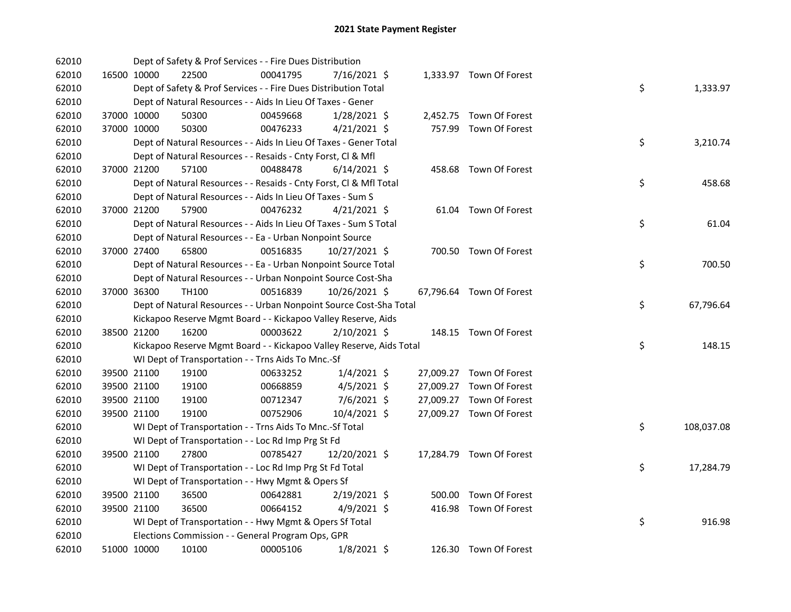| 62010 |             | Dept of Safety & Prof Services - - Fire Dues Distribution           |          |                |           |                          |    |            |
|-------|-------------|---------------------------------------------------------------------|----------|----------------|-----------|--------------------------|----|------------|
| 62010 | 16500 10000 | 22500                                                               | 00041795 | 7/16/2021 \$   |           | 1,333.97 Town Of Forest  |    |            |
| 62010 |             | Dept of Safety & Prof Services - - Fire Dues Distribution Total     |          |                |           |                          | \$ | 1,333.97   |
| 62010 |             | Dept of Natural Resources - - Aids In Lieu Of Taxes - Gener         |          |                |           |                          |    |            |
| 62010 | 37000 10000 | 50300                                                               | 00459668 | $1/28/2021$ \$ |           | 2,452.75 Town Of Forest  |    |            |
| 62010 | 37000 10000 | 50300                                                               | 00476233 | $4/21/2021$ \$ |           | 757.99 Town Of Forest    |    |            |
| 62010 |             | Dept of Natural Resources - - Aids In Lieu Of Taxes - Gener Total   |          |                |           |                          | \$ | 3,210.74   |
| 62010 |             | Dept of Natural Resources - - Resaids - Cnty Forst, Cl & Mfl        |          |                |           |                          |    |            |
| 62010 | 37000 21200 | 57100                                                               | 00488478 | $6/14/2021$ \$ |           | 458.68 Town Of Forest    |    |            |
| 62010 |             | Dept of Natural Resources - - Resaids - Cnty Forst, CI & Mfl Total  |          |                |           |                          | \$ | 458.68     |
| 62010 |             | Dept of Natural Resources - - Aids In Lieu Of Taxes - Sum S         |          |                |           |                          |    |            |
| 62010 | 37000 21200 | 57900                                                               | 00476232 | $4/21/2021$ \$ |           | 61.04 Town Of Forest     |    |            |
| 62010 |             | Dept of Natural Resources - - Aids In Lieu Of Taxes - Sum S Total   |          |                |           |                          | \$ | 61.04      |
| 62010 |             | Dept of Natural Resources - - Ea - Urban Nonpoint Source            |          |                |           |                          |    |            |
| 62010 | 37000 27400 | 65800                                                               | 00516835 | 10/27/2021 \$  |           | 700.50 Town Of Forest    |    |            |
| 62010 |             | Dept of Natural Resources - - Ea - Urban Nonpoint Source Total      |          |                |           |                          | \$ | 700.50     |
| 62010 |             | Dept of Natural Resources - - Urban Nonpoint Source Cost-Sha        |          |                |           |                          |    |            |
| 62010 | 37000 36300 | TH100                                                               | 00516839 | 10/26/2021 \$  |           | 67,796.64 Town Of Forest |    |            |
| 62010 |             | Dept of Natural Resources - - Urban Nonpoint Source Cost-Sha Total  |          |                |           |                          | \$ | 67,796.64  |
| 62010 |             | Kickapoo Reserve Mgmt Board - - Kickapoo Valley Reserve, Aids       |          |                |           |                          |    |            |
| 62010 | 38500 21200 | 16200                                                               | 00003622 | 2/10/2021 \$   |           | 148.15 Town Of Forest    |    |            |
| 62010 |             | Kickapoo Reserve Mgmt Board - - Kickapoo Valley Reserve, Aids Total |          |                |           |                          | \$ | 148.15     |
| 62010 |             | WI Dept of Transportation - - Trns Aids To Mnc.-Sf                  |          |                |           |                          |    |            |
| 62010 | 39500 21100 | 19100                                                               | 00633252 | $1/4/2021$ \$  |           | 27,009.27 Town Of Forest |    |            |
| 62010 | 39500 21100 | 19100                                                               | 00668859 | $4/5/2021$ \$  | 27,009.27 | Town Of Forest           |    |            |
| 62010 | 39500 21100 | 19100                                                               | 00712347 | 7/6/2021 \$    |           | 27,009.27 Town Of Forest |    |            |
| 62010 | 39500 21100 | 19100                                                               | 00752906 | 10/4/2021 \$   |           | 27,009.27 Town Of Forest |    |            |
| 62010 |             | WI Dept of Transportation - - Trns Aids To Mnc.-Sf Total            |          |                |           |                          | \$ | 108,037.08 |
| 62010 |             | WI Dept of Transportation - - Loc Rd Imp Prg St Fd                  |          |                |           |                          |    |            |
| 62010 | 39500 21100 | 27800                                                               | 00785427 | 12/20/2021 \$  |           | 17,284.79 Town Of Forest |    |            |
| 62010 |             | WI Dept of Transportation - - Loc Rd Imp Prg St Fd Total            |          |                |           |                          | \$ | 17,284.79  |
| 62010 |             | WI Dept of Transportation - - Hwy Mgmt & Opers Sf                   |          |                |           |                          |    |            |
| 62010 | 39500 21100 | 36500                                                               | 00642881 | $2/19/2021$ \$ |           | 500.00 Town Of Forest    |    |            |
| 62010 | 39500 21100 | 36500                                                               | 00664152 | $4/9/2021$ \$  |           | 416.98 Town Of Forest    |    |            |
| 62010 |             | WI Dept of Transportation - - Hwy Mgmt & Opers Sf Total             |          |                |           |                          | \$ | 916.98     |
| 62010 |             | Elections Commission - - General Program Ops, GPR                   |          |                |           |                          |    |            |
| 62010 | 51000 10000 | 10100                                                               | 00005106 | $1/8/2021$ \$  |           | 126.30 Town Of Forest    |    |            |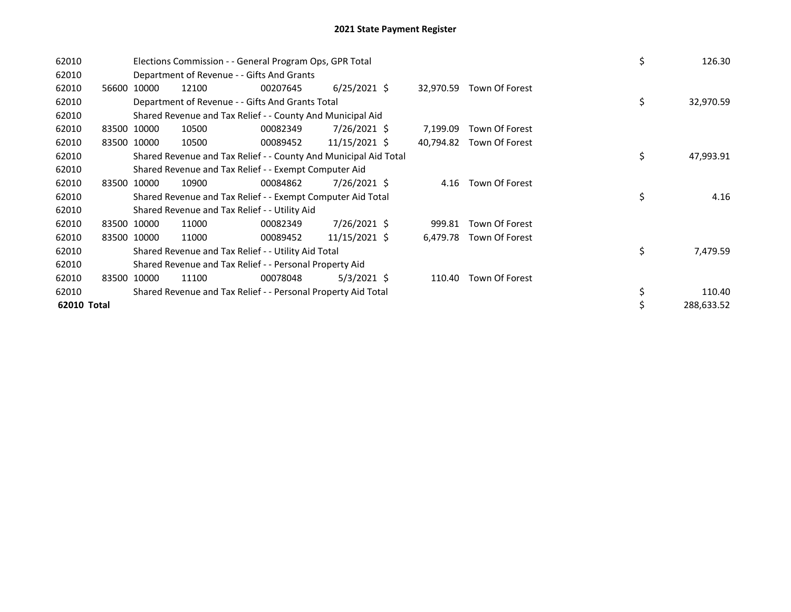| 62010       |             |       | Elections Commission - - General Program Ops, GPR Total                                                                   |          | \$             | 126.30    |           |                |  |    |            |
|-------------|-------------|-------|---------------------------------------------------------------------------------------------------------------------------|----------|----------------|-----------|-----------|----------------|--|----|------------|
| 62010       |             |       | Department of Revenue - - Gifts And Grants                                                                                |          |                |           |           |                |  |    |            |
| 62010       | 56600       | 10000 | 12100                                                                                                                     | 00207645 | $6/25/2021$ \$ |           | 32,970.59 | Town Of Forest |  |    |            |
| 62010       |             |       | Department of Revenue - - Gifts And Grants Total                                                                          |          |                |           |           |                |  | \$ | 32,970.59  |
| 62010       |             |       | Shared Revenue and Tax Relief - - County And Municipal Aid                                                                |          |                |           |           |                |  |    |            |
| 62010       | 83500 10000 |       | 10500                                                                                                                     | 00082349 | $7/26/2021$ \$ |           | 7,199.09  | Town Of Forest |  |    |            |
| 62010       | 83500 10000 |       | 10500                                                                                                                     | 00089452 | 11/15/2021 \$  |           | 40,794.82 | Town Of Forest |  |    |            |
| 62010       |             |       |                                                                                                                           |          | \$             | 47,993.91 |           |                |  |    |            |
| 62010       |             |       | Shared Revenue and Tax Relief - - County And Municipal Aid Total<br>Shared Revenue and Tax Relief - - Exempt Computer Aid |          |                |           |           |                |  |    |            |
| 62010       | 83500 10000 |       | 10900                                                                                                                     | 00084862 | 7/26/2021 \$   |           | 4.16      | Town Of Forest |  |    |            |
| 62010       |             |       | Shared Revenue and Tax Relief - - Exempt Computer Aid Total                                                               |          |                |           |           |                |  | \$ | 4.16       |
| 62010       |             |       | Shared Revenue and Tax Relief - - Utility Aid                                                                             |          |                |           |           |                |  |    |            |
| 62010       | 83500 10000 |       | 11000                                                                                                                     | 00082349 | $7/26/2021$ \$ |           | 999.81    | Town Of Forest |  |    |            |
| 62010       | 83500 10000 |       | 11000                                                                                                                     | 00089452 | 11/15/2021 \$  |           | 6,479.78  | Town Of Forest |  |    |            |
| 62010       |             |       | Shared Revenue and Tax Relief - - Utility Aid Total                                                                       |          |                |           |           |                |  | \$ | 7,479.59   |
| 62010       |             |       | Shared Revenue and Tax Relief - - Personal Property Aid                                                                   |          |                |           |           |                |  |    |            |
| 62010       | 83500       | 10000 | 11100                                                                                                                     | 00078048 | $5/3/2021$ \$  |           | 110.40    | Town Of Forest |  |    |            |
| 62010       |             |       | Shared Revenue and Tax Relief - - Personal Property Aid Total                                                             |          |                |           |           |                |  | \$ | 110.40     |
| 62010 Total |             |       |                                                                                                                           |          |                |           |           |                |  | \$ | 288,633.52 |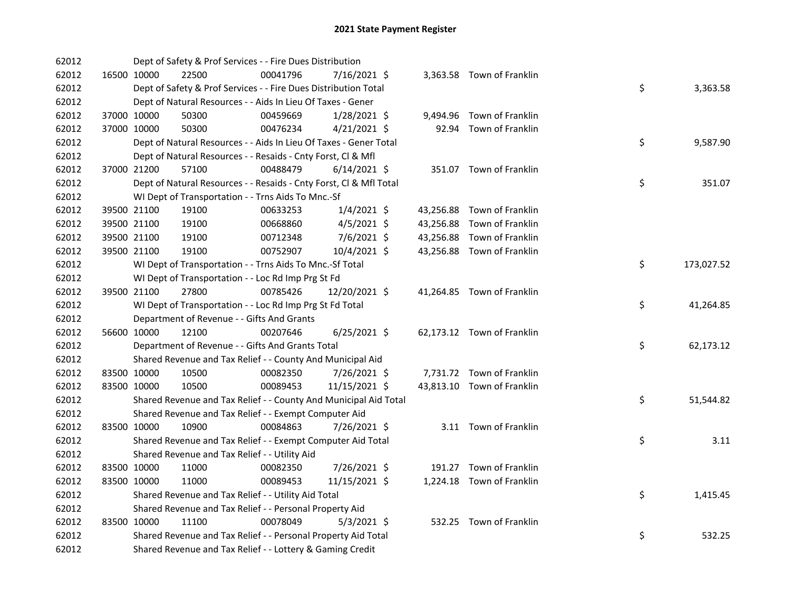| 62012 |             |             | Dept of Safety & Prof Services - - Fire Dues Distribution          |          |                |  |                            |    |            |
|-------|-------------|-------------|--------------------------------------------------------------------|----------|----------------|--|----------------------------|----|------------|
| 62012 |             | 16500 10000 | 22500                                                              | 00041796 | 7/16/2021 \$   |  | 3,363.58 Town of Franklin  |    |            |
| 62012 |             |             | Dept of Safety & Prof Services - - Fire Dues Distribution Total    |          |                |  |                            | \$ | 3,363.58   |
| 62012 |             |             | Dept of Natural Resources - - Aids In Lieu Of Taxes - Gener        |          |                |  |                            |    |            |
| 62012 |             | 37000 10000 | 50300                                                              | 00459669 | $1/28/2021$ \$ |  | 9,494.96 Town of Franklin  |    |            |
| 62012 |             | 37000 10000 | 50300                                                              | 00476234 | $4/21/2021$ \$ |  | 92.94 Town of Franklin     |    |            |
| 62012 |             |             | Dept of Natural Resources - - Aids In Lieu Of Taxes - Gener Total  |          |                |  |                            | \$ | 9,587.90   |
| 62012 |             |             | Dept of Natural Resources - - Resaids - Cnty Forst, Cl & Mfl       |          |                |  |                            |    |            |
| 62012 | 37000 21200 |             | 57100                                                              | 00488479 | $6/14/2021$ \$ |  | 351.07 Town of Franklin    |    |            |
| 62012 |             |             | Dept of Natural Resources - - Resaids - Cnty Forst, Cl & Mfl Total |          |                |  |                            | \$ | 351.07     |
| 62012 |             |             | WI Dept of Transportation - - Trns Aids To Mnc.-Sf                 |          |                |  |                            |    |            |
| 62012 |             | 39500 21100 | 19100                                                              | 00633253 | $1/4/2021$ \$  |  | 43,256.88 Town of Franklin |    |            |
| 62012 |             | 39500 21100 | 19100                                                              | 00668860 | $4/5/2021$ \$  |  | 43,256.88 Town of Franklin |    |            |
| 62012 |             | 39500 21100 | 19100                                                              | 00712348 | 7/6/2021 \$    |  | 43,256.88 Town of Franklin |    |            |
| 62012 |             | 39500 21100 | 19100                                                              | 00752907 | 10/4/2021 \$   |  | 43,256.88 Town of Franklin |    |            |
| 62012 |             |             | WI Dept of Transportation - - Trns Aids To Mnc.-Sf Total           |          |                |  |                            | \$ | 173,027.52 |
| 62012 |             |             | WI Dept of Transportation - - Loc Rd Imp Prg St Fd                 |          |                |  |                            |    |            |
| 62012 | 39500 21100 |             | 27800                                                              | 00785426 | 12/20/2021 \$  |  | 41,264.85 Town of Franklin |    |            |
| 62012 |             |             | WI Dept of Transportation - - Loc Rd Imp Prg St Fd Total           |          |                |  |                            | \$ | 41,264.85  |
| 62012 |             |             | Department of Revenue - - Gifts And Grants                         |          |                |  |                            |    |            |
| 62012 |             | 56600 10000 | 12100                                                              | 00207646 | $6/25/2021$ \$ |  | 62,173.12 Town of Franklin |    |            |
| 62012 |             |             | Department of Revenue - - Gifts And Grants Total                   |          |                |  |                            | \$ | 62,173.12  |
| 62012 |             |             | Shared Revenue and Tax Relief - - County And Municipal Aid         |          |                |  |                            |    |            |
| 62012 |             | 83500 10000 | 10500                                                              | 00082350 | 7/26/2021 \$   |  | 7,731.72 Town of Franklin  |    |            |
| 62012 |             | 83500 10000 | 10500                                                              | 00089453 | 11/15/2021 \$  |  | 43,813.10 Town of Franklin |    |            |
| 62012 |             |             | Shared Revenue and Tax Relief - - County And Municipal Aid Total   |          |                |  |                            | \$ | 51,544.82  |
| 62012 |             |             | Shared Revenue and Tax Relief - - Exempt Computer Aid              |          |                |  |                            |    |            |
| 62012 |             | 83500 10000 | 10900                                                              | 00084863 | 7/26/2021 \$   |  | 3.11 Town of Franklin      |    |            |
| 62012 |             |             | Shared Revenue and Tax Relief - - Exempt Computer Aid Total        |          |                |  |                            | \$ | 3.11       |
| 62012 |             |             | Shared Revenue and Tax Relief - - Utility Aid                      |          |                |  |                            |    |            |
| 62012 |             | 83500 10000 | 11000                                                              | 00082350 | 7/26/2021 \$   |  | 191.27 Town of Franklin    |    |            |
| 62012 |             | 83500 10000 | 11000                                                              | 00089453 | 11/15/2021 \$  |  | 1,224.18 Town of Franklin  |    |            |
| 62012 |             |             | Shared Revenue and Tax Relief - - Utility Aid Total                |          |                |  |                            | \$ | 1,415.45   |
| 62012 |             |             | Shared Revenue and Tax Relief - - Personal Property Aid            |          |                |  |                            |    |            |
| 62012 |             | 83500 10000 | 11100                                                              | 00078049 | $5/3/2021$ \$  |  | 532.25 Town of Franklin    |    |            |
| 62012 |             |             | Shared Revenue and Tax Relief - - Personal Property Aid Total      |          |                |  |                            | \$ | 532.25     |
| 62012 |             |             | Shared Revenue and Tax Relief - - Lottery & Gaming Credit          |          |                |  |                            |    |            |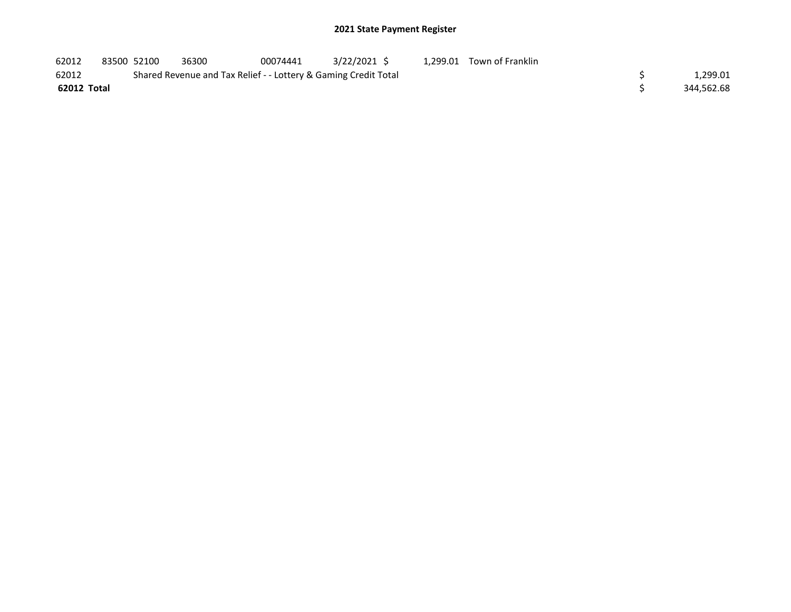| 62012       | 83500 52100 | 36300                                                           | 00074441 | 3/22/2021 \$ |  | 1,299.01 Town of Franklin |  |            |
|-------------|-------------|-----------------------------------------------------------------|----------|--------------|--|---------------------------|--|------------|
| 62012       |             | Shared Revenue and Tax Relief - - Lottery & Gaming Credit Total |          |              |  |                           |  | 1,299.01   |
| 62012 Total |             |                                                                 |          |              |  |                           |  | 344,562.68 |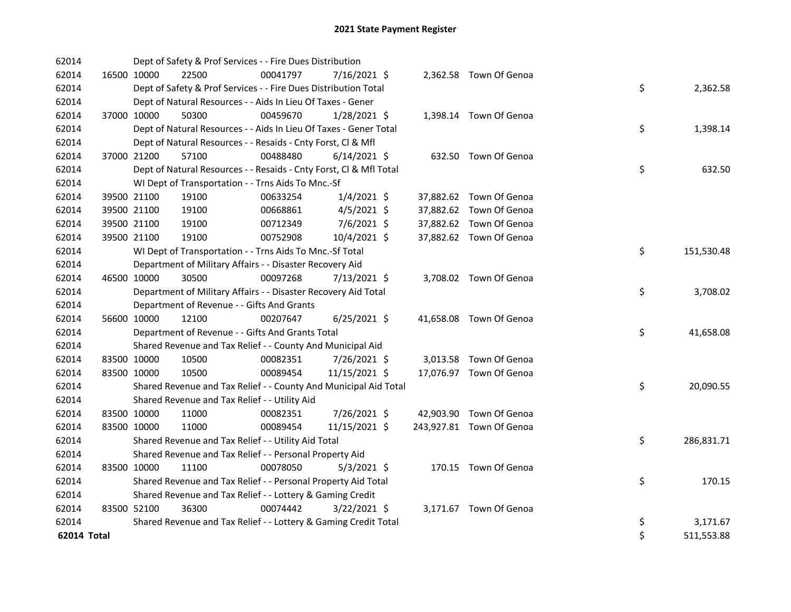| 62014       |             |                      | Dept of Safety & Prof Services - - Fire Dues Distribution          |                |                          |                  |
|-------------|-------------|----------------------|--------------------------------------------------------------------|----------------|--------------------------|------------------|
| 62014       |             | 16500 10000<br>22500 | 00041797                                                           | 7/16/2021 \$   | 2,362.58 Town Of Genoa   |                  |
| 62014       |             |                      | Dept of Safety & Prof Services - - Fire Dues Distribution Total    |                |                          | \$<br>2,362.58   |
| 62014       |             |                      | Dept of Natural Resources - - Aids In Lieu Of Taxes - Gener        |                |                          |                  |
| 62014       |             | 37000 10000<br>50300 | 00459670                                                           | $1/28/2021$ \$ | 1,398.14 Town Of Genoa   |                  |
| 62014       |             |                      | Dept of Natural Resources - - Aids In Lieu Of Taxes - Gener Total  |                |                          | \$<br>1,398.14   |
| 62014       |             |                      | Dept of Natural Resources - - Resaids - Cnty Forst, Cl & Mfl       |                |                          |                  |
| 62014       |             | 37000 21200<br>57100 | 00488480                                                           | $6/14/2021$ \$ | 632.50 Town Of Genoa     |                  |
| 62014       |             |                      | Dept of Natural Resources - - Resaids - Cnty Forst, Cl & Mfl Total |                |                          | \$<br>632.50     |
| 62014       |             |                      | WI Dept of Transportation - - Trns Aids To Mnc.-Sf                 |                |                          |                  |
| 62014       |             | 39500 21100<br>19100 | 00633254                                                           | $1/4/2021$ \$  | 37,882.62 Town Of Genoa  |                  |
| 62014       |             | 39500 21100<br>19100 | 00668861                                                           | $4/5/2021$ \$  | 37,882.62 Town Of Genoa  |                  |
| 62014       |             | 39500 21100<br>19100 | 00712349                                                           | 7/6/2021 \$    | 37,882.62 Town Of Genoa  |                  |
| 62014       |             | 39500 21100<br>19100 | 00752908                                                           | 10/4/2021 \$   | 37,882.62 Town Of Genoa  |                  |
| 62014       |             |                      | WI Dept of Transportation - - Trns Aids To Mnc.-Sf Total           |                |                          | \$<br>151,530.48 |
| 62014       |             |                      | Department of Military Affairs - - Disaster Recovery Aid           |                |                          |                  |
| 62014       |             | 46500 10000<br>30500 | 00097268                                                           | 7/13/2021 \$   | 3,708.02 Town Of Genoa   |                  |
| 62014       |             |                      | Department of Military Affairs - - Disaster Recovery Aid Total     |                |                          | \$<br>3,708.02   |
| 62014       |             |                      | Department of Revenue - - Gifts And Grants                         |                |                          |                  |
| 62014       |             | 56600 10000<br>12100 | 00207647                                                           | $6/25/2021$ \$ | 41,658.08 Town Of Genoa  |                  |
| 62014       |             |                      | Department of Revenue - - Gifts And Grants Total                   |                |                          | \$<br>41,658.08  |
| 62014       |             |                      | Shared Revenue and Tax Relief - - County And Municipal Aid         |                |                          |                  |
| 62014       | 83500 10000 | 10500                | 00082351                                                           | 7/26/2021 \$   | 3,013.58 Town Of Genoa   |                  |
| 62014       | 83500 10000 | 10500                | 00089454                                                           | 11/15/2021 \$  | 17,076.97 Town Of Genoa  |                  |
| 62014       |             |                      | Shared Revenue and Tax Relief - - County And Municipal Aid Total   |                |                          | \$<br>20,090.55  |
| 62014       |             |                      | Shared Revenue and Tax Relief - - Utility Aid                      |                |                          |                  |
| 62014       | 83500 10000 | 11000                | 00082351                                                           | 7/26/2021 \$   | 42,903.90 Town Of Genoa  |                  |
| 62014       |             | 11000<br>83500 10000 | 00089454                                                           | 11/15/2021 \$  | 243,927.81 Town Of Genoa |                  |
| 62014       |             |                      | Shared Revenue and Tax Relief - - Utility Aid Total                |                |                          | \$<br>286,831.71 |
| 62014       |             |                      | Shared Revenue and Tax Relief - - Personal Property Aid            |                |                          |                  |
| 62014       | 83500 10000 | 11100                | 00078050                                                           | $5/3/2021$ \$  | 170.15 Town Of Genoa     |                  |
| 62014       |             |                      | Shared Revenue and Tax Relief - - Personal Property Aid Total      |                |                          | \$<br>170.15     |
| 62014       |             |                      | Shared Revenue and Tax Relief - - Lottery & Gaming Credit          |                |                          |                  |
| 62014       |             | 83500 52100<br>36300 | 00074442                                                           | $3/22/2021$ \$ | 3,171.67 Town Of Genoa   |                  |
| 62014       |             |                      | Shared Revenue and Tax Relief - - Lottery & Gaming Credit Total    |                |                          | \$<br>3,171.67   |
| 62014 Total |             |                      |                                                                    |                |                          | \$<br>511,553.88 |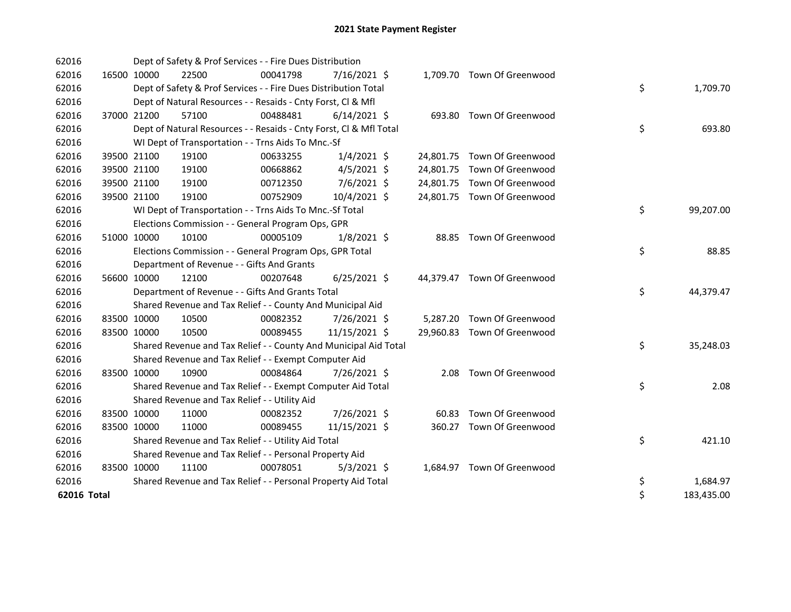| 62016       |             |             | Dept of Safety & Prof Services - - Fire Dues Distribution          |          |                |       |                             |    |            |
|-------------|-------------|-------------|--------------------------------------------------------------------|----------|----------------|-------|-----------------------------|----|------------|
| 62016       | 16500 10000 |             | 22500                                                              | 00041798 | 7/16/2021 \$   |       | 1,709.70 Town Of Greenwood  |    |            |
| 62016       |             |             | Dept of Safety & Prof Services - - Fire Dues Distribution Total    |          |                |       |                             | \$ | 1,709.70   |
| 62016       |             |             | Dept of Natural Resources - - Resaids - Cnty Forst, CI & Mfl       |          |                |       |                             |    |            |
| 62016       |             | 37000 21200 | 57100                                                              | 00488481 | $6/14/2021$ \$ |       | 693.80 Town Of Greenwood    |    |            |
| 62016       |             |             | Dept of Natural Resources - - Resaids - Cnty Forst, Cl & Mfl Total |          |                |       |                             | \$ | 693.80     |
| 62016       |             |             | WI Dept of Transportation - - Trns Aids To Mnc.-Sf                 |          |                |       |                             |    |            |
| 62016       |             | 39500 21100 | 19100                                                              | 00633255 | $1/4/2021$ \$  |       | 24,801.75 Town Of Greenwood |    |            |
| 62016       |             | 39500 21100 | 19100                                                              | 00668862 | $4/5/2021$ \$  |       | 24,801.75 Town Of Greenwood |    |            |
| 62016       |             | 39500 21100 | 19100                                                              | 00712350 | 7/6/2021 \$    |       | 24,801.75 Town Of Greenwood |    |            |
| 62016       |             | 39500 21100 | 19100                                                              | 00752909 | 10/4/2021 \$   |       | 24,801.75 Town Of Greenwood |    |            |
| 62016       |             |             | WI Dept of Transportation - - Trns Aids To Mnc.-Sf Total           |          |                |       |                             | \$ | 99,207.00  |
| 62016       |             |             | Elections Commission - - General Program Ops, GPR                  |          |                |       |                             |    |            |
| 62016       | 51000 10000 |             | 10100                                                              | 00005109 | $1/8/2021$ \$  |       | 88.85 Town Of Greenwood     |    |            |
| 62016       |             |             | Elections Commission - - General Program Ops, GPR Total            |          |                |       |                             | \$ | 88.85      |
| 62016       |             |             | Department of Revenue - - Gifts And Grants                         |          |                |       |                             |    |            |
| 62016       | 56600 10000 |             | 12100                                                              | 00207648 | $6/25/2021$ \$ |       | 44,379.47 Town Of Greenwood |    |            |
| 62016       |             |             | Department of Revenue - - Gifts And Grants Total                   |          |                |       |                             | \$ | 44,379.47  |
| 62016       |             |             | Shared Revenue and Tax Relief - - County And Municipal Aid         |          |                |       |                             |    |            |
| 62016       |             | 83500 10000 | 10500                                                              | 00082352 | 7/26/2021 \$   |       | 5,287.20 Town Of Greenwood  |    |            |
| 62016       | 83500 10000 |             | 10500                                                              | 00089455 | 11/15/2021 \$  |       | 29,960.83 Town Of Greenwood |    |            |
| 62016       |             |             | Shared Revenue and Tax Relief - - County And Municipal Aid Total   |          |                |       |                             | \$ | 35,248.03  |
| 62016       |             |             | Shared Revenue and Tax Relief - - Exempt Computer Aid              |          |                |       |                             |    |            |
| 62016       | 83500 10000 |             | 10900                                                              | 00084864 | 7/26/2021 \$   |       | 2.08 Town Of Greenwood      |    |            |
| 62016       |             |             | Shared Revenue and Tax Relief - - Exempt Computer Aid Total        |          |                |       |                             | \$ | 2.08       |
| 62016       |             |             | Shared Revenue and Tax Relief - - Utility Aid                      |          |                |       |                             |    |            |
| 62016       | 83500 10000 |             | 11000                                                              | 00082352 | 7/26/2021 \$   | 60.83 | Town Of Greenwood           |    |            |
| 62016       | 83500 10000 |             | 11000                                                              | 00089455 | 11/15/2021 \$  |       | 360.27 Town Of Greenwood    |    |            |
| 62016       |             |             | Shared Revenue and Tax Relief - - Utility Aid Total                |          |                |       |                             | \$ | 421.10     |
| 62016       |             |             | Shared Revenue and Tax Relief - - Personal Property Aid            |          |                |       |                             |    |            |
| 62016       | 83500 10000 |             | 11100                                                              | 00078051 | $5/3/2021$ \$  |       | 1,684.97 Town Of Greenwood  |    |            |
| 62016       |             |             | Shared Revenue and Tax Relief - - Personal Property Aid Total      |          |                |       |                             | \$ | 1,684.97   |
| 62016 Total |             |             |                                                                    |          |                |       |                             | \$ | 183,435.00 |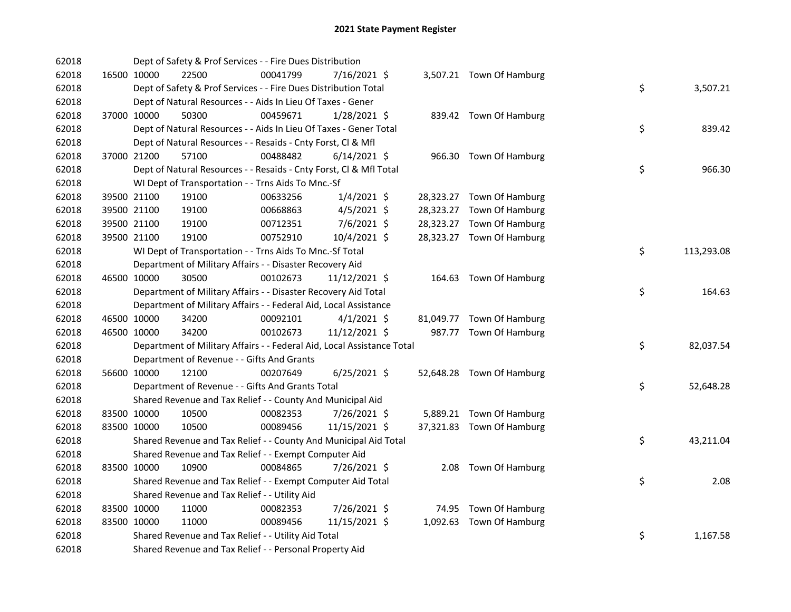| 62018 |             | Dept of Safety & Prof Services - - Fire Dues Distribution              |          |                |  |                           |    |            |
|-------|-------------|------------------------------------------------------------------------|----------|----------------|--|---------------------------|----|------------|
| 62018 | 16500 10000 | 22500                                                                  | 00041799 | 7/16/2021 \$   |  | 3,507.21 Town Of Hamburg  |    |            |
| 62018 |             | Dept of Safety & Prof Services - - Fire Dues Distribution Total        |          |                |  |                           | \$ | 3,507.21   |
| 62018 |             | Dept of Natural Resources - - Aids In Lieu Of Taxes - Gener            |          |                |  |                           |    |            |
| 62018 | 37000 10000 | 50300                                                                  | 00459671 | $1/28/2021$ \$ |  | 839.42 Town Of Hamburg    |    |            |
| 62018 |             | Dept of Natural Resources - - Aids In Lieu Of Taxes - Gener Total      |          |                |  |                           | \$ | 839.42     |
| 62018 |             | Dept of Natural Resources - - Resaids - Cnty Forst, Cl & Mfl           |          |                |  |                           |    |            |
| 62018 | 37000 21200 | 57100                                                                  | 00488482 | $6/14/2021$ \$ |  | 966.30 Town Of Hamburg    |    |            |
| 62018 |             | Dept of Natural Resources - - Resaids - Cnty Forst, Cl & Mfl Total     |          |                |  |                           | \$ | 966.30     |
| 62018 |             | WI Dept of Transportation - - Trns Aids To Mnc.-Sf                     |          |                |  |                           |    |            |
| 62018 | 39500 21100 | 19100                                                                  | 00633256 | $1/4/2021$ \$  |  | 28,323.27 Town Of Hamburg |    |            |
| 62018 | 39500 21100 | 19100                                                                  | 00668863 | $4/5/2021$ \$  |  | 28,323.27 Town Of Hamburg |    |            |
| 62018 | 39500 21100 | 19100                                                                  | 00712351 | $7/6/2021$ \$  |  | 28,323.27 Town Of Hamburg |    |            |
| 62018 | 39500 21100 | 19100                                                                  | 00752910 | 10/4/2021 \$   |  | 28,323.27 Town Of Hamburg |    |            |
| 62018 |             | WI Dept of Transportation - - Trns Aids To Mnc.-Sf Total               |          |                |  |                           | \$ | 113,293.08 |
| 62018 |             | Department of Military Affairs - - Disaster Recovery Aid               |          |                |  |                           |    |            |
| 62018 | 46500 10000 | 30500                                                                  | 00102673 | 11/12/2021 \$  |  | 164.63 Town Of Hamburg    |    |            |
| 62018 |             | Department of Military Affairs - - Disaster Recovery Aid Total         |          |                |  |                           | \$ | 164.63     |
| 62018 |             | Department of Military Affairs - - Federal Aid, Local Assistance       |          |                |  |                           |    |            |
| 62018 | 46500 10000 | 34200                                                                  | 00092101 | $4/1/2021$ \$  |  | 81,049.77 Town Of Hamburg |    |            |
| 62018 | 46500 10000 | 34200                                                                  | 00102673 | 11/12/2021 \$  |  | 987.77 Town Of Hamburg    |    |            |
| 62018 |             | Department of Military Affairs - - Federal Aid, Local Assistance Total |          |                |  |                           | \$ | 82,037.54  |
| 62018 |             | Department of Revenue - - Gifts And Grants                             |          |                |  |                           |    |            |
| 62018 | 56600 10000 | 12100                                                                  | 00207649 | $6/25/2021$ \$ |  | 52,648.28 Town Of Hamburg |    |            |
| 62018 |             | Department of Revenue - - Gifts And Grants Total                       |          |                |  |                           | \$ | 52,648.28  |
| 62018 |             | Shared Revenue and Tax Relief - - County And Municipal Aid             |          |                |  |                           |    |            |
| 62018 | 83500 10000 | 10500                                                                  | 00082353 | 7/26/2021 \$   |  | 5,889.21 Town Of Hamburg  |    |            |
| 62018 | 83500 10000 | 10500                                                                  | 00089456 | 11/15/2021 \$  |  | 37,321.83 Town Of Hamburg |    |            |
| 62018 |             | Shared Revenue and Tax Relief - - County And Municipal Aid Total       |          |                |  |                           | \$ | 43,211.04  |
| 62018 |             | Shared Revenue and Tax Relief - - Exempt Computer Aid                  |          |                |  |                           |    |            |
| 62018 | 83500 10000 | 10900                                                                  | 00084865 | 7/26/2021 \$   |  | 2.08 Town Of Hamburg      |    |            |
| 62018 |             | Shared Revenue and Tax Relief - - Exempt Computer Aid Total            |          |                |  |                           | \$ | 2.08       |
| 62018 |             | Shared Revenue and Tax Relief - - Utility Aid                          |          |                |  |                           |    |            |
| 62018 | 83500 10000 | 11000                                                                  | 00082353 | 7/26/2021 \$   |  | 74.95 Town Of Hamburg     |    |            |
| 62018 | 83500 10000 | 11000                                                                  | 00089456 | 11/15/2021 \$  |  | 1,092.63 Town Of Hamburg  |    |            |
| 62018 |             | Shared Revenue and Tax Relief - - Utility Aid Total                    |          |                |  |                           | \$ | 1,167.58   |
| 62018 |             | Shared Revenue and Tax Relief - - Personal Property Aid                |          |                |  |                           |    |            |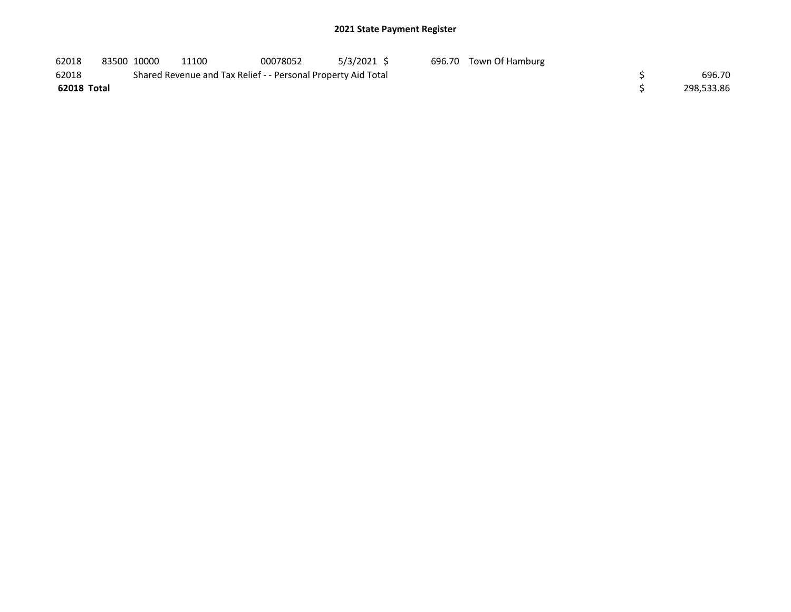| 62018       | 83500 10000 | 11100                                                         | 00078052 | 5/3/2021 \$ | 696.70 Town Of Hamburg |            |
|-------------|-------------|---------------------------------------------------------------|----------|-------------|------------------------|------------|
| 62018       |             | Shared Revenue and Tax Relief - - Personal Property Aid Total |          |             |                        | 696.70     |
| 62018 Total |             |                                                               |          |             |                        | 298,533.86 |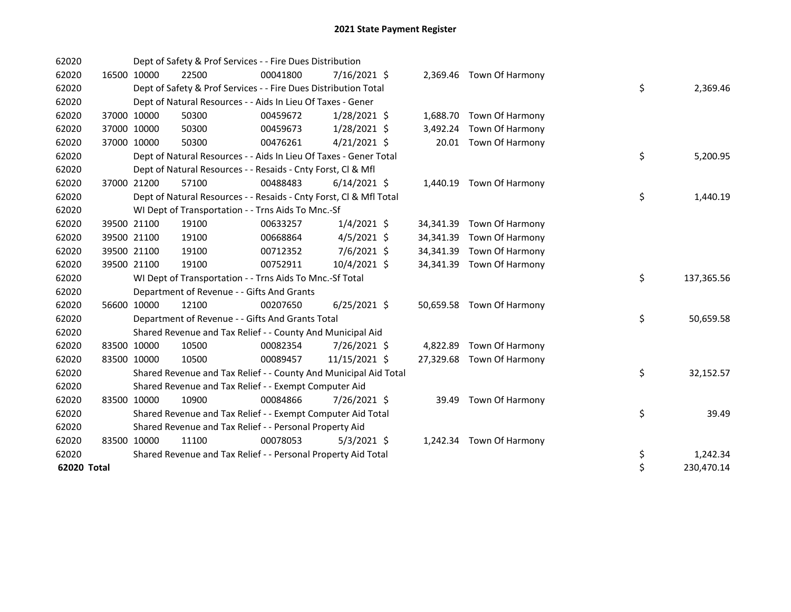| 62020       |             |             | Dept of Safety & Prof Services - - Fire Dues Distribution          |          |                |           |                           |    |            |
|-------------|-------------|-------------|--------------------------------------------------------------------|----------|----------------|-----------|---------------------------|----|------------|
| 62020       |             | 16500 10000 | 22500                                                              | 00041800 | 7/16/2021 \$   |           | 2,369.46 Town Of Harmony  |    |            |
| 62020       |             |             | Dept of Safety & Prof Services - - Fire Dues Distribution Total    |          |                |           |                           | \$ | 2,369.46   |
| 62020       |             |             | Dept of Natural Resources - - Aids In Lieu Of Taxes - Gener        |          |                |           |                           |    |            |
| 62020       |             | 37000 10000 | 50300                                                              | 00459672 | $1/28/2021$ \$ |           | 1,688.70 Town Of Harmony  |    |            |
| 62020       |             | 37000 10000 | 50300                                                              | 00459673 | 1/28/2021 \$   | 3,492.24  | Town Of Harmony           |    |            |
| 62020       |             | 37000 10000 | 50300                                                              | 00476261 | $4/21/2021$ \$ |           | 20.01 Town Of Harmony     |    |            |
| 62020       |             |             | Dept of Natural Resources - - Aids In Lieu Of Taxes - Gener Total  |          |                |           |                           | \$ | 5,200.95   |
| 62020       |             |             | Dept of Natural Resources - - Resaids - Cnty Forst, Cl & Mfl       |          |                |           |                           |    |            |
| 62020       |             | 37000 21200 | 57100                                                              | 00488483 | $6/14/2021$ \$ |           | 1,440.19 Town Of Harmony  |    |            |
| 62020       |             |             | Dept of Natural Resources - - Resaids - Cnty Forst, Cl & Mfl Total |          |                |           |                           | \$ | 1,440.19   |
| 62020       |             |             | WI Dept of Transportation - - Trns Aids To Mnc.-Sf                 |          |                |           |                           |    |            |
| 62020       |             | 39500 21100 | 19100                                                              | 00633257 | $1/4/2021$ \$  | 34,341.39 | Town Of Harmony           |    |            |
| 62020       |             | 39500 21100 | 19100                                                              | 00668864 | $4/5/2021$ \$  |           | 34,341.39 Town Of Harmony |    |            |
| 62020       |             | 39500 21100 | 19100                                                              | 00712352 | 7/6/2021 \$    | 34,341.39 | Town Of Harmony           |    |            |
| 62020       |             | 39500 21100 | 19100                                                              | 00752911 | 10/4/2021 \$   |           | 34,341.39 Town Of Harmony |    |            |
| 62020       |             |             | WI Dept of Transportation - - Trns Aids To Mnc.-Sf Total           |          |                |           |                           | \$ | 137,365.56 |
| 62020       |             |             | Department of Revenue - - Gifts And Grants                         |          |                |           |                           |    |            |
| 62020       |             | 56600 10000 | 12100                                                              | 00207650 | $6/25/2021$ \$ |           | 50,659.58 Town Of Harmony |    |            |
| 62020       |             |             | Department of Revenue - - Gifts And Grants Total                   |          |                |           |                           | \$ | 50,659.58  |
| 62020       |             |             | Shared Revenue and Tax Relief - - County And Municipal Aid         |          |                |           |                           |    |            |
| 62020       |             | 83500 10000 | 10500                                                              | 00082354 | 7/26/2021 \$   |           | 4,822.89 Town Of Harmony  |    |            |
| 62020       |             | 83500 10000 | 10500                                                              | 00089457 | 11/15/2021 \$  |           | 27,329.68 Town Of Harmony |    |            |
| 62020       |             |             | Shared Revenue and Tax Relief - - County And Municipal Aid Total   |          |                |           |                           | \$ | 32,152.57  |
| 62020       |             |             | Shared Revenue and Tax Relief - - Exempt Computer Aid              |          |                |           |                           |    |            |
| 62020       |             | 83500 10000 | 10900                                                              | 00084866 | 7/26/2021 \$   | 39.49     | Town Of Harmony           |    |            |
| 62020       |             |             | Shared Revenue and Tax Relief - - Exempt Computer Aid Total        |          |                |           |                           | \$ | 39.49      |
| 62020       |             |             | Shared Revenue and Tax Relief - - Personal Property Aid            |          |                |           |                           |    |            |
| 62020       | 83500 10000 |             | 11100                                                              | 00078053 | $5/3/2021$ \$  |           | 1,242.34 Town Of Harmony  |    |            |
| 62020       |             |             | Shared Revenue and Tax Relief - - Personal Property Aid Total      |          |                |           |                           | \$ | 1,242.34   |
| 62020 Total |             |             |                                                                    |          |                |           |                           | \$ | 230,470.14 |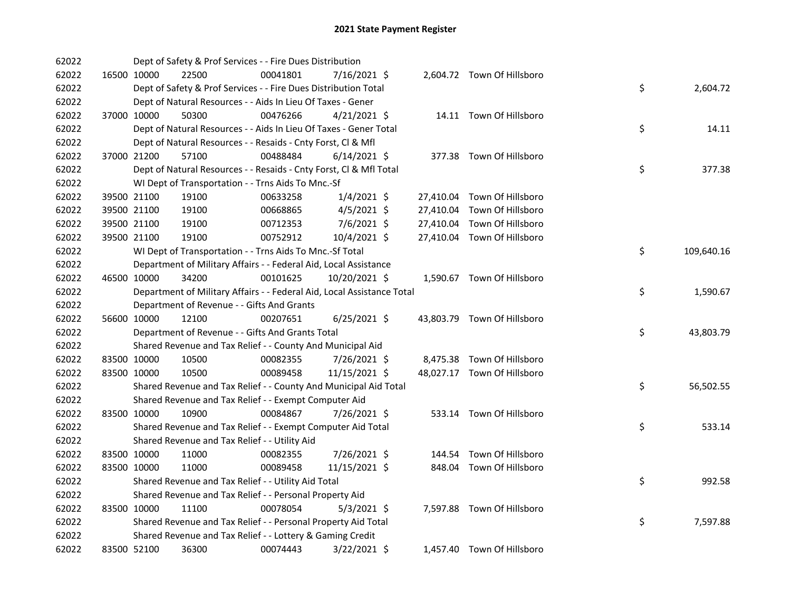| 62022 |             | Dept of Safety & Prof Services - - Fire Dues Distribution              |          |                |  |                             |    |            |
|-------|-------------|------------------------------------------------------------------------|----------|----------------|--|-----------------------------|----|------------|
| 62022 | 16500 10000 | 22500                                                                  | 00041801 | 7/16/2021 \$   |  | 2,604.72 Town Of Hillsboro  |    |            |
| 62022 |             | Dept of Safety & Prof Services - - Fire Dues Distribution Total        |          |                |  |                             | \$ | 2,604.72   |
| 62022 |             | Dept of Natural Resources - - Aids In Lieu Of Taxes - Gener            |          |                |  |                             |    |            |
| 62022 | 37000 10000 | 50300                                                                  | 00476266 | $4/21/2021$ \$ |  | 14.11 Town Of Hillsboro     |    |            |
| 62022 |             | Dept of Natural Resources - - Aids In Lieu Of Taxes - Gener Total      |          |                |  |                             | \$ | 14.11      |
| 62022 |             | Dept of Natural Resources - - Resaids - Cnty Forst, Cl & Mfl           |          |                |  |                             |    |            |
| 62022 | 37000 21200 | 57100                                                                  | 00488484 | $6/14/2021$ \$ |  | 377.38 Town Of Hillsboro    |    |            |
| 62022 |             | Dept of Natural Resources - - Resaids - Cnty Forst, Cl & Mfl Total     |          |                |  |                             | \$ | 377.38     |
| 62022 |             | WI Dept of Transportation - - Trns Aids To Mnc.-Sf                     |          |                |  |                             |    |            |
| 62022 | 39500 21100 | 19100                                                                  | 00633258 | $1/4/2021$ \$  |  | 27,410.04 Town Of Hillsboro |    |            |
| 62022 | 39500 21100 | 19100                                                                  | 00668865 | $4/5/2021$ \$  |  | 27,410.04 Town Of Hillsboro |    |            |
| 62022 | 39500 21100 | 19100                                                                  | 00712353 | 7/6/2021 \$    |  | 27,410.04 Town Of Hillsboro |    |            |
| 62022 | 39500 21100 | 19100                                                                  | 00752912 | 10/4/2021 \$   |  | 27,410.04 Town Of Hillsboro |    |            |
| 62022 |             | WI Dept of Transportation - - Trns Aids To Mnc.-Sf Total               |          |                |  |                             | \$ | 109,640.16 |
| 62022 |             | Department of Military Affairs - - Federal Aid, Local Assistance       |          |                |  |                             |    |            |
| 62022 | 46500 10000 | 34200                                                                  | 00101625 | 10/20/2021 \$  |  | 1,590.67 Town Of Hillsboro  |    |            |
| 62022 |             | Department of Military Affairs - - Federal Aid, Local Assistance Total |          |                |  |                             | \$ | 1,590.67   |
| 62022 |             | Department of Revenue - - Gifts And Grants                             |          |                |  |                             |    |            |
| 62022 | 56600 10000 | 12100                                                                  | 00207651 | $6/25/2021$ \$ |  | 43,803.79 Town Of Hillsboro |    |            |
| 62022 |             | Department of Revenue - - Gifts And Grants Total                       |          |                |  |                             | \$ | 43,803.79  |
| 62022 |             | Shared Revenue and Tax Relief - - County And Municipal Aid             |          |                |  |                             |    |            |
| 62022 | 83500 10000 | 10500                                                                  | 00082355 | 7/26/2021 \$   |  | 8,475.38 Town Of Hillsboro  |    |            |
| 62022 | 83500 10000 | 10500                                                                  | 00089458 | 11/15/2021 \$  |  | 48,027.17 Town Of Hillsboro |    |            |
| 62022 |             | Shared Revenue and Tax Relief - - County And Municipal Aid Total       |          |                |  |                             | \$ | 56,502.55  |
| 62022 |             | Shared Revenue and Tax Relief - - Exempt Computer Aid                  |          |                |  |                             |    |            |
| 62022 | 83500 10000 | 10900                                                                  | 00084867 | 7/26/2021 \$   |  | 533.14 Town Of Hillsboro    |    |            |
| 62022 |             | Shared Revenue and Tax Relief - - Exempt Computer Aid Total            |          |                |  |                             | \$ | 533.14     |
| 62022 |             | Shared Revenue and Tax Relief - - Utility Aid                          |          |                |  |                             |    |            |
| 62022 | 83500 10000 | 11000                                                                  | 00082355 | 7/26/2021 \$   |  | 144.54 Town Of Hillsboro    |    |            |
| 62022 | 83500 10000 | 11000                                                                  | 00089458 | 11/15/2021 \$  |  | 848.04 Town Of Hillsboro    |    |            |
| 62022 |             | Shared Revenue and Tax Relief - - Utility Aid Total                    |          |                |  |                             | \$ | 992.58     |
| 62022 |             | Shared Revenue and Tax Relief - - Personal Property Aid                |          |                |  |                             |    |            |
| 62022 | 83500 10000 | 11100                                                                  | 00078054 | $5/3/2021$ \$  |  | 7,597.88 Town Of Hillsboro  |    |            |
| 62022 |             | Shared Revenue and Tax Relief - - Personal Property Aid Total          |          |                |  |                             | \$ | 7,597.88   |
| 62022 |             | Shared Revenue and Tax Relief - - Lottery & Gaming Credit              |          |                |  |                             |    |            |
| 62022 | 83500 52100 | 36300                                                                  | 00074443 | 3/22/2021 \$   |  | 1,457.40 Town Of Hillsboro  |    |            |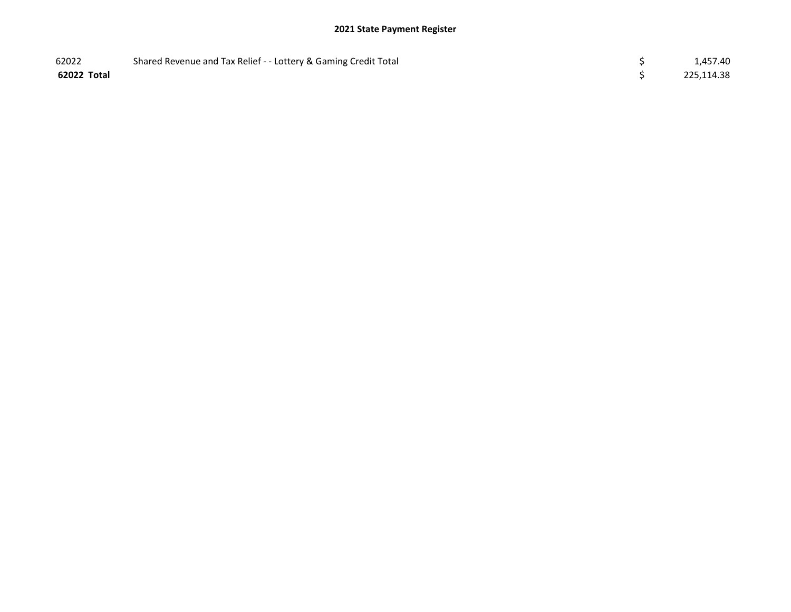| 62022       | Shared Revenue and Tax Relief - - Lottery & Gaming Credit Total | 1,457.40   |
|-------------|-----------------------------------------------------------------|------------|
| 62022 Total |                                                                 | 225,114.38 |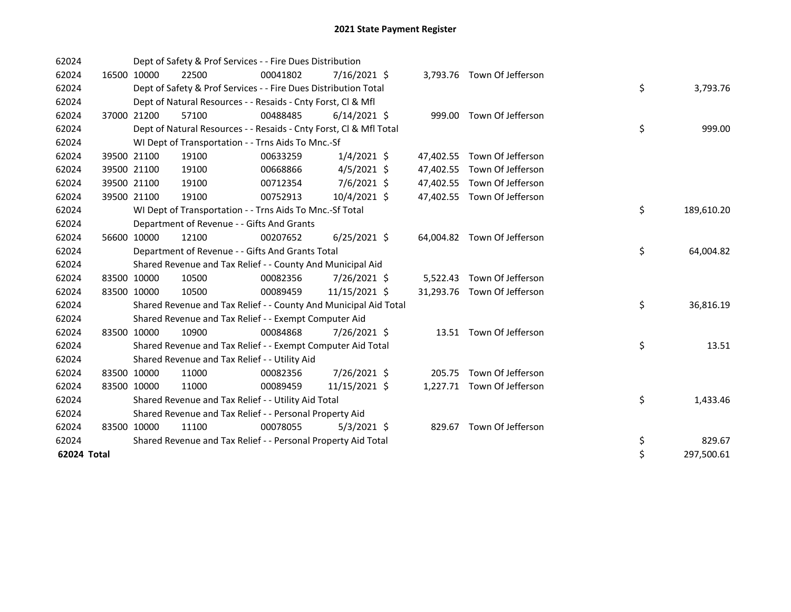| 62024       |             | Dept of Safety & Prof Services - - Fire Dues Distribution          |          |                |  |                             |    |            |
|-------------|-------------|--------------------------------------------------------------------|----------|----------------|--|-----------------------------|----|------------|
| 62024       | 16500 10000 | 22500                                                              | 00041802 | $7/16/2021$ \$ |  | 3,793.76 Town Of Jefferson  |    |            |
| 62024       |             | Dept of Safety & Prof Services - - Fire Dues Distribution Total    |          |                |  |                             | \$ | 3,793.76   |
| 62024       |             | Dept of Natural Resources - - Resaids - Cnty Forst, Cl & Mfl       |          |                |  |                             |    |            |
| 62024       | 37000 21200 | 57100                                                              | 00488485 | $6/14/2021$ \$ |  | 999.00 Town Of Jefferson    |    |            |
| 62024       |             | Dept of Natural Resources - - Resaids - Cnty Forst, Cl & Mfl Total |          |                |  |                             | \$ | 999.00     |
| 62024       |             | WI Dept of Transportation - - Trns Aids To Mnc.-Sf                 |          |                |  |                             |    |            |
| 62024       | 39500 21100 | 19100                                                              | 00633259 | $1/4/2021$ \$  |  | 47,402.55 Town Of Jefferson |    |            |
| 62024       | 39500 21100 | 19100                                                              | 00668866 | $4/5/2021$ \$  |  | 47,402.55 Town Of Jefferson |    |            |
| 62024       | 39500 21100 | 19100                                                              | 00712354 | 7/6/2021 \$    |  | 47,402.55 Town Of Jefferson |    |            |
| 62024       | 39500 21100 | 19100                                                              | 00752913 | 10/4/2021 \$   |  | 47,402.55 Town Of Jefferson |    |            |
| 62024       |             | WI Dept of Transportation - - Trns Aids To Mnc.-Sf Total           |          |                |  |                             | \$ | 189,610.20 |
| 62024       |             | Department of Revenue - - Gifts And Grants                         |          |                |  |                             |    |            |
| 62024       | 56600 10000 | 12100                                                              | 00207652 | $6/25/2021$ \$ |  | 64,004.82 Town Of Jefferson |    |            |
| 62024       |             | Department of Revenue - - Gifts And Grants Total                   |          |                |  |                             | \$ | 64,004.82  |
| 62024       |             | Shared Revenue and Tax Relief - - County And Municipal Aid         |          |                |  |                             |    |            |
| 62024       | 83500 10000 | 10500                                                              | 00082356 | 7/26/2021 \$   |  | 5,522.43 Town Of Jefferson  |    |            |
| 62024       | 83500 10000 | 10500                                                              | 00089459 | 11/15/2021 \$  |  | 31,293.76 Town Of Jefferson |    |            |
| 62024       |             | Shared Revenue and Tax Relief - - County And Municipal Aid Total   |          |                |  |                             | \$ | 36,816.19  |
| 62024       |             | Shared Revenue and Tax Relief - - Exempt Computer Aid              |          |                |  |                             |    |            |
| 62024       | 83500 10000 | 10900                                                              | 00084868 | 7/26/2021 \$   |  | 13.51 Town Of Jefferson     |    |            |
| 62024       |             | Shared Revenue and Tax Relief - - Exempt Computer Aid Total        |          |                |  |                             | \$ | 13.51      |
| 62024       |             | Shared Revenue and Tax Relief - - Utility Aid                      |          |                |  |                             |    |            |
| 62024       | 83500 10000 | 11000                                                              | 00082356 | 7/26/2021 \$   |  | 205.75 Town Of Jefferson    |    |            |
| 62024       | 83500 10000 | 11000                                                              | 00089459 | 11/15/2021 \$  |  | 1,227.71 Town Of Jefferson  |    |            |
| 62024       |             | Shared Revenue and Tax Relief - - Utility Aid Total                |          |                |  |                             | \$ | 1,433.46   |
| 62024       |             | Shared Revenue and Tax Relief - - Personal Property Aid            |          |                |  |                             |    |            |
| 62024       | 83500 10000 | 11100                                                              | 00078055 | $5/3/2021$ \$  |  | 829.67 Town Of Jefferson    |    |            |
| 62024       |             | Shared Revenue and Tax Relief - - Personal Property Aid Total      |          |                |  |                             | \$ | 829.67     |
| 62024 Total |             |                                                                    |          |                |  |                             | \$ | 297,500.61 |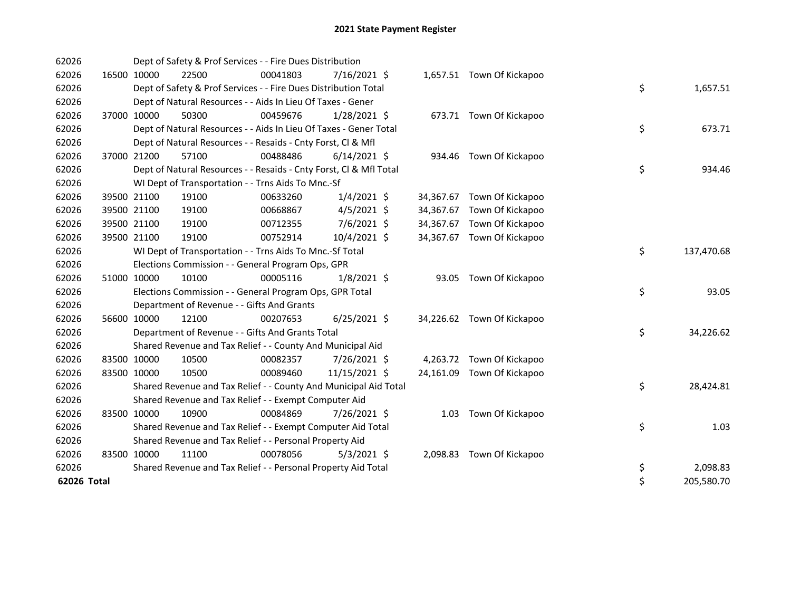| 62026       |             |             | Dept of Safety & Prof Services - - Fire Dues Distribution          |          |                |  |                            |    |            |
|-------------|-------------|-------------|--------------------------------------------------------------------|----------|----------------|--|----------------------------|----|------------|
| 62026       |             | 16500 10000 | 22500                                                              | 00041803 | 7/16/2021 \$   |  | 1,657.51 Town Of Kickapoo  |    |            |
| 62026       |             |             | Dept of Safety & Prof Services - - Fire Dues Distribution Total    |          |                |  |                            | \$ | 1,657.51   |
| 62026       |             |             | Dept of Natural Resources - - Aids In Lieu Of Taxes - Gener        |          |                |  |                            |    |            |
| 62026       |             | 37000 10000 | 50300                                                              | 00459676 | 1/28/2021 \$   |  | 673.71 Town Of Kickapoo    |    |            |
| 62026       |             |             | Dept of Natural Resources - - Aids In Lieu Of Taxes - Gener Total  |          |                |  |                            | \$ | 673.71     |
| 62026       |             |             | Dept of Natural Resources - - Resaids - Cnty Forst, CI & Mfl       |          |                |  |                            |    |            |
| 62026       |             | 37000 21200 | 57100                                                              | 00488486 | $6/14/2021$ \$ |  | 934.46 Town Of Kickapoo    |    |            |
| 62026       |             |             | Dept of Natural Resources - - Resaids - Cnty Forst, Cl & Mfl Total |          |                |  |                            | \$ | 934.46     |
| 62026       |             |             | WI Dept of Transportation - - Trns Aids To Mnc.-Sf                 |          |                |  |                            |    |            |
| 62026       |             | 39500 21100 | 19100                                                              | 00633260 | $1/4/2021$ \$  |  | 34,367.67 Town Of Kickapoo |    |            |
| 62026       |             | 39500 21100 | 19100                                                              | 00668867 | $4/5/2021$ \$  |  | 34,367.67 Town Of Kickapoo |    |            |
| 62026       |             | 39500 21100 | 19100                                                              | 00712355 | $7/6/2021$ \$  |  | 34,367.67 Town Of Kickapoo |    |            |
| 62026       |             | 39500 21100 | 19100                                                              | 00752914 | 10/4/2021 \$   |  | 34,367.67 Town Of Kickapoo |    |            |
| 62026       |             |             | WI Dept of Transportation - - Trns Aids To Mnc.-Sf Total           |          |                |  |                            | \$ | 137,470.68 |
| 62026       |             |             | Elections Commission - - General Program Ops, GPR                  |          |                |  |                            |    |            |
| 62026       | 51000 10000 |             | 10100                                                              | 00005116 | $1/8/2021$ \$  |  | 93.05 Town Of Kickapoo     |    |            |
| 62026       |             |             | Elections Commission - - General Program Ops, GPR Total            |          |                |  |                            | \$ | 93.05      |
| 62026       |             |             | Department of Revenue - - Gifts And Grants                         |          |                |  |                            |    |            |
| 62026       |             | 56600 10000 | 12100                                                              | 00207653 | $6/25/2021$ \$ |  | 34,226.62 Town Of Kickapoo |    |            |
| 62026       |             |             | Department of Revenue - - Gifts And Grants Total                   |          |                |  |                            | \$ | 34,226.62  |
| 62026       |             |             | Shared Revenue and Tax Relief - - County And Municipal Aid         |          |                |  |                            |    |            |
| 62026       |             | 83500 10000 | 10500                                                              | 00082357 | 7/26/2021 \$   |  | 4,263.72 Town Of Kickapoo  |    |            |
| 62026       | 83500 10000 |             | 10500                                                              | 00089460 | 11/15/2021 \$  |  | 24,161.09 Town Of Kickapoo |    |            |
| 62026       |             |             | Shared Revenue and Tax Relief - - County And Municipal Aid Total   |          |                |  |                            | \$ | 28,424.81  |
| 62026       |             |             | Shared Revenue and Tax Relief - - Exempt Computer Aid              |          |                |  |                            |    |            |
| 62026       | 83500 10000 |             | 10900                                                              | 00084869 | 7/26/2021 \$   |  | 1.03 Town Of Kickapoo      |    |            |
| 62026       |             |             | Shared Revenue and Tax Relief - - Exempt Computer Aid Total        |          |                |  |                            | \$ | 1.03       |
| 62026       |             |             | Shared Revenue and Tax Relief - - Personal Property Aid            |          |                |  |                            |    |            |
| 62026       | 83500 10000 |             | 11100                                                              | 00078056 | $5/3/2021$ \$  |  | 2,098.83 Town Of Kickapoo  |    |            |
| 62026       |             |             | Shared Revenue and Tax Relief - - Personal Property Aid Total      |          |                |  |                            | \$ | 2,098.83   |
| 62026 Total |             |             |                                                                    |          |                |  |                            | \$ | 205,580.70 |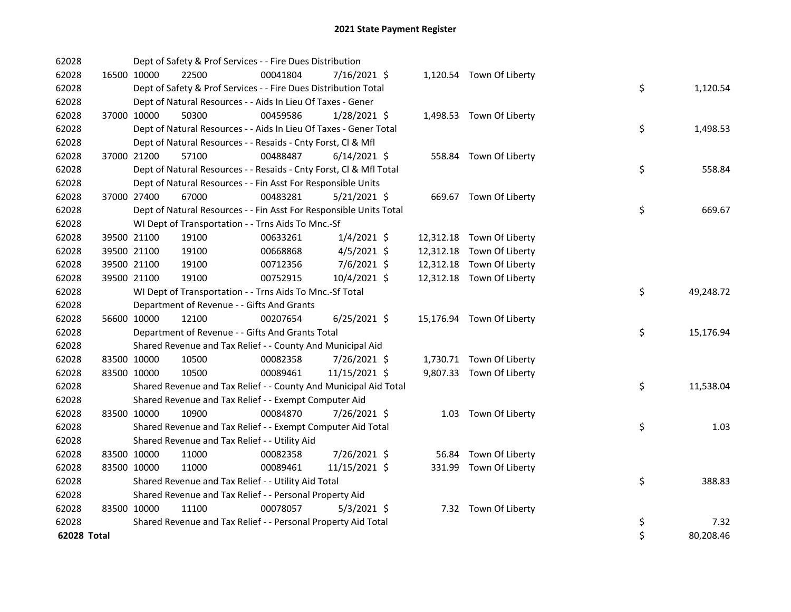| 62028       |             |             | Dept of Safety & Prof Services - - Fire Dues Distribution          |          |                |  |                           |    |           |
|-------------|-------------|-------------|--------------------------------------------------------------------|----------|----------------|--|---------------------------|----|-----------|
| 62028       |             | 16500 10000 | 22500                                                              | 00041804 | 7/16/2021 \$   |  | 1,120.54 Town Of Liberty  |    |           |
| 62028       |             |             | Dept of Safety & Prof Services - - Fire Dues Distribution Total    |          |                |  |                           | \$ | 1,120.54  |
| 62028       |             |             | Dept of Natural Resources - - Aids In Lieu Of Taxes - Gener        |          |                |  |                           |    |           |
| 62028       |             | 37000 10000 | 50300                                                              | 00459586 | $1/28/2021$ \$ |  | 1,498.53 Town Of Liberty  |    |           |
| 62028       |             |             | Dept of Natural Resources - - Aids In Lieu Of Taxes - Gener Total  |          |                |  |                           | \$ | 1,498.53  |
| 62028       |             |             | Dept of Natural Resources - - Resaids - Cnty Forst, Cl & Mfl       |          |                |  |                           |    |           |
| 62028       |             | 37000 21200 | 57100                                                              | 00488487 | $6/14/2021$ \$ |  | 558.84 Town Of Liberty    |    |           |
| 62028       |             |             | Dept of Natural Resources - - Resaids - Cnty Forst, CI & Mfl Total |          |                |  |                           | \$ | 558.84    |
| 62028       |             |             | Dept of Natural Resources - - Fin Asst For Responsible Units       |          |                |  |                           |    |           |
| 62028       |             | 37000 27400 | 67000                                                              | 00483281 | $5/21/2021$ \$ |  | 669.67 Town Of Liberty    |    |           |
| 62028       |             |             | Dept of Natural Resources - - Fin Asst For Responsible Units Total |          |                |  |                           | \$ | 669.67    |
| 62028       |             |             | WI Dept of Transportation - - Trns Aids To Mnc.-Sf                 |          |                |  |                           |    |           |
| 62028       |             | 39500 21100 | 19100                                                              | 00633261 | $1/4/2021$ \$  |  | 12,312.18 Town Of Liberty |    |           |
| 62028       |             | 39500 21100 | 19100                                                              | 00668868 | $4/5/2021$ \$  |  | 12,312.18 Town Of Liberty |    |           |
| 62028       |             | 39500 21100 | 19100                                                              | 00712356 | 7/6/2021 \$    |  | 12,312.18 Town Of Liberty |    |           |
| 62028       |             | 39500 21100 | 19100                                                              | 00752915 | 10/4/2021 \$   |  | 12,312.18 Town Of Liberty |    |           |
| 62028       |             |             | WI Dept of Transportation - - Trns Aids To Mnc.-Sf Total           |          |                |  |                           | \$ | 49,248.72 |
| 62028       |             |             | Department of Revenue - - Gifts And Grants                         |          |                |  |                           |    |           |
| 62028       |             | 56600 10000 | 12100                                                              | 00207654 | $6/25/2021$ \$ |  | 15,176.94 Town Of Liberty |    |           |
| 62028       |             |             | Department of Revenue - - Gifts And Grants Total                   |          |                |  |                           | \$ | 15,176.94 |
| 62028       |             |             | Shared Revenue and Tax Relief - - County And Municipal Aid         |          |                |  |                           |    |           |
| 62028       | 83500 10000 |             | 10500                                                              | 00082358 | 7/26/2021 \$   |  | 1,730.71 Town Of Liberty  |    |           |
| 62028       | 83500 10000 |             | 10500                                                              | 00089461 | 11/15/2021 \$  |  | 9,807.33 Town Of Liberty  |    |           |
| 62028       |             |             | Shared Revenue and Tax Relief - - County And Municipal Aid Total   |          |                |  |                           | \$ | 11,538.04 |
| 62028       |             |             | Shared Revenue and Tax Relief - - Exempt Computer Aid              |          |                |  |                           |    |           |
| 62028       | 83500 10000 |             | 10900                                                              | 00084870 | 7/26/2021 \$   |  | 1.03 Town Of Liberty      |    |           |
| 62028       |             |             | Shared Revenue and Tax Relief - - Exempt Computer Aid Total        |          |                |  |                           | \$ | 1.03      |
| 62028       |             |             | Shared Revenue and Tax Relief - - Utility Aid                      |          |                |  |                           |    |           |
| 62028       |             | 83500 10000 | 11000                                                              | 00082358 | 7/26/2021 \$   |  | 56.84 Town Of Liberty     |    |           |
| 62028       | 83500 10000 |             | 11000                                                              | 00089461 | 11/15/2021 \$  |  | 331.99 Town Of Liberty    |    |           |
| 62028       |             |             | Shared Revenue and Tax Relief - - Utility Aid Total                |          |                |  |                           | \$ | 388.83    |
| 62028       |             |             | Shared Revenue and Tax Relief - - Personal Property Aid            |          |                |  |                           |    |           |
| 62028       |             | 83500 10000 | 11100                                                              | 00078057 | $5/3/2021$ \$  |  | 7.32 Town Of Liberty      |    |           |
| 62028       |             |             | Shared Revenue and Tax Relief - - Personal Property Aid Total      |          |                |  |                           | \$ | 7.32      |
| 62028 Total |             |             |                                                                    |          |                |  |                           | \$ | 80,208.46 |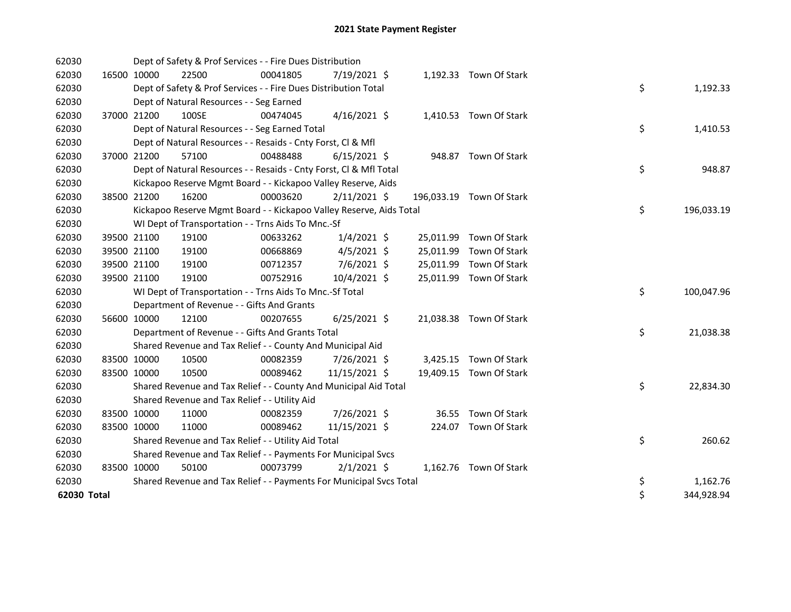| 62030       |             |             | Dept of Safety & Prof Services - - Fire Dues Distribution           |          |                |  |                          |    |            |
|-------------|-------------|-------------|---------------------------------------------------------------------|----------|----------------|--|--------------------------|----|------------|
| 62030       | 16500 10000 |             | 22500                                                               | 00041805 | 7/19/2021 \$   |  | 1,192.33 Town Of Stark   |    |            |
| 62030       |             |             | Dept of Safety & Prof Services - - Fire Dues Distribution Total     |          |                |  |                          | \$ | 1,192.33   |
| 62030       |             |             | Dept of Natural Resources - - Seg Earned                            |          |                |  |                          |    |            |
| 62030       |             | 37000 21200 | 100SE                                                               | 00474045 | $4/16/2021$ \$ |  | 1,410.53 Town Of Stark   |    |            |
| 62030       |             |             | Dept of Natural Resources - - Seg Earned Total                      |          |                |  |                          | \$ | 1,410.53   |
| 62030       |             |             | Dept of Natural Resources - - Resaids - Cnty Forst, Cl & Mfl        |          |                |  |                          |    |            |
| 62030       |             | 37000 21200 | 57100                                                               | 00488488 | $6/15/2021$ \$ |  | 948.87 Town Of Stark     |    |            |
| 62030       |             |             | Dept of Natural Resources - - Resaids - Cnty Forst, Cl & Mfl Total  |          |                |  |                          | \$ | 948.87     |
| 62030       |             |             | Kickapoo Reserve Mgmt Board - - Kickapoo Valley Reserve, Aids       |          |                |  |                          |    |            |
| 62030       |             | 38500 21200 | 16200                                                               | 00003620 | $2/11/2021$ \$ |  | 196,033.19 Town Of Stark |    |            |
| 62030       |             |             | Kickapoo Reserve Mgmt Board - - Kickapoo Valley Reserve, Aids Total |          |                |  |                          | \$ | 196,033.19 |
| 62030       |             |             | WI Dept of Transportation - - Trns Aids To Mnc.-Sf                  |          |                |  |                          |    |            |
| 62030       |             | 39500 21100 | 19100                                                               | 00633262 | $1/4/2021$ \$  |  | 25,011.99 Town Of Stark  |    |            |
| 62030       |             | 39500 21100 | 19100                                                               | 00668869 | $4/5/2021$ \$  |  | 25,011.99 Town Of Stark  |    |            |
| 62030       | 39500 21100 |             | 19100                                                               | 00712357 | $7/6/2021$ \$  |  | 25,011.99 Town Of Stark  |    |            |
| 62030       |             | 39500 21100 | 19100                                                               | 00752916 | 10/4/2021 \$   |  | 25,011.99 Town Of Stark  |    |            |
| 62030       |             |             | WI Dept of Transportation - - Trns Aids To Mnc.-Sf Total            |          |                |  |                          | \$ | 100,047.96 |
| 62030       |             |             | Department of Revenue - - Gifts And Grants                          |          |                |  |                          |    |            |
| 62030       |             | 56600 10000 | 12100                                                               | 00207655 | $6/25/2021$ \$ |  | 21,038.38 Town Of Stark  |    |            |
| 62030       |             |             | Department of Revenue - - Gifts And Grants Total                    |          |                |  |                          | \$ | 21,038.38  |
| 62030       |             |             | Shared Revenue and Tax Relief - - County And Municipal Aid          |          |                |  |                          |    |            |
| 62030       | 83500 10000 |             | 10500                                                               | 00082359 | 7/26/2021 \$   |  | 3,425.15 Town Of Stark   |    |            |
| 62030       | 83500 10000 |             | 10500                                                               | 00089462 | 11/15/2021 \$  |  | 19,409.15 Town Of Stark  |    |            |
| 62030       |             |             | Shared Revenue and Tax Relief - - County And Municipal Aid Total    |          |                |  |                          | \$ | 22,834.30  |
| 62030       |             |             | Shared Revenue and Tax Relief - - Utility Aid                       |          |                |  |                          |    |            |
| 62030       |             | 83500 10000 | 11000                                                               | 00082359 | 7/26/2021 \$   |  | 36.55 Town Of Stark      |    |            |
| 62030       |             | 83500 10000 | 11000                                                               | 00089462 | 11/15/2021 \$  |  | 224.07 Town Of Stark     |    |            |
| 62030       |             |             | Shared Revenue and Tax Relief - - Utility Aid Total                 |          |                |  |                          | \$ | 260.62     |
| 62030       |             |             | Shared Revenue and Tax Relief - - Payments For Municipal Svcs       |          |                |  |                          |    |            |
| 62030       | 83500 10000 |             | 50100                                                               | 00073799 | $2/1/2021$ \$  |  | 1,162.76 Town Of Stark   |    |            |
| 62030       |             |             | Shared Revenue and Tax Relief - - Payments For Municipal Svcs Total |          |                |  |                          | \$ | 1,162.76   |
| 62030 Total |             |             |                                                                     |          |                |  |                          | \$ | 344,928.94 |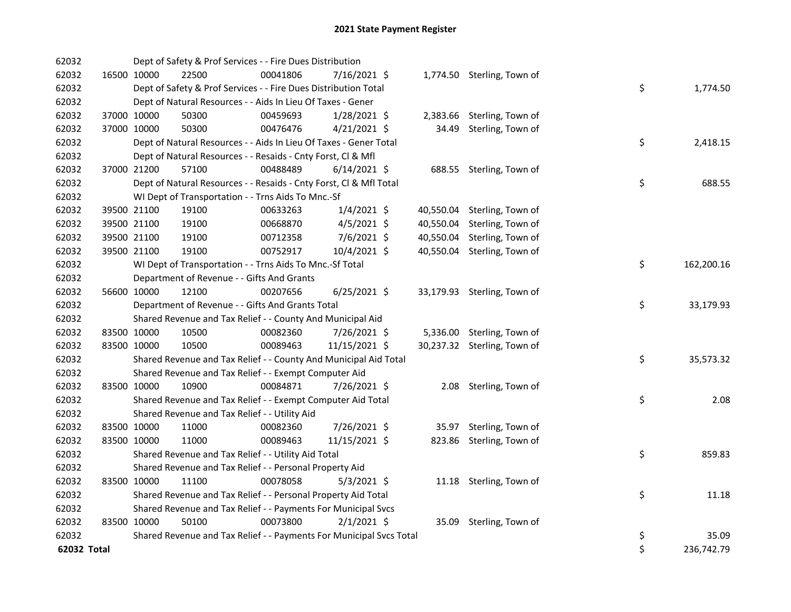| 62032       |             |             | Dept of Safety & Prof Services - - Fire Dues Distribution           |          |                |           |                             |    |            |
|-------------|-------------|-------------|---------------------------------------------------------------------|----------|----------------|-----------|-----------------------------|----|------------|
| 62032       | 16500 10000 |             | 22500                                                               | 00041806 | 7/16/2021 \$   |           | 1,774.50 Sterling, Town of  |    |            |
| 62032       |             |             | Dept of Safety & Prof Services - - Fire Dues Distribution Total     |          |                |           |                             | \$ | 1,774.50   |
| 62032       |             |             | Dept of Natural Resources - - Aids In Lieu Of Taxes - Gener         |          |                |           |                             |    |            |
| 62032       | 37000 10000 |             | 50300                                                               | 00459693 | 1/28/2021 \$   |           | 2,383.66 Sterling, Town of  |    |            |
| 62032       | 37000 10000 |             | 50300                                                               | 00476476 | $4/21/2021$ \$ | 34.49     | Sterling, Town of           |    |            |
| 62032       |             |             | Dept of Natural Resources - - Aids In Lieu Of Taxes - Gener Total   |          |                |           |                             | \$ | 2,418.15   |
| 62032       |             |             | Dept of Natural Resources - - Resaids - Cnty Forst, Cl & Mfl        |          |                |           |                             |    |            |
| 62032       | 37000 21200 |             | 57100                                                               | 00488489 | $6/14/2021$ \$ |           | 688.55 Sterling, Town of    |    |            |
| 62032       |             |             | Dept of Natural Resources - - Resaids - Cnty Forst, Cl & Mfl Total  |          |                |           |                             | \$ | 688.55     |
| 62032       |             |             | WI Dept of Transportation - - Trns Aids To Mnc.-Sf                  |          |                |           |                             |    |            |
| 62032       |             | 39500 21100 | 19100                                                               | 00633263 | $1/4/2021$ \$  |           | 40,550.04 Sterling, Town of |    |            |
| 62032       |             | 39500 21100 | 19100                                                               | 00668870 | $4/5/2021$ \$  |           | 40,550.04 Sterling, Town of |    |            |
| 62032       | 39500 21100 |             | 19100                                                               | 00712358 | $7/6/2021$ \$  | 40,550.04 | Sterling, Town of           |    |            |
| 62032       | 39500 21100 |             | 19100                                                               | 00752917 | 10/4/2021 \$   |           | 40,550.04 Sterling, Town of |    |            |
| 62032       |             |             | WI Dept of Transportation - - Trns Aids To Mnc.-Sf Total            |          |                |           |                             | \$ | 162,200.16 |
| 62032       |             |             | Department of Revenue - - Gifts And Grants                          |          |                |           |                             |    |            |
| 62032       | 56600 10000 |             | 12100                                                               | 00207656 | $6/25/2021$ \$ |           | 33,179.93 Sterling, Town of |    |            |
| 62032       |             |             | Department of Revenue - - Gifts And Grants Total                    |          |                |           |                             | \$ | 33,179.93  |
| 62032       |             |             | Shared Revenue and Tax Relief - - County And Municipal Aid          |          |                |           |                             |    |            |
| 62032       |             | 83500 10000 | 10500                                                               | 00082360 | 7/26/2021 \$   |           | 5,336.00 Sterling, Town of  |    |            |
| 62032       | 83500 10000 |             | 10500                                                               | 00089463 | 11/15/2021 \$  |           | 30,237.32 Sterling, Town of |    |            |
| 62032       |             |             | Shared Revenue and Tax Relief - - County And Municipal Aid Total    |          |                |           |                             | \$ | 35,573.32  |
| 62032       |             |             | Shared Revenue and Tax Relief - - Exempt Computer Aid               |          |                |           |                             |    |            |
| 62032       | 83500 10000 |             | 10900                                                               | 00084871 | 7/26/2021 \$   |           | 2.08 Sterling, Town of      |    |            |
| 62032       |             |             | Shared Revenue and Tax Relief - - Exempt Computer Aid Total         |          |                |           |                             | \$ | 2.08       |
| 62032       |             |             | Shared Revenue and Tax Relief - - Utility Aid                       |          |                |           |                             |    |            |
| 62032       |             | 83500 10000 | 11000                                                               | 00082360 | 7/26/2021 \$   |           | 35.97 Sterling, Town of     |    |            |
| 62032       | 83500 10000 |             | 11000                                                               | 00089463 | 11/15/2021 \$  |           | 823.86 Sterling, Town of    |    |            |
| 62032       |             |             | Shared Revenue and Tax Relief - - Utility Aid Total                 |          |                |           |                             | \$ | 859.83     |
| 62032       |             |             | Shared Revenue and Tax Relief - - Personal Property Aid             |          |                |           |                             |    |            |
| 62032       | 83500 10000 |             | 11100                                                               | 00078058 | $5/3/2021$ \$  |           | 11.18 Sterling, Town of     |    |            |
| 62032       |             |             | Shared Revenue and Tax Relief - - Personal Property Aid Total       |          |                |           |                             | \$ | 11.18      |
| 62032       |             |             | Shared Revenue and Tax Relief - - Payments For Municipal Svcs       |          |                |           |                             |    |            |
| 62032       | 83500 10000 |             | 50100                                                               | 00073800 | $2/1/2021$ \$  |           | 35.09 Sterling, Town of     |    |            |
| 62032       |             |             | Shared Revenue and Tax Relief - - Payments For Municipal Svcs Total |          |                |           |                             | \$ | 35.09      |
| 62032 Total |             |             |                                                                     |          |                |           |                             | \$ | 236,742.79 |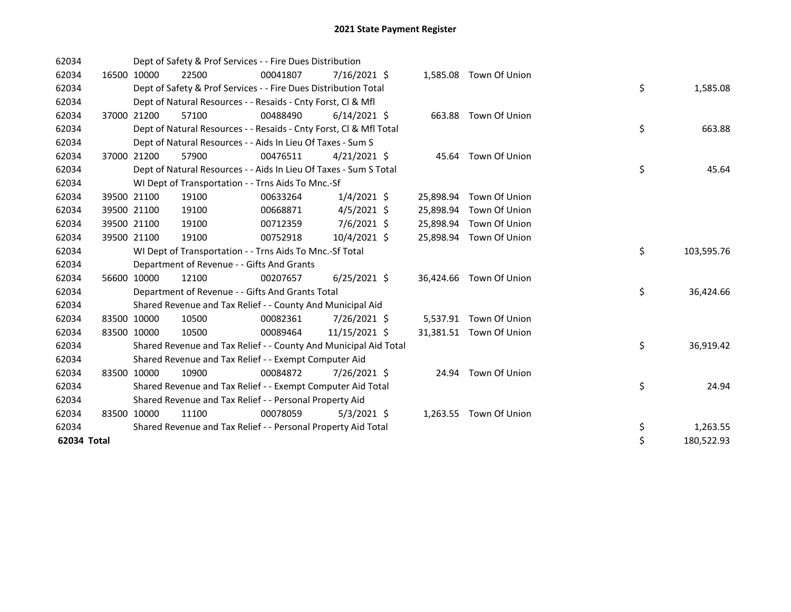| 62034       |             |             | Dept of Safety & Prof Services - - Fire Dues Distribution          |          |                |           |                         |    |            |
|-------------|-------------|-------------|--------------------------------------------------------------------|----------|----------------|-----------|-------------------------|----|------------|
| 62034       |             | 16500 10000 | 22500                                                              | 00041807 | 7/16/2021 \$   |           | 1,585.08 Town Of Union  |    |            |
| 62034       |             |             | Dept of Safety & Prof Services - - Fire Dues Distribution Total    |          |                |           |                         | \$ | 1,585.08   |
| 62034       |             |             | Dept of Natural Resources - - Resaids - Cnty Forst, CI & Mfl       |          |                |           |                         |    |            |
| 62034       |             | 37000 21200 | 57100                                                              | 00488490 | $6/14/2021$ \$ |           | 663.88 Town Of Union    |    |            |
| 62034       |             |             | Dept of Natural Resources - - Resaids - Cnty Forst, Cl & Mfl Total |          |                |           |                         | \$ | 663.88     |
| 62034       |             |             | Dept of Natural Resources - - Aids In Lieu Of Taxes - Sum S        |          |                |           |                         |    |            |
| 62034       | 37000 21200 |             | 57900                                                              | 00476511 | $4/21/2021$ \$ |           | 45.64 Town Of Union     |    |            |
| 62034       |             |             | Dept of Natural Resources - - Aids In Lieu Of Taxes - Sum S Total  |          |                |           |                         | \$ | 45.64      |
| 62034       |             |             | WI Dept of Transportation - - Trns Aids To Mnc.-Sf                 |          |                |           |                         |    |            |
| 62034       |             | 39500 21100 | 19100                                                              | 00633264 | $1/4/2021$ \$  |           | 25,898.94 Town Of Union |    |            |
| 62034       |             | 39500 21100 | 19100                                                              | 00668871 | $4/5/2021$ \$  |           | 25,898.94 Town Of Union |    |            |
| 62034       |             | 39500 21100 | 19100                                                              | 00712359 | 7/6/2021 \$    | 25,898.94 | Town Of Union           |    |            |
| 62034       | 39500 21100 |             | 19100                                                              | 00752918 | 10/4/2021 \$   |           | 25,898.94 Town Of Union |    |            |
| 62034       |             |             | WI Dept of Transportation - - Trns Aids To Mnc.-Sf Total           |          |                |           |                         | \$ | 103,595.76 |
| 62034       |             |             | Department of Revenue - - Gifts And Grants                         |          |                |           |                         |    |            |
| 62034       |             | 56600 10000 | 12100                                                              | 00207657 | $6/25/2021$ \$ | 36,424.66 | Town Of Union           |    |            |
| 62034       |             |             | Department of Revenue - - Gifts And Grants Total                   |          |                |           |                         | \$ | 36,424.66  |
| 62034       |             |             | Shared Revenue and Tax Relief - - County And Municipal Aid         |          |                |           |                         |    |            |
| 62034       | 83500 10000 |             | 10500                                                              | 00082361 | 7/26/2021 \$   |           | 5,537.91 Town Of Union  |    |            |
| 62034       | 83500 10000 |             | 10500                                                              | 00089464 | 11/15/2021 \$  |           | 31,381.51 Town Of Union |    |            |
| 62034       |             |             | Shared Revenue and Tax Relief - - County And Municipal Aid Total   |          |                |           |                         | \$ | 36,919.42  |
| 62034       |             |             | Shared Revenue and Tax Relief - - Exempt Computer Aid              |          |                |           |                         |    |            |
| 62034       | 83500 10000 |             | 10900                                                              | 00084872 | 7/26/2021 \$   | 24.94     | Town Of Union           |    |            |
| 62034       |             |             | Shared Revenue and Tax Relief - - Exempt Computer Aid Total        |          |                |           |                         | \$ | 24.94      |
| 62034       |             |             | Shared Revenue and Tax Relief - - Personal Property Aid            |          |                |           |                         |    |            |
| 62034       | 83500 10000 |             | 11100                                                              | 00078059 | $5/3/2021$ \$  | 1,263.55  | Town Of Union           |    |            |
| 62034       |             |             | Shared Revenue and Tax Relief - - Personal Property Aid Total      |          |                |           |                         | \$ | 1,263.55   |
| 62034 Total |             |             |                                                                    |          |                |           |                         | \$ | 180,522.93 |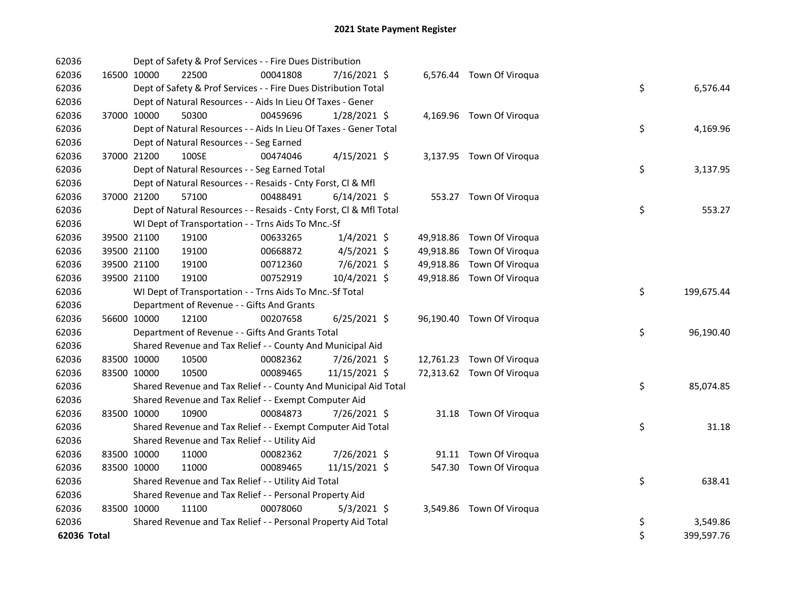| 62036       |             | Dept of Safety & Prof Services - - Fire Dues Distribution          |          |                |  |                           |    |            |
|-------------|-------------|--------------------------------------------------------------------|----------|----------------|--|---------------------------|----|------------|
| 62036       | 16500 10000 | 22500                                                              | 00041808 | 7/16/2021 \$   |  | 6,576.44 Town Of Viroqua  |    |            |
| 62036       |             | Dept of Safety & Prof Services - - Fire Dues Distribution Total    |          |                |  |                           | \$ | 6,576.44   |
| 62036       |             | Dept of Natural Resources - - Aids In Lieu Of Taxes - Gener        |          |                |  |                           |    |            |
| 62036       | 37000 10000 | 50300                                                              | 00459696 | 1/28/2021 \$   |  | 4,169.96 Town Of Viroqua  |    |            |
| 62036       |             | Dept of Natural Resources - - Aids In Lieu Of Taxes - Gener Total  |          |                |  |                           | \$ | 4,169.96   |
| 62036       |             | Dept of Natural Resources - - Seg Earned                           |          |                |  |                           |    |            |
| 62036       | 37000 21200 | 100SE                                                              | 00474046 | $4/15/2021$ \$ |  | 3,137.95 Town Of Viroqua  |    |            |
| 62036       |             | Dept of Natural Resources - - Seg Earned Total                     |          |                |  |                           | \$ | 3,137.95   |
| 62036       |             | Dept of Natural Resources - - Resaids - Cnty Forst, Cl & Mfl       |          |                |  |                           |    |            |
| 62036       | 37000 21200 | 57100                                                              | 00488491 | $6/14/2021$ \$ |  | 553.27 Town Of Viroqua    |    |            |
| 62036       |             | Dept of Natural Resources - - Resaids - Cnty Forst, Cl & Mfl Total |          |                |  |                           | \$ | 553.27     |
| 62036       |             | WI Dept of Transportation - - Trns Aids To Mnc.-Sf                 |          |                |  |                           |    |            |
| 62036       | 39500 21100 | 19100                                                              | 00633265 | $1/4/2021$ \$  |  | 49,918.86 Town Of Viroqua |    |            |
| 62036       | 39500 21100 | 19100                                                              | 00668872 | $4/5/2021$ \$  |  | 49,918.86 Town Of Viroqua |    |            |
| 62036       | 39500 21100 | 19100                                                              | 00712360 | 7/6/2021 \$    |  | 49,918.86 Town Of Viroqua |    |            |
| 62036       | 39500 21100 | 19100                                                              | 00752919 | 10/4/2021 \$   |  | 49,918.86 Town Of Viroqua |    |            |
| 62036       |             | WI Dept of Transportation - - Trns Aids To Mnc.-Sf Total           |          |                |  |                           | \$ | 199,675.44 |
| 62036       |             | Department of Revenue - - Gifts And Grants                         |          |                |  |                           |    |            |
| 62036       | 56600 10000 | 12100                                                              | 00207658 | $6/25/2021$ \$ |  | 96,190.40 Town Of Viroqua |    |            |
| 62036       |             | Department of Revenue - - Gifts And Grants Total                   |          |                |  |                           | \$ | 96,190.40  |
| 62036       |             | Shared Revenue and Tax Relief - - County And Municipal Aid         |          |                |  |                           |    |            |
| 62036       | 83500 10000 | 10500                                                              | 00082362 | 7/26/2021 \$   |  | 12,761.23 Town Of Viroqua |    |            |
| 62036       | 83500 10000 | 10500                                                              | 00089465 | 11/15/2021 \$  |  | 72,313.62 Town Of Viroqua |    |            |
| 62036       |             | Shared Revenue and Tax Relief - - County And Municipal Aid Total   |          |                |  |                           | \$ | 85,074.85  |
| 62036       |             | Shared Revenue and Tax Relief - - Exempt Computer Aid              |          |                |  |                           |    |            |
| 62036       | 83500 10000 | 10900                                                              | 00084873 | 7/26/2021 \$   |  | 31.18 Town Of Viroqua     |    |            |
| 62036       |             | Shared Revenue and Tax Relief - - Exempt Computer Aid Total        |          |                |  |                           | \$ | 31.18      |
| 62036       |             | Shared Revenue and Tax Relief - - Utility Aid                      |          |                |  |                           |    |            |
| 62036       | 83500 10000 | 11000                                                              | 00082362 | 7/26/2021 \$   |  | 91.11 Town Of Viroqua     |    |            |
| 62036       | 83500 10000 | 11000                                                              | 00089465 | 11/15/2021 \$  |  | 547.30 Town Of Viroqua    |    |            |
| 62036       |             | Shared Revenue and Tax Relief - - Utility Aid Total                |          |                |  |                           | \$ | 638.41     |
| 62036       |             | Shared Revenue and Tax Relief - - Personal Property Aid            |          |                |  |                           |    |            |
| 62036       | 83500 10000 | 11100                                                              | 00078060 | $5/3/2021$ \$  |  | 3,549.86 Town Of Viroqua  |    |            |
| 62036       |             | Shared Revenue and Tax Relief - - Personal Property Aid Total      |          |                |  |                           | \$ | 3,549.86   |
| 62036 Total |             |                                                                    |          |                |  |                           | \$ | 399,597.76 |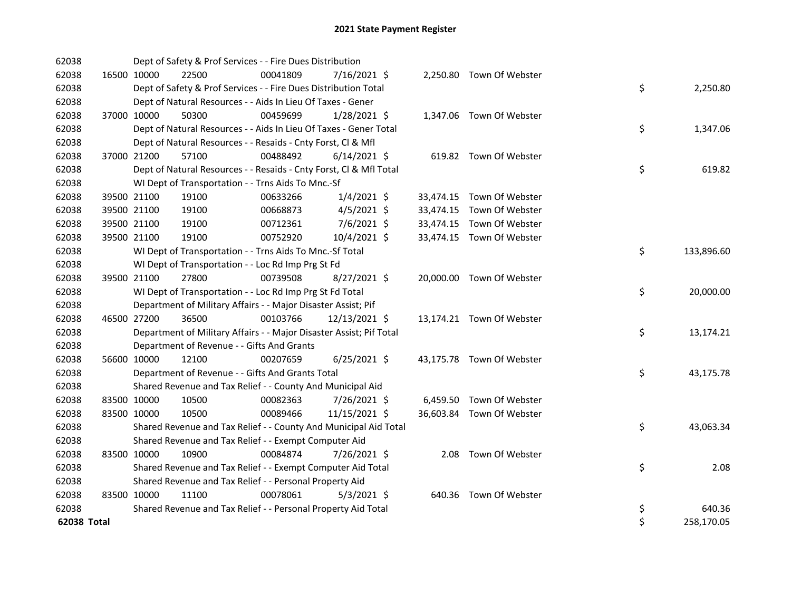| 62038       |             | Dept of Safety & Prof Services - - Fire Dues Distribution           |          |                |  |                           |    |            |
|-------------|-------------|---------------------------------------------------------------------|----------|----------------|--|---------------------------|----|------------|
| 62038       | 16500 10000 | 22500                                                               | 00041809 | 7/16/2021 \$   |  | 2,250.80 Town Of Webster  |    |            |
| 62038       |             | Dept of Safety & Prof Services - - Fire Dues Distribution Total     |          |                |  |                           | \$ | 2,250.80   |
| 62038       |             | Dept of Natural Resources - - Aids In Lieu Of Taxes - Gener         |          |                |  |                           |    |            |
| 62038       | 37000 10000 | 50300                                                               | 00459699 | $1/28/2021$ \$ |  | 1,347.06 Town Of Webster  |    |            |
| 62038       |             | Dept of Natural Resources - - Aids In Lieu Of Taxes - Gener Total   |          |                |  |                           | \$ | 1,347.06   |
| 62038       |             | Dept of Natural Resources - - Resaids - Cnty Forst, Cl & Mfl        |          |                |  |                           |    |            |
| 62038       | 37000 21200 | 57100                                                               | 00488492 | $6/14/2021$ \$ |  | 619.82 Town Of Webster    |    |            |
| 62038       |             | Dept of Natural Resources - - Resaids - Cnty Forst, Cl & Mfl Total  |          |                |  |                           | \$ | 619.82     |
| 62038       |             | WI Dept of Transportation - - Trns Aids To Mnc.-Sf                  |          |                |  |                           |    |            |
| 62038       | 39500 21100 | 19100                                                               | 00633266 | $1/4/2021$ \$  |  | 33,474.15 Town Of Webster |    |            |
| 62038       | 39500 21100 | 19100                                                               | 00668873 | $4/5/2021$ \$  |  | 33,474.15 Town Of Webster |    |            |
| 62038       | 39500 21100 | 19100                                                               | 00712361 | 7/6/2021 \$    |  | 33,474.15 Town Of Webster |    |            |
| 62038       | 39500 21100 | 19100                                                               | 00752920 | 10/4/2021 \$   |  | 33,474.15 Town Of Webster |    |            |
| 62038       |             | WI Dept of Transportation - - Trns Aids To Mnc.-Sf Total            |          |                |  |                           | \$ | 133,896.60 |
| 62038       |             | WI Dept of Transportation - - Loc Rd Imp Prg St Fd                  |          |                |  |                           |    |            |
| 62038       | 39500 21100 | 27800                                                               | 00739508 | 8/27/2021 \$   |  | 20,000.00 Town Of Webster |    |            |
| 62038       |             | WI Dept of Transportation - - Loc Rd Imp Prg St Fd Total            |          |                |  |                           | \$ | 20,000.00  |
| 62038       |             | Department of Military Affairs - - Major Disaster Assist; Pif       |          |                |  |                           |    |            |
| 62038       | 46500 27200 | 36500                                                               | 00103766 | 12/13/2021 \$  |  | 13,174.21 Town Of Webster |    |            |
| 62038       |             | Department of Military Affairs - - Major Disaster Assist; Pif Total |          |                |  |                           | \$ | 13,174.21  |
| 62038       |             | Department of Revenue - - Gifts And Grants                          |          |                |  |                           |    |            |
| 62038       | 56600 10000 | 12100                                                               | 00207659 | $6/25/2021$ \$ |  | 43,175.78 Town Of Webster |    |            |
| 62038       |             | Department of Revenue - - Gifts And Grants Total                    |          |                |  |                           | \$ | 43,175.78  |
| 62038       |             | Shared Revenue and Tax Relief - - County And Municipal Aid          |          |                |  |                           |    |            |
| 62038       | 83500 10000 | 10500                                                               | 00082363 | 7/26/2021 \$   |  | 6,459.50 Town Of Webster  |    |            |
| 62038       | 83500 10000 | 10500                                                               | 00089466 | 11/15/2021 \$  |  | 36,603.84 Town Of Webster |    |            |
| 62038       |             | Shared Revenue and Tax Relief - - County And Municipal Aid Total    |          |                |  |                           | \$ | 43,063.34  |
| 62038       |             | Shared Revenue and Tax Relief - - Exempt Computer Aid               |          |                |  |                           |    |            |
| 62038       | 83500 10000 | 10900                                                               | 00084874 | 7/26/2021 \$   |  | 2.08 Town Of Webster      |    |            |
| 62038       |             | Shared Revenue and Tax Relief - - Exempt Computer Aid Total         |          |                |  |                           | \$ | 2.08       |
| 62038       |             | Shared Revenue and Tax Relief - - Personal Property Aid             |          |                |  |                           |    |            |
| 62038       | 83500 10000 | 11100                                                               | 00078061 | $5/3/2021$ \$  |  | 640.36 Town Of Webster    |    |            |
| 62038       |             | Shared Revenue and Tax Relief - - Personal Property Aid Total       |          |                |  |                           | \$ | 640.36     |
| 62038 Total |             |                                                                     |          |                |  |                           | \$ | 258,170.05 |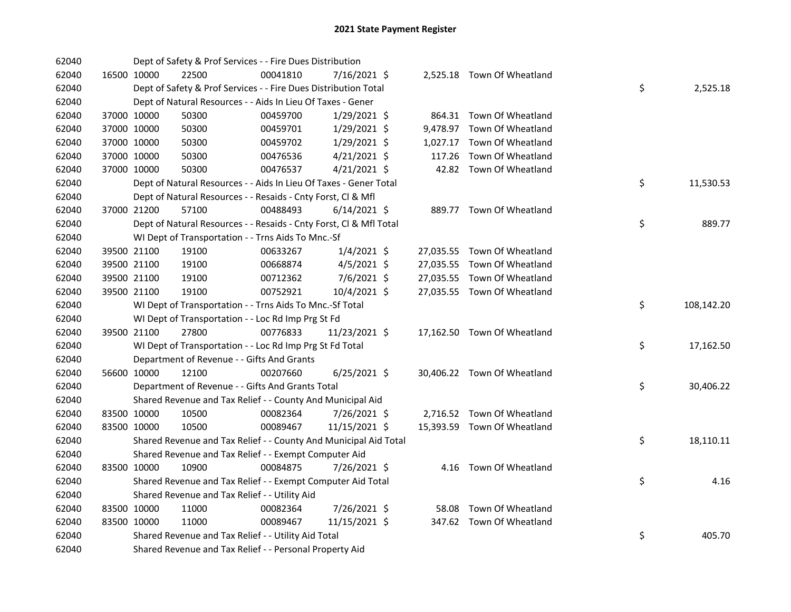| 62040 |             | Dept of Safety & Prof Services - - Fire Dues Distribution          |          |                |        |                             |    |            |
|-------|-------------|--------------------------------------------------------------------|----------|----------------|--------|-----------------------------|----|------------|
| 62040 | 16500 10000 | 22500                                                              | 00041810 | 7/16/2021 \$   |        | 2,525.18 Town Of Wheatland  |    |            |
| 62040 |             | Dept of Safety & Prof Services - - Fire Dues Distribution Total    |          |                |        |                             | \$ | 2,525.18   |
| 62040 |             | Dept of Natural Resources - - Aids In Lieu Of Taxes - Gener        |          |                |        |                             |    |            |
| 62040 | 37000 10000 | 50300                                                              | 00459700 | 1/29/2021 \$   |        | 864.31 Town Of Wheatland    |    |            |
| 62040 | 37000 10000 | 50300                                                              | 00459701 | $1/29/2021$ \$ |        | 9,478.97 Town Of Wheatland  |    |            |
| 62040 | 37000 10000 | 50300                                                              | 00459702 | 1/29/2021 \$   |        | 1,027.17 Town Of Wheatland  |    |            |
| 62040 | 37000 10000 | 50300                                                              | 00476536 | $4/21/2021$ \$ | 117.26 | Town Of Wheatland           |    |            |
| 62040 | 37000 10000 | 50300                                                              | 00476537 | $4/21/2021$ \$ |        | 42.82 Town Of Wheatland     |    |            |
| 62040 |             | Dept of Natural Resources - - Aids In Lieu Of Taxes - Gener Total  |          |                |        |                             | \$ | 11,530.53  |
| 62040 |             | Dept of Natural Resources - - Resaids - Cnty Forst, Cl & Mfl       |          |                |        |                             |    |            |
| 62040 | 37000 21200 | 57100                                                              | 00488493 | $6/14/2021$ \$ |        | 889.77 Town Of Wheatland    |    |            |
| 62040 |             | Dept of Natural Resources - - Resaids - Cnty Forst, Cl & Mfl Total |          |                |        |                             | \$ | 889.77     |
| 62040 |             | WI Dept of Transportation - - Trns Aids To Mnc.-Sf                 |          |                |        |                             |    |            |
| 62040 | 39500 21100 | 19100                                                              | 00633267 | $1/4/2021$ \$  |        | 27,035.55 Town Of Wheatland |    |            |
| 62040 | 39500 21100 | 19100                                                              | 00668874 | 4/5/2021 \$    |        | 27,035.55 Town Of Wheatland |    |            |
| 62040 | 39500 21100 | 19100                                                              | 00712362 | 7/6/2021 \$    |        | 27,035.55 Town Of Wheatland |    |            |
| 62040 | 39500 21100 | 19100                                                              | 00752921 | 10/4/2021 \$   |        | 27,035.55 Town Of Wheatland |    |            |
| 62040 |             | WI Dept of Transportation - - Trns Aids To Mnc.-Sf Total           |          |                |        |                             | \$ | 108,142.20 |
| 62040 |             | WI Dept of Transportation - - Loc Rd Imp Prg St Fd                 |          |                |        |                             |    |            |
| 62040 | 39500 21100 | 27800                                                              | 00776833 | 11/23/2021 \$  |        | 17,162.50 Town Of Wheatland |    |            |
| 62040 |             | WI Dept of Transportation - - Loc Rd Imp Prg St Fd Total           |          |                |        |                             | \$ | 17,162.50  |
| 62040 |             | Department of Revenue - - Gifts And Grants                         |          |                |        |                             |    |            |
| 62040 | 56600 10000 | 12100                                                              | 00207660 | $6/25/2021$ \$ |        | 30,406.22 Town Of Wheatland |    |            |
| 62040 |             | Department of Revenue - - Gifts And Grants Total                   |          |                |        |                             | \$ | 30,406.22  |
| 62040 |             | Shared Revenue and Tax Relief - - County And Municipal Aid         |          |                |        |                             |    |            |
| 62040 | 83500 10000 | 10500                                                              | 00082364 | 7/26/2021 \$   |        | 2,716.52 Town Of Wheatland  |    |            |
| 62040 | 83500 10000 | 10500                                                              | 00089467 | 11/15/2021 \$  |        | 15,393.59 Town Of Wheatland |    |            |
| 62040 |             | Shared Revenue and Tax Relief - - County And Municipal Aid Total   |          |                |        |                             | \$ | 18,110.11  |
| 62040 |             | Shared Revenue and Tax Relief - - Exempt Computer Aid              |          |                |        |                             |    |            |
| 62040 | 83500 10000 | 10900                                                              | 00084875 | 7/26/2021 \$   |        | 4.16 Town Of Wheatland      |    |            |
| 62040 |             | Shared Revenue and Tax Relief - - Exempt Computer Aid Total        |          |                |        |                             | \$ | 4.16       |
| 62040 |             | Shared Revenue and Tax Relief - - Utility Aid                      |          |                |        |                             |    |            |
| 62040 | 83500 10000 | 11000                                                              | 00082364 | 7/26/2021 \$   |        | 58.08 Town Of Wheatland     |    |            |
| 62040 | 83500 10000 | 11000                                                              | 00089467 | 11/15/2021 \$  |        | 347.62 Town Of Wheatland    |    |            |
| 62040 |             | Shared Revenue and Tax Relief - - Utility Aid Total                |          |                |        |                             | \$ | 405.70     |
| 62040 |             | Shared Revenue and Tax Relief - - Personal Property Aid            |          |                |        |                             |    |            |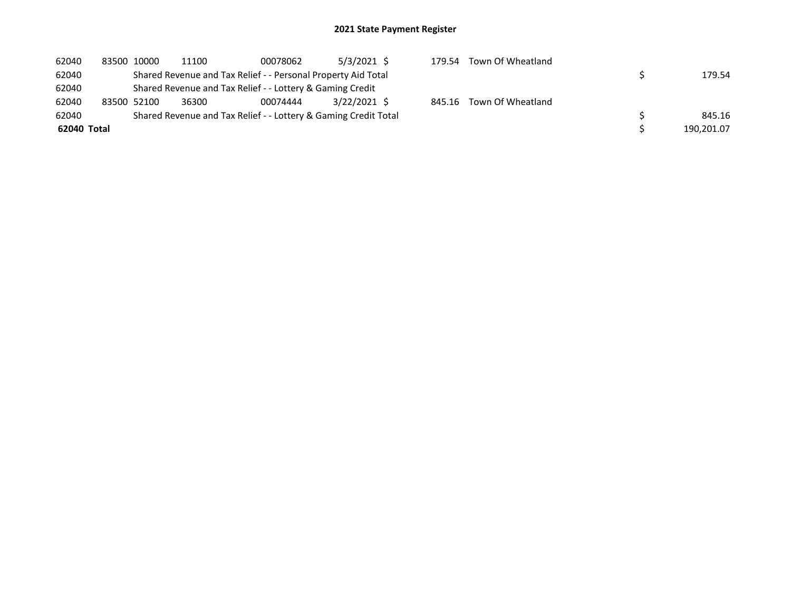| 62040       | 83500 10000 | 11100 | 00078062                                                        | $5/3/2021$ \$  | 179.54 | Town Of Wheatland        |            |
|-------------|-------------|-------|-----------------------------------------------------------------|----------------|--------|--------------------------|------------|
| 62040       |             |       | Shared Revenue and Tax Relief - - Personal Property Aid Total   |                |        |                          | 179.54     |
| 62040       |             |       | Shared Revenue and Tax Relief - - Lottery & Gaming Credit       |                |        |                          |            |
| 62040       | 83500 52100 | 36300 | 00074444                                                        | $3/22/2021$ \$ |        | 845.16 Town Of Wheatland |            |
| 62040       |             |       | Shared Revenue and Tax Relief - - Lottery & Gaming Credit Total |                |        |                          | 845.16     |
| 62040 Total |             |       |                                                                 |                |        |                          | 190,201.07 |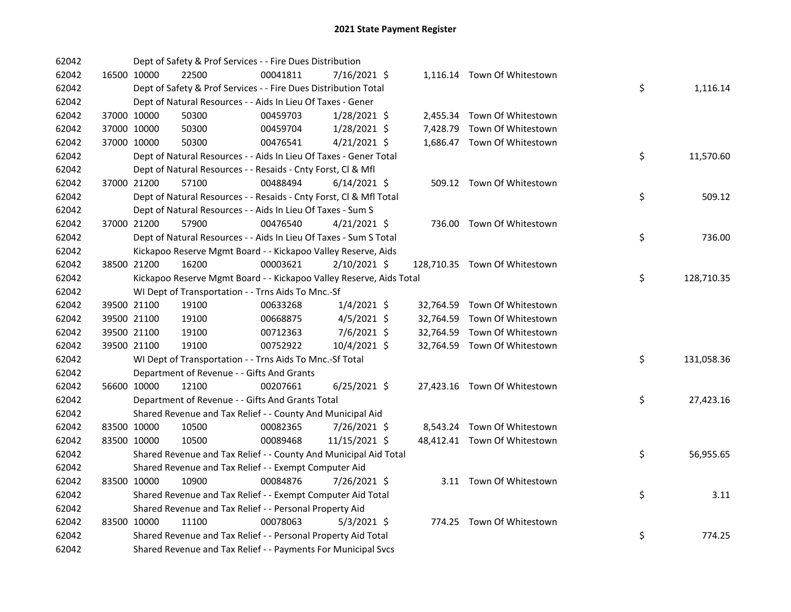| 62042 |             | Dept of Safety & Prof Services - - Fire Dues Distribution           |          |                |  |                               |    |            |
|-------|-------------|---------------------------------------------------------------------|----------|----------------|--|-------------------------------|----|------------|
| 62042 | 16500 10000 | 22500                                                               | 00041811 | 7/16/2021 \$   |  | 1,116.14 Town Of Whitestown   |    |            |
| 62042 |             | Dept of Safety & Prof Services - - Fire Dues Distribution Total     |          |                |  |                               | \$ | 1,116.14   |
| 62042 |             | Dept of Natural Resources - - Aids In Lieu Of Taxes - Gener         |          |                |  |                               |    |            |
| 62042 | 37000 10000 | 50300                                                               | 00459703 | $1/28/2021$ \$ |  | 2,455.34 Town Of Whitestown   |    |            |
| 62042 | 37000 10000 | 50300                                                               | 00459704 | $1/28/2021$ \$ |  | 7,428.79 Town Of Whitestown   |    |            |
| 62042 | 37000 10000 | 50300                                                               | 00476541 | $4/21/2021$ \$ |  | 1,686.47 Town Of Whitestown   |    |            |
| 62042 |             | Dept of Natural Resources - - Aids In Lieu Of Taxes - Gener Total   |          |                |  |                               | \$ | 11,570.60  |
| 62042 |             | Dept of Natural Resources - - Resaids - Cnty Forst, Cl & Mfl        |          |                |  |                               |    |            |
| 62042 | 37000 21200 | 57100                                                               | 00488494 | $6/14/2021$ \$ |  | 509.12 Town Of Whitestown     |    |            |
| 62042 |             | Dept of Natural Resources - - Resaids - Cnty Forst, Cl & Mfl Total  |          |                |  |                               | \$ | 509.12     |
| 62042 |             | Dept of Natural Resources - - Aids In Lieu Of Taxes - Sum S         |          |                |  |                               |    |            |
| 62042 | 37000 21200 | 57900                                                               | 00476540 | $4/21/2021$ \$ |  | 736.00 Town Of Whitestown     |    |            |
| 62042 |             | Dept of Natural Resources - - Aids In Lieu Of Taxes - Sum S Total   |          |                |  |                               | \$ | 736.00     |
| 62042 |             | Kickapoo Reserve Mgmt Board - - Kickapoo Valley Reserve, Aids       |          |                |  |                               |    |            |
| 62042 | 38500 21200 | 16200                                                               | 00003621 | 2/10/2021 \$   |  | 128,710.35 Town Of Whitestown |    |            |
| 62042 |             | Kickapoo Reserve Mgmt Board - - Kickapoo Valley Reserve, Aids Total |          |                |  |                               | \$ | 128,710.35 |
| 62042 |             | WI Dept of Transportation - - Trns Aids To Mnc.-Sf                  |          |                |  |                               |    |            |
| 62042 | 39500 21100 | 19100                                                               | 00633268 | $1/4/2021$ \$  |  | 32,764.59 Town Of Whitestown  |    |            |
| 62042 | 39500 21100 | 19100                                                               | 00668875 | $4/5/2021$ \$  |  | 32,764.59 Town Of Whitestown  |    |            |
| 62042 | 39500 21100 | 19100                                                               | 00712363 | $7/6/2021$ \$  |  | 32,764.59 Town Of Whitestown  |    |            |
| 62042 | 39500 21100 | 19100                                                               | 00752922 | 10/4/2021 \$   |  | 32,764.59 Town Of Whitestown  |    |            |
| 62042 |             | WI Dept of Transportation - - Trns Aids To Mnc.-Sf Total            |          |                |  |                               | \$ | 131,058.36 |
| 62042 |             | Department of Revenue - - Gifts And Grants                          |          |                |  |                               |    |            |
| 62042 | 56600 10000 | 12100                                                               | 00207661 | $6/25/2021$ \$ |  | 27,423.16 Town Of Whitestown  |    |            |
| 62042 |             | Department of Revenue - - Gifts And Grants Total                    |          |                |  |                               | \$ | 27,423.16  |
| 62042 |             | Shared Revenue and Tax Relief - - County And Municipal Aid          |          |                |  |                               |    |            |
| 62042 | 83500 10000 | 10500                                                               | 00082365 | 7/26/2021 \$   |  | 8,543.24 Town Of Whitestown   |    |            |
| 62042 | 83500 10000 | 10500                                                               | 00089468 | 11/15/2021 \$  |  | 48,412.41 Town Of Whitestown  |    |            |
| 62042 |             | Shared Revenue and Tax Relief - - County And Municipal Aid Total    |          |                |  |                               | \$ | 56,955.65  |
| 62042 |             | Shared Revenue and Tax Relief - - Exempt Computer Aid               |          |                |  |                               |    |            |
| 62042 | 83500 10000 | 10900                                                               | 00084876 | 7/26/2021 \$   |  | 3.11 Town Of Whitestown       |    |            |
| 62042 |             | Shared Revenue and Tax Relief - - Exempt Computer Aid Total         |          |                |  |                               | \$ | 3.11       |
| 62042 |             | Shared Revenue and Tax Relief - - Personal Property Aid             |          |                |  |                               |    |            |
| 62042 | 83500 10000 | 11100                                                               | 00078063 | $5/3/2021$ \$  |  | 774.25 Town Of Whitestown     |    |            |
| 62042 |             | Shared Revenue and Tax Relief - - Personal Property Aid Total       |          |                |  |                               | \$ | 774.25     |
| 62042 |             | Shared Revenue and Tax Relief - - Payments For Municipal Svcs       |          |                |  |                               |    |            |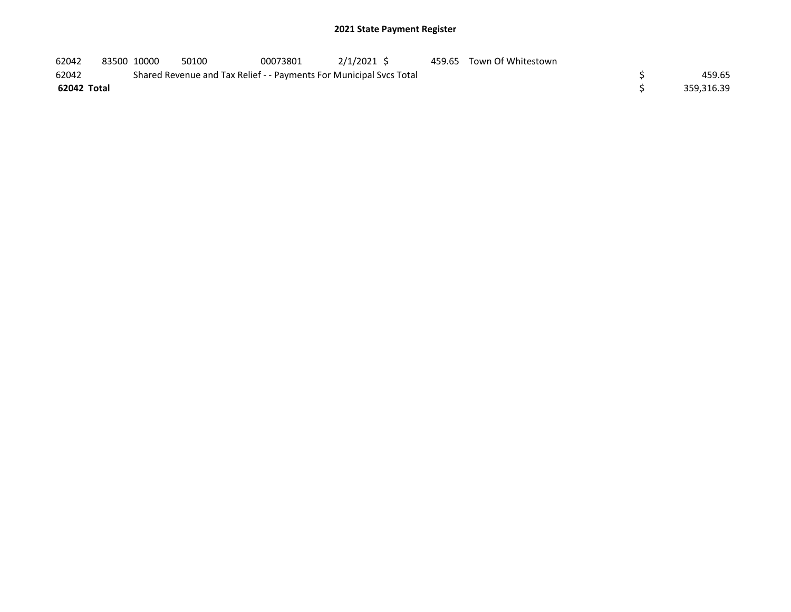| 62042       | 83500 10000 | 50100 | 00073801 | $2/1/2021$ \$                                                       | 459.65 Town Of Whitestown |            |
|-------------|-------------|-------|----------|---------------------------------------------------------------------|---------------------------|------------|
| 62042       |             |       |          | Shared Revenue and Tax Relief - - Payments For Municipal Svcs Total |                           | 459.65     |
| 62042 Total |             |       |          |                                                                     |                           | 359.316.39 |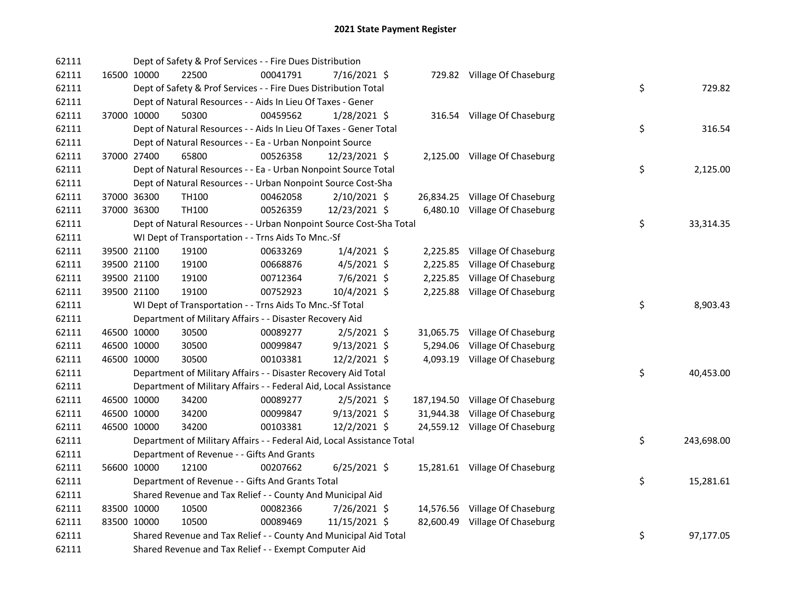| 62111 |             | Dept of Safety & Prof Services - - Fire Dues Distribution              |          |                |           |                                 |    |            |
|-------|-------------|------------------------------------------------------------------------|----------|----------------|-----------|---------------------------------|----|------------|
| 62111 | 16500 10000 | 22500                                                                  | 00041791 | 7/16/2021 \$   |           | 729.82 Village Of Chaseburg     |    |            |
| 62111 |             | Dept of Safety & Prof Services - - Fire Dues Distribution Total        |          |                |           |                                 | \$ | 729.82     |
| 62111 |             | Dept of Natural Resources - - Aids In Lieu Of Taxes - Gener            |          |                |           |                                 |    |            |
| 62111 | 37000 10000 | 50300                                                                  | 00459562 | 1/28/2021 \$   |           | 316.54 Village Of Chaseburg     |    |            |
| 62111 |             | Dept of Natural Resources - - Aids In Lieu Of Taxes - Gener Total      |          |                |           |                                 | \$ | 316.54     |
| 62111 |             | Dept of Natural Resources - - Ea - Urban Nonpoint Source               |          |                |           |                                 |    |            |
| 62111 | 37000 27400 | 65800                                                                  | 00526358 | 12/23/2021 \$  |           | 2,125.00 Village Of Chaseburg   |    |            |
| 62111 |             | Dept of Natural Resources - - Ea - Urban Nonpoint Source Total         |          |                |           |                                 | \$ | 2,125.00   |
| 62111 |             | Dept of Natural Resources - - Urban Nonpoint Source Cost-Sha           |          |                |           |                                 |    |            |
| 62111 | 37000 36300 | TH <sub>100</sub>                                                      | 00462058 | $2/10/2021$ \$ |           | 26,834.25 Village Of Chaseburg  |    |            |
| 62111 | 37000 36300 | TH <sub>100</sub>                                                      | 00526359 | 12/23/2021 \$  |           | 6,480.10 Village Of Chaseburg   |    |            |
| 62111 |             | Dept of Natural Resources - - Urban Nonpoint Source Cost-Sha Total     |          |                |           |                                 | \$ | 33,314.35  |
| 62111 |             | WI Dept of Transportation - - Trns Aids To Mnc.-Sf                     |          |                |           |                                 |    |            |
| 62111 | 39500 21100 | 19100                                                                  | 00633269 | $1/4/2021$ \$  |           | 2,225.85 Village Of Chaseburg   |    |            |
| 62111 | 39500 21100 | 19100                                                                  | 00668876 | $4/5/2021$ \$  | 2,225.85  | Village Of Chaseburg            |    |            |
| 62111 | 39500 21100 | 19100                                                                  | 00712364 | $7/6/2021$ \$  | 2,225.85  | Village Of Chaseburg            |    |            |
| 62111 | 39500 21100 | 19100                                                                  | 00752923 | 10/4/2021 \$   |           | 2,225.88 Village Of Chaseburg   |    |            |
| 62111 |             | WI Dept of Transportation - - Trns Aids To Mnc.-Sf Total               |          |                |           |                                 | \$ | 8,903.43   |
| 62111 |             | Department of Military Affairs - - Disaster Recovery Aid               |          |                |           |                                 |    |            |
| 62111 | 46500 10000 | 30500                                                                  | 00089277 | $2/5/2021$ \$  | 31,065.75 | Village Of Chaseburg            |    |            |
| 62111 | 46500 10000 | 30500                                                                  | 00099847 | $9/13/2021$ \$ | 5,294.06  | Village Of Chaseburg            |    |            |
| 62111 | 46500 10000 | 30500                                                                  | 00103381 | 12/2/2021 \$   |           | 4,093.19 Village Of Chaseburg   |    |            |
| 62111 |             | Department of Military Affairs - - Disaster Recovery Aid Total         |          |                |           |                                 | \$ | 40,453.00  |
| 62111 |             | Department of Military Affairs - - Federal Aid, Local Assistance       |          |                |           |                                 |    |            |
| 62111 | 46500 10000 | 34200                                                                  | 00089277 | $2/5/2021$ \$  |           | 187,194.50 Village Of Chaseburg |    |            |
| 62111 | 46500 10000 | 34200                                                                  | 00099847 | $9/13/2021$ \$ | 31,944.38 | Village Of Chaseburg            |    |            |
| 62111 | 46500 10000 | 34200                                                                  | 00103381 | 12/2/2021 \$   |           | 24,559.12 Village Of Chaseburg  |    |            |
| 62111 |             | Department of Military Affairs - - Federal Aid, Local Assistance Total |          |                |           |                                 | \$ | 243,698.00 |
| 62111 |             | Department of Revenue - - Gifts And Grants                             |          |                |           |                                 |    |            |
| 62111 | 56600 10000 | 12100                                                                  | 00207662 | $6/25/2021$ \$ |           | 15,281.61 Village Of Chaseburg  |    |            |
| 62111 |             | Department of Revenue - - Gifts And Grants Total                       |          |                |           |                                 | \$ | 15,281.61  |
| 62111 |             | Shared Revenue and Tax Relief - - County And Municipal Aid             |          |                |           |                                 |    |            |
| 62111 | 83500 10000 | 10500                                                                  | 00082366 | 7/26/2021 \$   |           | 14,576.56 Village Of Chaseburg  |    |            |
| 62111 | 83500 10000 | 10500                                                                  | 00089469 | 11/15/2021 \$  |           | 82,600.49 Village Of Chaseburg  |    |            |
| 62111 |             | Shared Revenue and Tax Relief - - County And Municipal Aid Total       |          |                |           |                                 | \$ | 97,177.05  |
| 62111 |             | Shared Revenue and Tax Relief - - Exempt Computer Aid                  |          |                |           |                                 |    |            |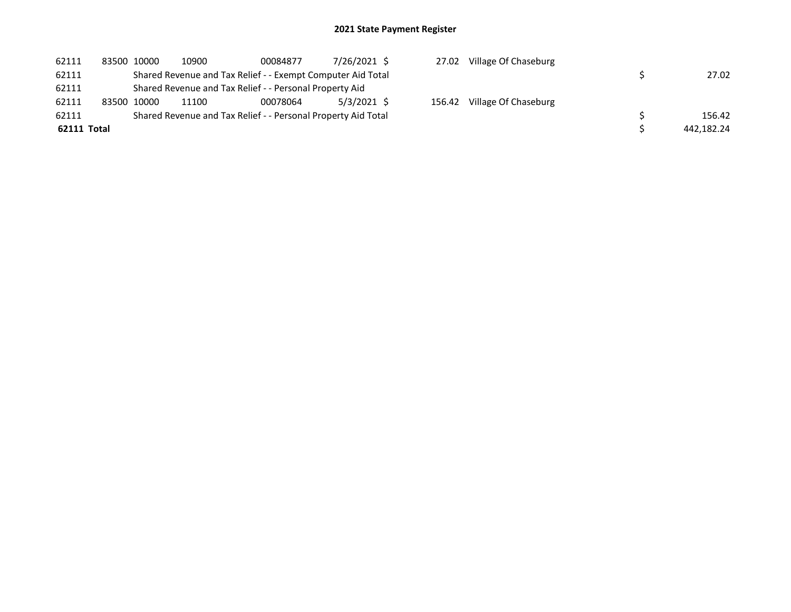| 62111       | 83500 10000 | 10900 | 00084877                                                      | 7/26/2021 \$ | 27.02  | Village Of Chaseburg |            |
|-------------|-------------|-------|---------------------------------------------------------------|--------------|--------|----------------------|------------|
| 62111       |             |       | Shared Revenue and Tax Relief - - Exempt Computer Aid Total   |              |        |                      | 27.02      |
| 62111       |             |       | Shared Revenue and Tax Relief - - Personal Property Aid       |              |        |                      |            |
| 62111       | 83500 10000 | 11100 | 00078064                                                      | 5/3/2021 \$  | 156.42 | Village Of Chaseburg |            |
| 62111       |             |       | Shared Revenue and Tax Relief - - Personal Property Aid Total |              |        |                      | 156.42     |
| 62111 Total |             |       |                                                               |              |        |                      | 442,182.24 |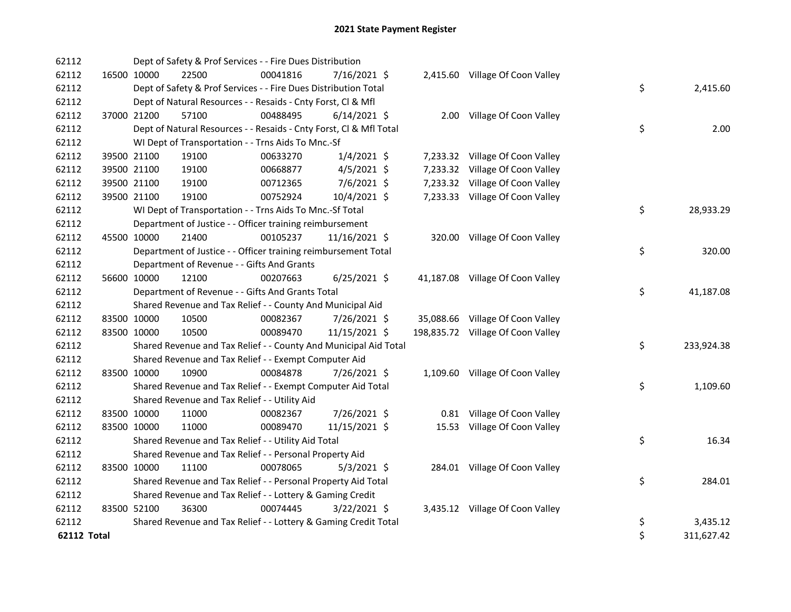| 62112              |             | Dept of Safety & Prof Services - - Fire Dues Distribution          |          |                |                                   |                  |
|--------------------|-------------|--------------------------------------------------------------------|----------|----------------|-----------------------------------|------------------|
| 62112              |             | 16500 10000<br>22500                                               | 00041816 | 7/16/2021 \$   | 2,415.60 Village Of Coon Valley   |                  |
| 62112              |             | Dept of Safety & Prof Services - - Fire Dues Distribution Total    |          |                |                                   | \$<br>2,415.60   |
| 62112              |             | Dept of Natural Resources - - Resaids - Cnty Forst, CI & Mfl       |          |                |                                   |                  |
| 62112              | 37000 21200 | 57100                                                              | 00488495 | $6/14/2021$ \$ | 2.00 Village Of Coon Valley       |                  |
| 62112              |             | Dept of Natural Resources - - Resaids - Cnty Forst, Cl & Mfl Total |          |                |                                   | \$<br>2.00       |
| 62112              |             | WI Dept of Transportation - - Trns Aids To Mnc.-Sf                 |          |                |                                   |                  |
| 62112              |             | 39500 21100<br>19100                                               | 00633270 | $1/4/2021$ \$  | 7,233.32 Village Of Coon Valley   |                  |
| 62112              |             | 39500 21100<br>19100                                               | 00668877 | $4/5/2021$ \$  | 7,233.32 Village Of Coon Valley   |                  |
| 62112              |             | 39500 21100<br>19100                                               | 00712365 | 7/6/2021 \$    | 7,233.32 Village Of Coon Valley   |                  |
| 62112              |             | 39500 21100<br>19100                                               | 00752924 | 10/4/2021 \$   | 7,233.33 Village Of Coon Valley   |                  |
| 62112              |             | WI Dept of Transportation - - Trns Aids To Mnc.-Sf Total           |          |                |                                   | \$<br>28,933.29  |
| 62112              |             | Department of Justice - - Officer training reimbursement           |          |                |                                   |                  |
| 62112              |             | 45500 10000<br>21400                                               | 00105237 | 11/16/2021 \$  | 320.00 Village Of Coon Valley     |                  |
| 62112              |             | Department of Justice - - Officer training reimbursement Total     |          |                |                                   | \$<br>320.00     |
| 62112              |             | Department of Revenue - - Gifts And Grants                         |          |                |                                   |                  |
| 62112              |             | 56600 10000<br>12100                                               | 00207663 | $6/25/2021$ \$ | 41,187.08 Village Of Coon Valley  |                  |
| 62112              |             | Department of Revenue - - Gifts And Grants Total                   |          |                |                                   | \$<br>41,187.08  |
| 62112              |             | Shared Revenue and Tax Relief - - County And Municipal Aid         |          |                |                                   |                  |
| 62112              |             | 83500 10000<br>10500                                               | 00082367 | 7/26/2021 \$   | 35,088.66 Village Of Coon Valley  |                  |
| 62112              |             | 83500 10000<br>10500                                               | 00089470 | 11/15/2021 \$  | 198,835.72 Village Of Coon Valley |                  |
| 62112              |             | Shared Revenue and Tax Relief - - County And Municipal Aid Total   |          |                |                                   | \$<br>233,924.38 |
| 62112              |             | Shared Revenue and Tax Relief - - Exempt Computer Aid              |          |                |                                   |                  |
| 62112              |             | 83500 10000<br>10900                                               | 00084878 | 7/26/2021 \$   | 1,109.60 Village Of Coon Valley   |                  |
| 62112              |             | Shared Revenue and Tax Relief - - Exempt Computer Aid Total        |          |                |                                   | \$<br>1,109.60   |
| 62112              |             | Shared Revenue and Tax Relief - - Utility Aid                      |          |                |                                   |                  |
| 62112              |             | 83500 10000<br>11000                                               | 00082367 | 7/26/2021 \$   | 0.81 Village Of Coon Valley       |                  |
| 62112              |             | 83500 10000<br>11000                                               | 00089470 | 11/15/2021 \$  | 15.53 Village Of Coon Valley      |                  |
| 62112              |             | Shared Revenue and Tax Relief - - Utility Aid Total                |          |                |                                   | \$<br>16.34      |
| 62112              |             | Shared Revenue and Tax Relief - - Personal Property Aid            |          |                |                                   |                  |
| 62112              |             | 83500 10000<br>11100                                               | 00078065 | $5/3/2021$ \$  | 284.01 Village Of Coon Valley     |                  |
| 62112              |             | Shared Revenue and Tax Relief - - Personal Property Aid Total      |          |                |                                   | \$<br>284.01     |
| 62112              |             | Shared Revenue and Tax Relief - - Lottery & Gaming Credit          |          |                |                                   |                  |
| 62112              |             | 36300<br>83500 52100                                               | 00074445 | $3/22/2021$ \$ | 3,435.12 Village Of Coon Valley   |                  |
| 62112              |             | Shared Revenue and Tax Relief - - Lottery & Gaming Credit Total    |          |                |                                   | \$<br>3,435.12   |
| <b>62112 Total</b> |             |                                                                    |          |                |                                   | \$<br>311,627.42 |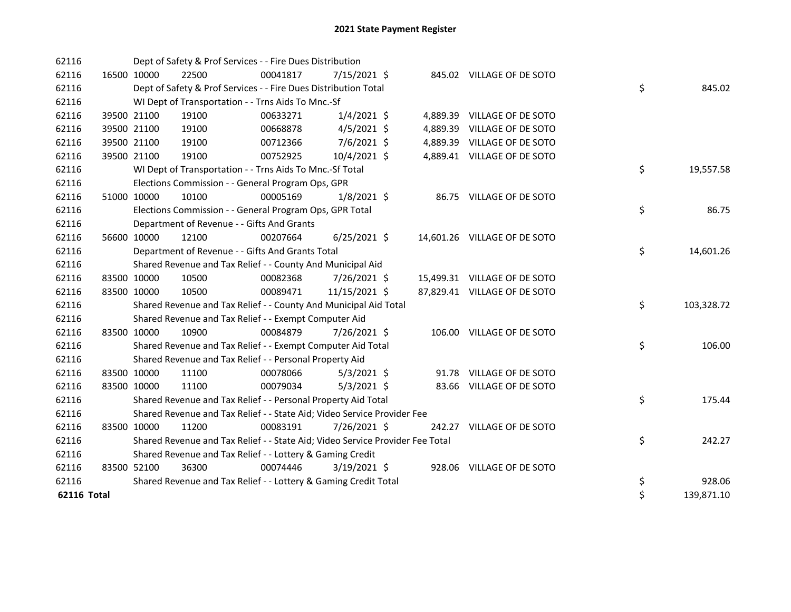| 62116              |             |             | Dept of Safety & Prof Services - - Fire Dues Distribution                     |          |                |  |                              |    |            |
|--------------------|-------------|-------------|-------------------------------------------------------------------------------|----------|----------------|--|------------------------------|----|------------|
| 62116              |             | 16500 10000 | 22500                                                                         | 00041817 | 7/15/2021 \$   |  | 845.02 VILLAGE OF DE SOTO    |    |            |
| 62116              |             |             | Dept of Safety & Prof Services - - Fire Dues Distribution Total               |          |                |  |                              | \$ | 845.02     |
| 62116              |             |             | WI Dept of Transportation - - Trns Aids To Mnc.-Sf                            |          |                |  |                              |    |            |
| 62116              |             | 39500 21100 | 19100                                                                         | 00633271 | $1/4/2021$ \$  |  | 4,889.39 VILLAGE OF DE SOTO  |    |            |
| 62116              |             | 39500 21100 | 19100                                                                         | 00668878 | $4/5/2021$ \$  |  | 4,889.39 VILLAGE OF DE SOTO  |    |            |
| 62116              |             | 39500 21100 | 19100                                                                         | 00712366 | 7/6/2021 \$    |  | 4,889.39 VILLAGE OF DE SOTO  |    |            |
| 62116              |             | 39500 21100 | 19100                                                                         | 00752925 | 10/4/2021 \$   |  | 4,889.41 VILLAGE OF DE SOTO  |    |            |
| 62116              |             |             | WI Dept of Transportation - - Trns Aids To Mnc.-Sf Total                      |          |                |  |                              | \$ | 19,557.58  |
| 62116              |             |             | Elections Commission - - General Program Ops, GPR                             |          |                |  |                              |    |            |
| 62116              |             | 51000 10000 | 10100                                                                         | 00005169 | $1/8/2021$ \$  |  | 86.75 VILLAGE OF DE SOTO     |    |            |
| 62116              |             |             | Elections Commission - - General Program Ops, GPR Total                       |          |                |  |                              | \$ | 86.75      |
| 62116              |             |             | Department of Revenue - - Gifts And Grants                                    |          |                |  |                              |    |            |
| 62116              |             | 56600 10000 | 12100                                                                         | 00207664 | $6/25/2021$ \$ |  | 14,601.26 VILLAGE OF DE SOTO |    |            |
| 62116              |             |             | Department of Revenue - - Gifts And Grants Total                              |          |                |  |                              | \$ | 14,601.26  |
| 62116              |             |             | Shared Revenue and Tax Relief - - County And Municipal Aid                    |          |                |  |                              |    |            |
| 62116              |             | 83500 10000 | 10500                                                                         | 00082368 | 7/26/2021 \$   |  | 15,499.31 VILLAGE OF DE SOTO |    |            |
| 62116              |             | 83500 10000 | 10500                                                                         | 00089471 | 11/15/2021 \$  |  | 87,829.41 VILLAGE OF DE SOTO |    |            |
| 62116              |             |             | Shared Revenue and Tax Relief - - County And Municipal Aid Total              |          |                |  |                              | \$ | 103,328.72 |
| 62116              |             |             | Shared Revenue and Tax Relief - - Exempt Computer Aid                         |          |                |  |                              |    |            |
| 62116              |             | 83500 10000 | 10900                                                                         | 00084879 | 7/26/2021 \$   |  | 106.00 VILLAGE OF DE SOTO    |    |            |
| 62116              |             |             | Shared Revenue and Tax Relief - - Exempt Computer Aid Total                   |          |                |  |                              | \$ | 106.00     |
| 62116              |             |             | Shared Revenue and Tax Relief - - Personal Property Aid                       |          |                |  |                              |    |            |
| 62116              |             | 83500 10000 | 11100                                                                         | 00078066 | $5/3/2021$ \$  |  | 91.78 VILLAGE OF DE SOTO     |    |            |
| 62116              |             | 83500 10000 | 11100                                                                         | 00079034 | $5/3/2021$ \$  |  | 83.66 VILLAGE OF DE SOTO     |    |            |
| 62116              |             |             | Shared Revenue and Tax Relief - - Personal Property Aid Total                 |          |                |  |                              | \$ | 175.44     |
| 62116              |             |             | Shared Revenue and Tax Relief - - State Aid; Video Service Provider Fee       |          |                |  |                              |    |            |
| 62116              |             | 83500 10000 | 11200                                                                         | 00083191 | 7/26/2021 \$   |  | 242.27 VILLAGE OF DE SOTO    |    |            |
| 62116              |             |             | Shared Revenue and Tax Relief - - State Aid; Video Service Provider Fee Total |          |                |  |                              | \$ | 242.27     |
| 62116              |             |             | Shared Revenue and Tax Relief - - Lottery & Gaming Credit                     |          |                |  |                              |    |            |
| 62116              | 83500 52100 |             | 36300                                                                         | 00074446 | $3/19/2021$ \$ |  | 928.06 VILLAGE OF DE SOTO    |    |            |
| 62116              |             |             | Shared Revenue and Tax Relief - - Lottery & Gaming Credit Total               |          |                |  |                              | \$ | 928.06     |
| <b>62116 Total</b> |             |             |                                                                               |          |                |  |                              | \$ | 139,871.10 |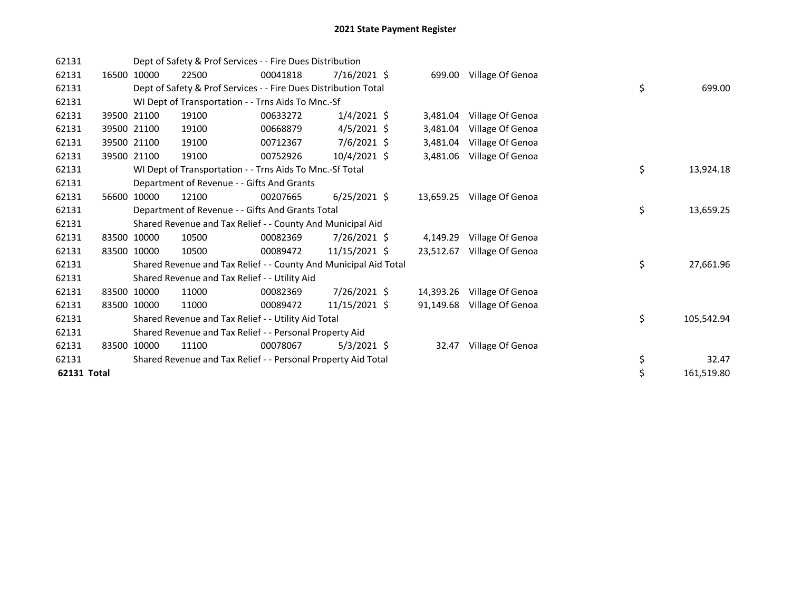| 62131       |       |             | Dept of Safety & Prof Services - - Fire Dues Distribution        |          |                 |           |                            |    |            |
|-------------|-------|-------------|------------------------------------------------------------------|----------|-----------------|-----------|----------------------------|----|------------|
| 62131       | 16500 | 10000       | 22500                                                            | 00041818 | $7/16/2021$ \$  |           | 699.00 Village Of Genoa    |    |            |
| 62131       |       |             | Dept of Safety & Prof Services - - Fire Dues Distribution Total  |          |                 |           |                            | \$ | 699.00     |
| 62131       |       |             | WI Dept of Transportation - - Trns Aids To Mnc.-Sf               |          |                 |           |                            |    |            |
| 62131       |       | 39500 21100 | 19100                                                            | 00633272 | $1/4/2021$ \$   | 3,481.04  | Village Of Genoa           |    |            |
| 62131       |       | 39500 21100 | 19100                                                            | 00668879 | $4/5/2021$ \$   | 3,481.04  | Village Of Genoa           |    |            |
| 62131       |       | 39500 21100 | 19100                                                            | 00712367 | $7/6/2021$ \$   | 3,481.04  | Village Of Genoa           |    |            |
| 62131       |       | 39500 21100 | 19100                                                            | 00752926 | 10/4/2021 \$    | 3,481.06  | Village Of Genoa           |    |            |
| 62131       |       |             | WI Dept of Transportation - - Trns Aids To Mnc.-Sf Total         |          |                 |           |                            | \$ | 13,924.18  |
| 62131       |       |             | Department of Revenue - - Gifts And Grants                       |          |                 |           |                            |    |            |
| 62131       | 56600 | 10000       | 12100                                                            | 00207665 | $6/25/2021$ \$  |           | 13,659.25 Village Of Genoa |    |            |
| 62131       |       |             | Department of Revenue - - Gifts And Grants Total                 |          |                 |           |                            | \$ | 13,659.25  |
| 62131       |       |             | Shared Revenue and Tax Relief - - County And Municipal Aid       |          |                 |           |                            |    |            |
| 62131       |       | 83500 10000 | 10500                                                            | 00082369 | 7/26/2021 \$    | 4,149.29  | Village Of Genoa           |    |            |
| 62131       |       | 83500 10000 | 10500                                                            | 00089472 | $11/15/2021$ \$ | 23,512.67 | Village Of Genoa           |    |            |
| 62131       |       |             | Shared Revenue and Tax Relief - - County And Municipal Aid Total |          |                 |           |                            | \$ | 27,661.96  |
| 62131       |       |             | Shared Revenue and Tax Relief - - Utility Aid                    |          |                 |           |                            |    |            |
| 62131       | 83500 | 10000       | 11000                                                            | 00082369 | 7/26/2021 \$    | 14,393.26 | Village Of Genoa           |    |            |
| 62131       |       | 83500 10000 | 11000                                                            | 00089472 | 11/15/2021 \$   | 91,149.68 | Village Of Genoa           |    |            |
| 62131       |       |             | Shared Revenue and Tax Relief - - Utility Aid Total              |          |                 |           |                            | \$ | 105,542.94 |
| 62131       |       |             | Shared Revenue and Tax Relief - - Personal Property Aid          |          |                 |           |                            |    |            |
| 62131       |       | 83500 10000 | 11100                                                            | 00078067 | $5/3/2021$ \$   | 32.47     | Village Of Genoa           |    |            |
| 62131       |       |             | Shared Revenue and Tax Relief - - Personal Property Aid Total    |          |                 |           |                            | \$ | 32.47      |
| 62131 Total |       |             |                                                                  |          |                 |           |                            | \$ | 161,519.80 |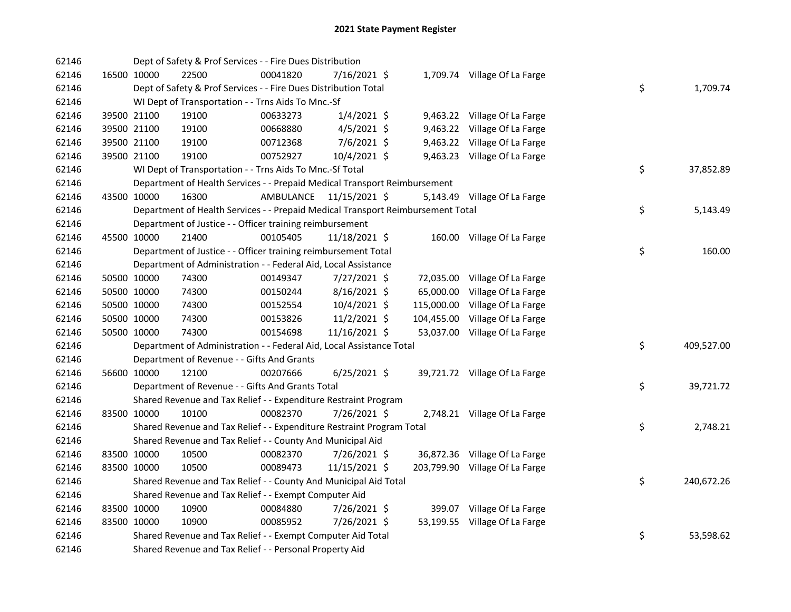| 62146 |             | Dept of Safety & Prof Services - - Fire Dues Distribution                       |           |                |            |                                |    |            |
|-------|-------------|---------------------------------------------------------------------------------|-----------|----------------|------------|--------------------------------|----|------------|
| 62146 | 16500 10000 | 22500                                                                           | 00041820  | 7/16/2021 \$   |            | 1,709.74 Village Of La Farge   |    |            |
| 62146 |             | Dept of Safety & Prof Services - - Fire Dues Distribution Total                 |           |                |            |                                | \$ | 1,709.74   |
| 62146 |             | WI Dept of Transportation - - Trns Aids To Mnc.-Sf                              |           |                |            |                                |    |            |
| 62146 | 39500 21100 | 19100                                                                           | 00633273  | $1/4/2021$ \$  |            | 9,463.22 Village Of La Farge   |    |            |
| 62146 | 39500 21100 | 19100                                                                           | 00668880  | $4/5/2021$ \$  |            | 9,463.22 Village Of La Farge   |    |            |
| 62146 | 39500 21100 | 19100                                                                           | 00712368  | 7/6/2021 \$    |            | 9,463.22 Village Of La Farge   |    |            |
| 62146 | 39500 21100 | 19100                                                                           | 00752927  | 10/4/2021 \$   |            | 9,463.23 Village Of La Farge   |    |            |
| 62146 |             | WI Dept of Transportation - - Trns Aids To Mnc.-Sf Total                        |           |                |            |                                | \$ | 37,852.89  |
| 62146 |             | Department of Health Services - - Prepaid Medical Transport Reimbursement       |           |                |            |                                |    |            |
| 62146 | 43500 10000 | 16300                                                                           | AMBULANCE | 11/15/2021 \$  |            | 5,143.49 Village Of La Farge   |    |            |
| 62146 |             | Department of Health Services - - Prepaid Medical Transport Reimbursement Total |           |                |            |                                | \$ | 5,143.49   |
| 62146 |             | Department of Justice - - Officer training reimbursement                        |           |                |            |                                |    |            |
| 62146 | 45500 10000 | 21400                                                                           | 00105405  | 11/18/2021 \$  |            | 160.00 Village Of La Farge     |    |            |
| 62146 |             | Department of Justice - - Officer training reimbursement Total                  |           |                |            |                                | \$ | 160.00     |
| 62146 |             | Department of Administration - - Federal Aid, Local Assistance                  |           |                |            |                                |    |            |
| 62146 | 50500 10000 | 74300                                                                           | 00149347  | 7/27/2021 \$   |            | 72,035.00 Village Of La Farge  |    |            |
| 62146 | 50500 10000 | 74300                                                                           | 00150244  | $8/16/2021$ \$ | 65,000.00  | Village Of La Farge            |    |            |
| 62146 | 50500 10000 | 74300                                                                           | 00152554  | 10/4/2021 \$   | 115,000.00 | Village Of La Farge            |    |            |
| 62146 | 50500 10000 | 74300                                                                           | 00153826  | $11/2/2021$ \$ | 104,455.00 | Village Of La Farge            |    |            |
| 62146 | 50500 10000 | 74300                                                                           | 00154698  | 11/16/2021 \$  |            | 53,037.00 Village Of La Farge  |    |            |
| 62146 |             | Department of Administration - - Federal Aid, Local Assistance Total            |           |                |            |                                | \$ | 409,527.00 |
| 62146 |             | Department of Revenue - - Gifts And Grants                                      |           |                |            |                                |    |            |
| 62146 | 56600 10000 | 12100                                                                           | 00207666  | $6/25/2021$ \$ |            | 39,721.72 Village Of La Farge  |    |            |
| 62146 |             | Department of Revenue - - Gifts And Grants Total                                |           |                |            |                                | \$ | 39,721.72  |
| 62146 |             | Shared Revenue and Tax Relief - - Expenditure Restraint Program                 |           |                |            |                                |    |            |
| 62146 | 83500 10000 | 10100                                                                           | 00082370  | 7/26/2021 \$   |            | 2,748.21 Village Of La Farge   |    |            |
| 62146 |             | Shared Revenue and Tax Relief - - Expenditure Restraint Program Total           |           |                |            |                                | \$ | 2,748.21   |
| 62146 |             | Shared Revenue and Tax Relief - - County And Municipal Aid                      |           |                |            |                                |    |            |
| 62146 | 83500 10000 | 10500                                                                           | 00082370  | 7/26/2021 \$   |            | 36,872.36 Village Of La Farge  |    |            |
| 62146 | 83500 10000 | 10500                                                                           | 00089473  | 11/15/2021 \$  |            | 203,799.90 Village Of La Farge |    |            |
| 62146 |             | Shared Revenue and Tax Relief - - County And Municipal Aid Total                |           |                |            |                                | \$ | 240,672.26 |
| 62146 |             | Shared Revenue and Tax Relief - - Exempt Computer Aid                           |           |                |            |                                |    |            |
| 62146 | 83500 10000 | 10900                                                                           | 00084880  | 7/26/2021 \$   |            | 399.07 Village Of La Farge     |    |            |
| 62146 | 83500 10000 | 10900                                                                           | 00085952  | 7/26/2021 \$   |            | 53,199.55 Village Of La Farge  |    |            |
| 62146 |             | Shared Revenue and Tax Relief - - Exempt Computer Aid Total                     |           |                |            |                                | \$ | 53,598.62  |
| 62146 |             | Shared Revenue and Tax Relief - - Personal Property Aid                         |           |                |            |                                |    |            |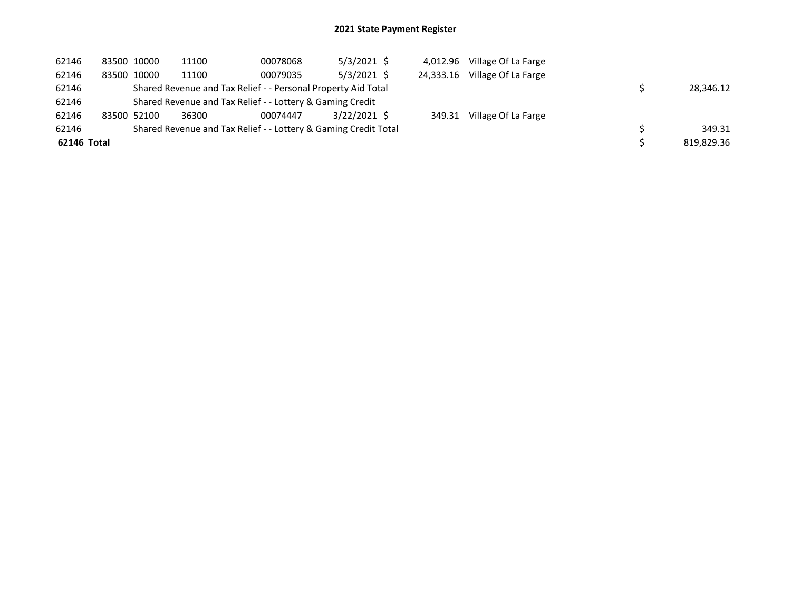| 62146       | 83500 10000 | 11100 | 00078068                                                        | $5/3/2021$ \$  | 4.012.96  | Village Of La Farge |            |
|-------------|-------------|-------|-----------------------------------------------------------------|----------------|-----------|---------------------|------------|
| 62146       | 83500 10000 | 11100 | 00079035                                                        | $5/3/2021$ \$  | 24.333.16 | Village Of La Farge |            |
| 62146       |             |       | Shared Revenue and Tax Relief - - Personal Property Aid Total   |                |           |                     | 28,346.12  |
| 62146       |             |       | Shared Revenue and Tax Relief - - Lottery & Gaming Credit       |                |           |                     |            |
| 62146       | 83500 52100 | 36300 | 00074447                                                        | $3/22/2021$ \$ | 349.31    | Village Of La Farge |            |
| 62146       |             |       | Shared Revenue and Tax Relief - - Lottery & Gaming Credit Total |                |           |                     | 349.31     |
| 62146 Total |             |       |                                                                 |                |           |                     | 819,829.36 |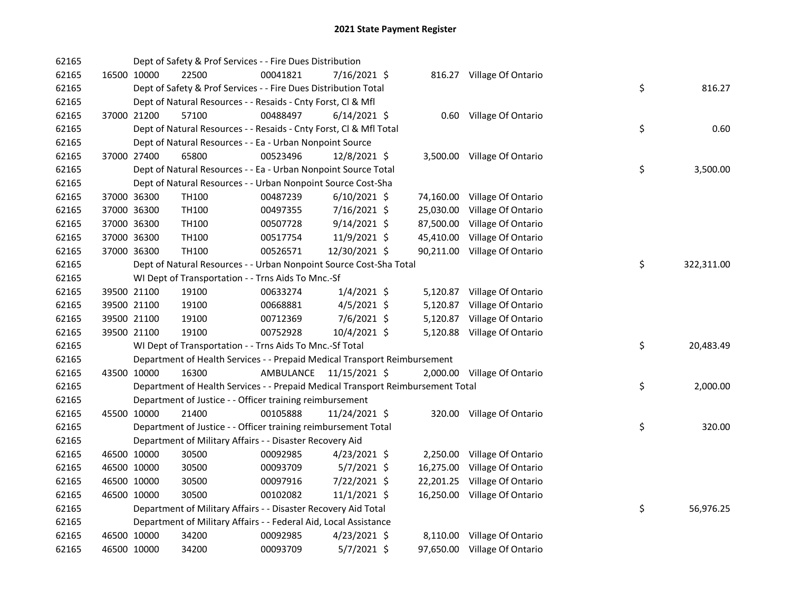| 62165 |             |             | Dept of Safety & Prof Services - - Fire Dues Distribution                       |           |                |           |                              |    |            |
|-------|-------------|-------------|---------------------------------------------------------------------------------|-----------|----------------|-----------|------------------------------|----|------------|
| 62165 |             | 16500 10000 | 22500                                                                           | 00041821  | 7/16/2021 \$   |           | 816.27 Village Of Ontario    |    |            |
| 62165 |             |             | Dept of Safety & Prof Services - - Fire Dues Distribution Total                 |           |                |           |                              | \$ | 816.27     |
| 62165 |             |             | Dept of Natural Resources - - Resaids - Cnty Forst, Cl & Mfl                    |           |                |           |                              |    |            |
| 62165 |             | 37000 21200 | 57100                                                                           | 00488497  | $6/14/2021$ \$ |           | 0.60 Village Of Ontario      |    |            |
| 62165 |             |             | Dept of Natural Resources - - Resaids - Cnty Forst, Cl & Mfl Total              |           |                |           |                              | \$ | 0.60       |
| 62165 |             |             | Dept of Natural Resources - - Ea - Urban Nonpoint Source                        |           |                |           |                              |    |            |
| 62165 |             | 37000 27400 | 65800                                                                           | 00523496  | 12/8/2021 \$   |           | 3,500.00 Village Of Ontario  |    |            |
| 62165 |             |             | Dept of Natural Resources - - Ea - Urban Nonpoint Source Total                  |           |                |           |                              | \$ | 3,500.00   |
| 62165 |             |             | Dept of Natural Resources - - Urban Nonpoint Source Cost-Sha                    |           |                |           |                              |    |            |
| 62165 |             | 37000 36300 | TH <sub>100</sub>                                                               | 00487239  | $6/10/2021$ \$ |           | 74,160.00 Village Of Ontario |    |            |
| 62165 |             | 37000 36300 | TH100                                                                           | 00497355  | 7/16/2021 \$   |           | 25,030.00 Village Of Ontario |    |            |
| 62165 |             | 37000 36300 | TH100                                                                           | 00507728  | $9/14/2021$ \$ |           | 87,500.00 Village Of Ontario |    |            |
| 62165 |             | 37000 36300 | TH100                                                                           | 00517754  | 11/9/2021 \$   |           | 45,410.00 Village Of Ontario |    |            |
| 62165 |             | 37000 36300 | TH100                                                                           | 00526571  | 12/30/2021 \$  |           | 90,211.00 Village Of Ontario |    |            |
| 62165 |             |             | Dept of Natural Resources - - Urban Nonpoint Source Cost-Sha Total              |           |                |           |                              | \$ | 322,311.00 |
| 62165 |             |             | WI Dept of Transportation - - Trns Aids To Mnc.-Sf                              |           |                |           |                              |    |            |
| 62165 |             | 39500 21100 | 19100                                                                           | 00633274  | $1/4/2021$ \$  |           | 5,120.87 Village Of Ontario  |    |            |
| 62165 |             | 39500 21100 | 19100                                                                           | 00668881  | $4/5/2021$ \$  |           | 5,120.87 Village Of Ontario  |    |            |
| 62165 |             | 39500 21100 | 19100                                                                           | 00712369  | 7/6/2021 \$    | 5,120.87  | Village Of Ontario           |    |            |
| 62165 | 39500 21100 |             | 19100                                                                           | 00752928  | 10/4/2021 \$   |           | 5,120.88 Village Of Ontario  |    |            |
| 62165 |             |             | WI Dept of Transportation - - Trns Aids To Mnc.-Sf Total                        |           |                |           |                              | \$ | 20,483.49  |
| 62165 |             |             | Department of Health Services - - Prepaid Medical Transport Reimbursement       |           |                |           |                              |    |            |
| 62165 |             | 43500 10000 | 16300                                                                           | AMBULANCE | 11/15/2021 \$  |           | 2,000.00 Village Of Ontario  |    |            |
| 62165 |             |             | Department of Health Services - - Prepaid Medical Transport Reimbursement Total |           |                |           |                              | \$ | 2,000.00   |
| 62165 |             |             | Department of Justice - - Officer training reimbursement                        |           |                |           |                              |    |            |
| 62165 |             | 45500 10000 | 21400                                                                           | 00105888  | 11/24/2021 \$  |           | 320.00 Village Of Ontario    |    |            |
| 62165 |             |             | Department of Justice - - Officer training reimbursement Total                  |           |                |           |                              | \$ | 320.00     |
| 62165 |             |             | Department of Military Affairs - - Disaster Recovery Aid                        |           |                |           |                              |    |            |
| 62165 |             | 46500 10000 | 30500                                                                           | 00092985  | $4/23/2021$ \$ | 2,250.00  | Village Of Ontario           |    |            |
| 62165 |             | 46500 10000 | 30500                                                                           | 00093709  | $5/7/2021$ \$  | 16,275.00 | Village Of Ontario           |    |            |
| 62165 |             | 46500 10000 | 30500                                                                           | 00097916  | 7/22/2021 \$   |           | 22,201.25 Village Of Ontario |    |            |
| 62165 | 46500 10000 |             | 30500                                                                           | 00102082  | $11/1/2021$ \$ |           | 16,250.00 Village Of Ontario |    |            |
| 62165 |             |             | Department of Military Affairs - - Disaster Recovery Aid Total                  |           |                |           |                              | \$ | 56,976.25  |
| 62165 |             |             | Department of Military Affairs - - Federal Aid, Local Assistance                |           |                |           |                              |    |            |
| 62165 |             | 46500 10000 | 34200                                                                           | 00092985  | $4/23/2021$ \$ |           | 8,110.00 Village Of Ontario  |    |            |
| 62165 | 46500 10000 |             | 34200                                                                           | 00093709  | 5/7/2021 \$    |           | 97,650.00 Village Of Ontario |    |            |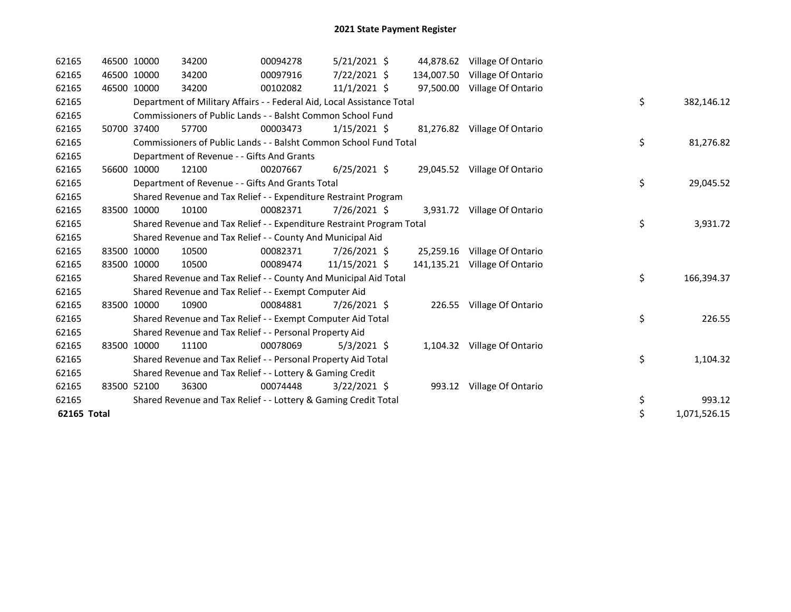| 62165       |       | 46500 10000 | 34200                                                                  | 00094278 | $5/21/2021$ \$ |            | 44,878.62 Village Of Ontario  |    |              |
|-------------|-------|-------------|------------------------------------------------------------------------|----------|----------------|------------|-------------------------------|----|--------------|
| 62165       |       | 46500 10000 | 34200                                                                  | 00097916 | 7/22/2021 \$   | 134,007.50 | Village Of Ontario            |    |              |
| 62165       |       | 46500 10000 | 34200                                                                  | 00102082 | $11/1/2021$ \$ |            | 97,500.00 Village Of Ontario  |    |              |
| 62165       |       |             | Department of Military Affairs - - Federal Aid, Local Assistance Total |          |                |            |                               | \$ | 382,146.12   |
| 62165       |       |             | Commissioners of Public Lands - - Balsht Common School Fund            |          |                |            |                               |    |              |
| 62165       |       | 50700 37400 | 57700                                                                  | 00003473 | $1/15/2021$ \$ |            | 81,276.82 Village Of Ontario  |    |              |
| 62165       |       |             | Commissioners of Public Lands - - Balsht Common School Fund Total      |          |                |            |                               | \$ | 81,276.82    |
| 62165       |       |             | Department of Revenue - - Gifts And Grants                             |          |                |            |                               |    |              |
| 62165       | 56600 | 10000       | 12100                                                                  | 00207667 | $6/25/2021$ \$ |            | 29,045.52 Village Of Ontario  |    |              |
| 62165       |       |             | Department of Revenue - - Gifts And Grants Total                       |          |                |            |                               | \$ | 29,045.52    |
| 62165       |       |             | Shared Revenue and Tax Relief - - Expenditure Restraint Program        |          |                |            |                               |    |              |
| 62165       |       | 83500 10000 | 10100                                                                  | 00082371 | 7/26/2021 \$   |            | 3,931.72 Village Of Ontario   |    |              |
| 62165       |       |             | Shared Revenue and Tax Relief - - Expenditure Restraint Program Total  |          |                |            |                               | \$ | 3,931.72     |
| 62165       |       |             | Shared Revenue and Tax Relief - - County And Municipal Aid             |          |                |            |                               |    |              |
| 62165       |       | 83500 10000 | 10500                                                                  | 00082371 | 7/26/2021 \$   |            | 25,259.16 Village Of Ontario  |    |              |
| 62165       |       | 83500 10000 | 10500                                                                  | 00089474 | 11/15/2021 \$  |            | 141,135.21 Village Of Ontario |    |              |
| 62165       |       |             | Shared Revenue and Tax Relief - - County And Municipal Aid Total       |          |                |            |                               | \$ | 166,394.37   |
| 62165       |       |             | Shared Revenue and Tax Relief - - Exempt Computer Aid                  |          |                |            |                               |    |              |
| 62165       |       | 83500 10000 | 10900                                                                  | 00084881 | 7/26/2021 \$   |            | 226.55 Village Of Ontario     |    |              |
| 62165       |       |             | Shared Revenue and Tax Relief - - Exempt Computer Aid Total            |          |                |            |                               | \$ | 226.55       |
| 62165       |       |             | Shared Revenue and Tax Relief - - Personal Property Aid                |          |                |            |                               |    |              |
| 62165       |       | 83500 10000 | 11100                                                                  | 00078069 | $5/3/2021$ \$  |            | 1,104.32 Village Of Ontario   |    |              |
| 62165       |       |             | Shared Revenue and Tax Relief - - Personal Property Aid Total          |          |                |            |                               | \$ | 1,104.32     |
| 62165       |       |             | Shared Revenue and Tax Relief - - Lottery & Gaming Credit              |          |                |            |                               |    |              |
| 62165       |       | 83500 52100 | 36300                                                                  | 00074448 | $3/22/2021$ \$ |            | 993.12 Village Of Ontario     |    |              |
| 62165       |       |             | Shared Revenue and Tax Relief - - Lottery & Gaming Credit Total        |          |                |            |                               | \$ | 993.12       |
| 62165 Total |       |             |                                                                        |          |                |            |                               | \$ | 1,071,526.15 |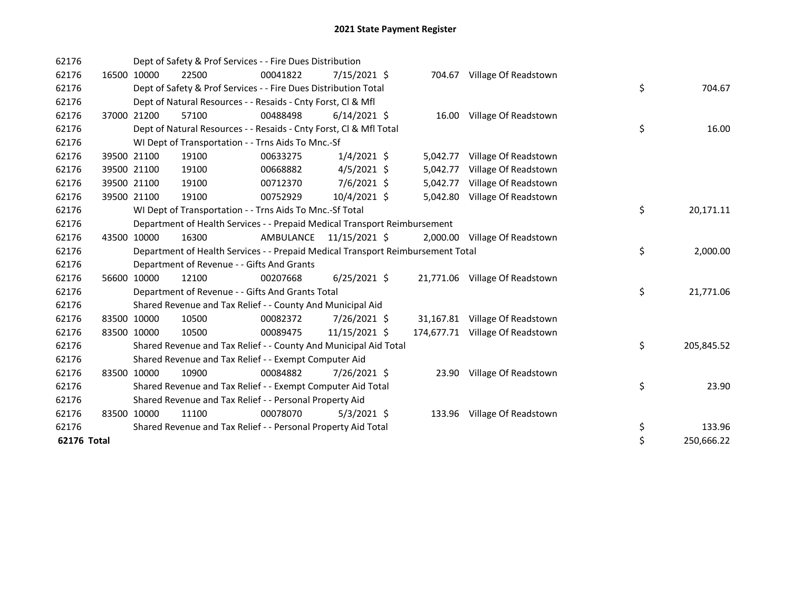| 62176       |       |             | Dept of Safety & Prof Services - - Fire Dues Distribution                       |           |                |          |                                 |                  |
|-------------|-------|-------------|---------------------------------------------------------------------------------|-----------|----------------|----------|---------------------------------|------------------|
| 62176       |       | 16500 10000 | 22500                                                                           | 00041822  | 7/15/2021 \$   |          | 704.67 Village Of Readstown     |                  |
| 62176       |       |             | Dept of Safety & Prof Services - - Fire Dues Distribution Total                 |           |                |          |                                 | \$<br>704.67     |
| 62176       |       |             | Dept of Natural Resources - - Resaids - Cnty Forst, CI & Mfl                    |           |                |          |                                 |                  |
| 62176       | 37000 | 21200       | 57100                                                                           | 00488498  | $6/14/2021$ \$ |          | 16.00 Village Of Readstown      |                  |
| 62176       |       |             | Dept of Natural Resources - - Resaids - Cnty Forst, CI & Mfl Total              |           |                |          |                                 | \$<br>16.00      |
| 62176       |       |             | WI Dept of Transportation - - Trns Aids To Mnc.-Sf                              |           |                |          |                                 |                  |
| 62176       |       | 39500 21100 | 19100                                                                           | 00633275  | $1/4/2021$ \$  | 5,042.77 | Village Of Readstown            |                  |
| 62176       |       | 39500 21100 | 19100                                                                           | 00668882  | $4/5/2021$ \$  | 5,042.77 | Village Of Readstown            |                  |
| 62176       |       | 39500 21100 | 19100                                                                           | 00712370  | 7/6/2021 \$    | 5,042.77 | Village Of Readstown            |                  |
| 62176       |       | 39500 21100 | 19100                                                                           | 00752929  | 10/4/2021 \$   | 5,042.80 | Village Of Readstown            |                  |
| 62176       |       |             | WI Dept of Transportation - - Trns Aids To Mnc.-Sf Total                        |           |                |          |                                 | \$<br>20,171.11  |
| 62176       |       |             | Department of Health Services - - Prepaid Medical Transport Reimbursement       |           |                |          |                                 |                  |
| 62176       | 43500 | 10000       | 16300                                                                           | AMBULANCE | 11/15/2021 \$  |          | 2,000.00 Village Of Readstown   |                  |
| 62176       |       |             | Department of Health Services - - Prepaid Medical Transport Reimbursement Total |           |                |          |                                 | \$<br>2,000.00   |
| 62176       |       |             | Department of Revenue - - Gifts And Grants                                      |           |                |          |                                 |                  |
| 62176       |       | 56600 10000 | 12100                                                                           | 00207668  | $6/25/2021$ \$ |          | 21,771.06 Village Of Readstown  |                  |
| 62176       |       |             | Department of Revenue - - Gifts And Grants Total                                |           |                |          |                                 | \$<br>21,771.06  |
| 62176       |       |             | Shared Revenue and Tax Relief - - County And Municipal Aid                      |           |                |          |                                 |                  |
| 62176       |       | 83500 10000 | 10500                                                                           | 00082372  | 7/26/2021 \$   |          | 31,167.81 Village Of Readstown  |                  |
| 62176       |       | 83500 10000 | 10500                                                                           | 00089475  | 11/15/2021 \$  |          | 174,677.71 Village Of Readstown |                  |
| 62176       |       |             | Shared Revenue and Tax Relief - - County And Municipal Aid Total                |           |                |          |                                 | \$<br>205,845.52 |
| 62176       |       |             | Shared Revenue and Tax Relief - - Exempt Computer Aid                           |           |                |          |                                 |                  |
| 62176       |       | 83500 10000 | 10900                                                                           | 00084882  | 7/26/2021 \$   | 23.90    | Village Of Readstown            |                  |
| 62176       |       |             | Shared Revenue and Tax Relief - - Exempt Computer Aid Total                     |           |                |          |                                 | \$<br>23.90      |
| 62176       |       |             | Shared Revenue and Tax Relief - - Personal Property Aid                         |           |                |          |                                 |                  |
| 62176       |       | 83500 10000 | 11100                                                                           | 00078070  | $5/3/2021$ \$  |          | 133.96 Village Of Readstown     |                  |
| 62176       |       |             | Shared Revenue and Tax Relief - - Personal Property Aid Total                   |           |                |          |                                 | \$<br>133.96     |
| 62176 Total |       |             |                                                                                 |           |                |          |                                 | \$<br>250,666.22 |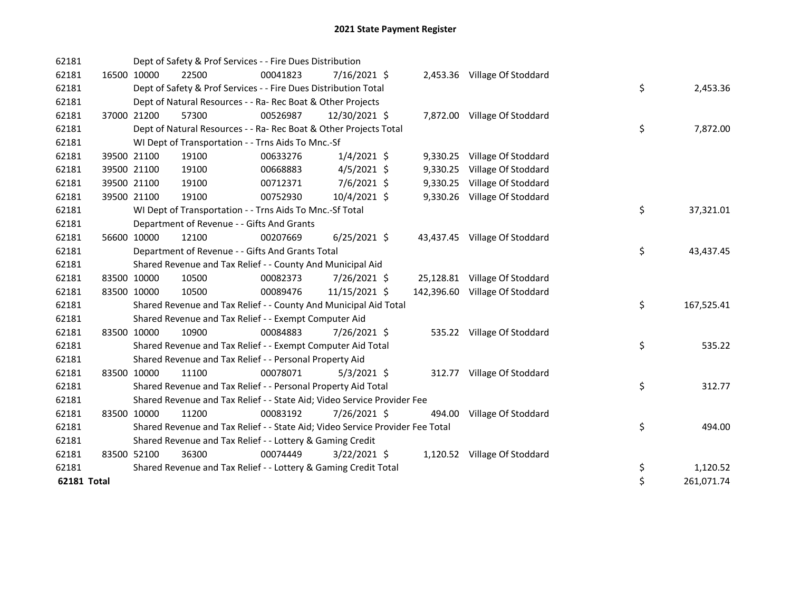| 62181       |             | Dept of Safety & Prof Services - - Fire Dues Distribution                     |          |                |  |                                |    |            |
|-------------|-------------|-------------------------------------------------------------------------------|----------|----------------|--|--------------------------------|----|------------|
| 62181       | 16500 10000 | 22500                                                                         | 00041823 | $7/16/2021$ \$ |  | 2,453.36 Village Of Stoddard   |    |            |
| 62181       |             | Dept of Safety & Prof Services - - Fire Dues Distribution Total               |          |                |  |                                | \$ | 2,453.36   |
| 62181       |             | Dept of Natural Resources - - Ra- Rec Boat & Other Projects                   |          |                |  |                                |    |            |
| 62181       | 37000 21200 | 57300                                                                         | 00526987 | 12/30/2021 \$  |  | 7,872.00 Village Of Stoddard   |    |            |
| 62181       |             | Dept of Natural Resources - - Ra- Rec Boat & Other Projects Total             |          |                |  |                                | \$ | 7,872.00   |
| 62181       |             | WI Dept of Transportation - - Trns Aids To Mnc.-Sf                            |          |                |  |                                |    |            |
| 62181       | 39500 21100 | 19100                                                                         | 00633276 | $1/4/2021$ \$  |  | 9,330.25 Village Of Stoddard   |    |            |
| 62181       | 39500 21100 | 19100                                                                         | 00668883 | $4/5/2021$ \$  |  | 9,330.25 Village Of Stoddard   |    |            |
| 62181       | 39500 21100 | 19100                                                                         | 00712371 | 7/6/2021 \$    |  | 9,330.25 Village Of Stoddard   |    |            |
| 62181       | 39500 21100 | 19100                                                                         | 00752930 | 10/4/2021 \$   |  | 9,330.26 Village Of Stoddard   |    |            |
| 62181       |             | WI Dept of Transportation - - Trns Aids To Mnc.-Sf Total                      |          |                |  |                                | \$ | 37,321.01  |
| 62181       |             | Department of Revenue - - Gifts And Grants                                    |          |                |  |                                |    |            |
| 62181       | 56600 10000 | 12100                                                                         | 00207669 | $6/25/2021$ \$ |  | 43,437.45 Village Of Stoddard  |    |            |
| 62181       |             | Department of Revenue - - Gifts And Grants Total                              |          |                |  |                                | \$ | 43,437.45  |
| 62181       |             | Shared Revenue and Tax Relief - - County And Municipal Aid                    |          |                |  |                                |    |            |
| 62181       | 83500 10000 | 10500                                                                         | 00082373 | 7/26/2021 \$   |  | 25,128.81 Village Of Stoddard  |    |            |
| 62181       | 83500 10000 | 10500                                                                         | 00089476 | 11/15/2021 \$  |  | 142,396.60 Village Of Stoddard |    |            |
| 62181       |             | Shared Revenue and Tax Relief - - County And Municipal Aid Total              |          |                |  |                                | \$ | 167,525.41 |
| 62181       |             | Shared Revenue and Tax Relief - - Exempt Computer Aid                         |          |                |  |                                |    |            |
| 62181       | 83500 10000 | 10900                                                                         | 00084883 | 7/26/2021 \$   |  | 535.22 Village Of Stoddard     |    |            |
| 62181       |             | Shared Revenue and Tax Relief - - Exempt Computer Aid Total                   |          |                |  |                                | \$ | 535.22     |
| 62181       |             | Shared Revenue and Tax Relief - - Personal Property Aid                       |          |                |  |                                |    |            |
| 62181       | 83500 10000 | 11100                                                                         | 00078071 | $5/3/2021$ \$  |  | 312.77 Village Of Stoddard     |    |            |
| 62181       |             | Shared Revenue and Tax Relief - - Personal Property Aid Total                 |          |                |  |                                | \$ | 312.77     |
| 62181       |             | Shared Revenue and Tax Relief - - State Aid; Video Service Provider Fee       |          |                |  |                                |    |            |
| 62181       | 83500 10000 | 11200                                                                         | 00083192 | 7/26/2021 \$   |  | 494.00 Village Of Stoddard     |    |            |
| 62181       |             | Shared Revenue and Tax Relief - - State Aid; Video Service Provider Fee Total |          |                |  |                                | \$ | 494.00     |
| 62181       |             | Shared Revenue and Tax Relief - - Lottery & Gaming Credit                     |          |                |  |                                |    |            |
| 62181       | 83500 52100 | 36300                                                                         | 00074449 | $3/22/2021$ \$ |  | 1,120.52 Village Of Stoddard   |    |            |
| 62181       |             | Shared Revenue and Tax Relief - - Lottery & Gaming Credit Total               |          |                |  |                                | \$ | 1,120.52   |
| 62181 Total |             |                                                                               |          |                |  |                                | \$ | 261,071.74 |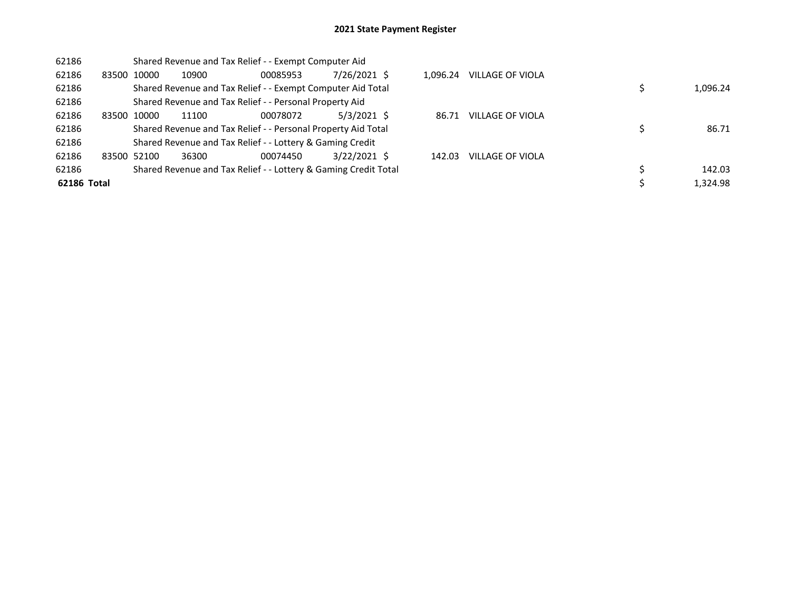| 62186       |             |             |                                                         | Shared Revenue and Tax Relief - - Exempt Computer Aid         |                                                                 |          |                  |          |
|-------------|-------------|-------------|---------------------------------------------------------|---------------------------------------------------------------|-----------------------------------------------------------------|----------|------------------|----------|
| 62186       | 83500 10000 |             | 10900                                                   | 00085953                                                      | 7/26/2021 \$                                                    | 1.096.24 | VILLAGE OF VIOLA |          |
| 62186       |             |             |                                                         |                                                               | Shared Revenue and Tax Relief - - Exempt Computer Aid Total     |          |                  | 1,096.24 |
| 62186       |             |             | Shared Revenue and Tax Relief - - Personal Property Aid |                                                               |                                                                 |          |                  |          |
| 62186       | 83500 10000 |             | 11100                                                   | 00078072                                                      | $5/3/2021$ \$                                                   | 86.71    | VILLAGE OF VIOLA |          |
| 62186       |             |             |                                                         | Shared Revenue and Tax Relief - - Personal Property Aid Total |                                                                 |          |                  | 86.71    |
| 62186       |             |             |                                                         | Shared Revenue and Tax Relief - - Lottery & Gaming Credit     |                                                                 |          |                  |          |
| 62186       |             | 83500 52100 | 36300                                                   | 00074450                                                      | $3/22/2021$ \$                                                  | 142.03   | VILLAGE OF VIOLA |          |
| 62186       |             |             |                                                         |                                                               | Shared Revenue and Tax Relief - - Lottery & Gaming Credit Total |          |                  | 142.03   |
| 62186 Total |             |             |                                                         |                                                               |                                                                 |          |                  | 1,324.98 |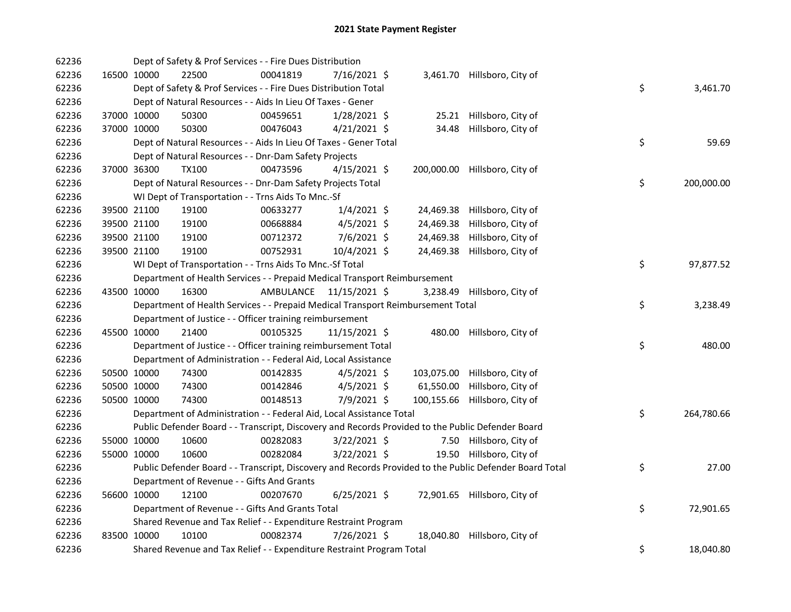| 62236 |             | Dept of Safety & Prof Services - - Fire Dues Distribution                       |                         |                |            |                                                                                                         |    |            |
|-------|-------------|---------------------------------------------------------------------------------|-------------------------|----------------|------------|---------------------------------------------------------------------------------------------------------|----|------------|
| 62236 | 16500 10000 | 22500                                                                           | 00041819                | 7/16/2021 \$   |            | 3,461.70 Hillsboro, City of                                                                             |    |            |
| 62236 |             | Dept of Safety & Prof Services - - Fire Dues Distribution Total                 |                         |                |            |                                                                                                         | \$ | 3,461.70   |
| 62236 |             | Dept of Natural Resources - - Aids In Lieu Of Taxes - Gener                     |                         |                |            |                                                                                                         |    |            |
| 62236 | 37000 10000 | 50300                                                                           | 00459651                | $1/28/2021$ \$ |            | 25.21 Hillsboro, City of                                                                                |    |            |
| 62236 | 37000 10000 | 50300                                                                           | 00476043                | $4/21/2021$ \$ | 34.48      | Hillsboro, City of                                                                                      |    |            |
| 62236 |             | Dept of Natural Resources - - Aids In Lieu Of Taxes - Gener Total               |                         |                |            |                                                                                                         | \$ | 59.69      |
| 62236 |             | Dept of Natural Resources - - Dnr-Dam Safety Projects                           |                         |                |            |                                                                                                         |    |            |
| 62236 | 37000 36300 | <b>TX100</b>                                                                    | 00473596                | $4/15/2021$ \$ | 200,000.00 | Hillsboro, City of                                                                                      |    |            |
| 62236 |             | Dept of Natural Resources - - Dnr-Dam Safety Projects Total                     |                         |                |            |                                                                                                         | \$ | 200,000.00 |
| 62236 |             | WI Dept of Transportation - - Trns Aids To Mnc.-Sf                              |                         |                |            |                                                                                                         |    |            |
| 62236 | 39500 21100 | 19100                                                                           | 00633277                | $1/4/2021$ \$  | 24,469.38  | Hillsboro, City of                                                                                      |    |            |
| 62236 | 39500 21100 | 19100                                                                           | 00668884                | $4/5/2021$ \$  | 24,469.38  | Hillsboro, City of                                                                                      |    |            |
| 62236 | 39500 21100 | 19100                                                                           | 00712372                | $7/6/2021$ \$  | 24,469.38  | Hillsboro, City of                                                                                      |    |            |
| 62236 | 39500 21100 | 19100                                                                           | 00752931                | 10/4/2021 \$   | 24,469.38  | Hillsboro, City of                                                                                      |    |            |
| 62236 |             | WI Dept of Transportation - - Trns Aids To Mnc.-Sf Total                        |                         |                |            |                                                                                                         | \$ | 97,877.52  |
| 62236 |             | Department of Health Services - - Prepaid Medical Transport Reimbursement       |                         |                |            |                                                                                                         |    |            |
| 62236 | 43500 10000 | 16300                                                                           | AMBULANCE 11/15/2021 \$ |                | 3,238.49   | Hillsboro, City of                                                                                      |    |            |
| 62236 |             | Department of Health Services - - Prepaid Medical Transport Reimbursement Total |                         |                |            |                                                                                                         | \$ | 3,238.49   |
| 62236 |             | Department of Justice - - Officer training reimbursement                        |                         |                |            |                                                                                                         |    |            |
| 62236 | 45500 10000 | 21400                                                                           | 00105325                | 11/15/2021 \$  |            | 480.00 Hillsboro, City of                                                                               |    |            |
| 62236 |             | Department of Justice - - Officer training reimbursement Total                  |                         |                |            |                                                                                                         | \$ | 480.00     |
| 62236 |             | Department of Administration - - Federal Aid, Local Assistance                  |                         |                |            |                                                                                                         |    |            |
| 62236 | 50500 10000 | 74300                                                                           | 00142835                | $4/5/2021$ \$  | 103,075.00 | Hillsboro, City of                                                                                      |    |            |
| 62236 | 50500 10000 | 74300                                                                           | 00142846                | $4/5/2021$ \$  | 61,550.00  | Hillsboro, City of                                                                                      |    |            |
| 62236 | 50500 10000 | 74300                                                                           | 00148513                | 7/9/2021 \$    | 100,155.66 | Hillsboro, City of                                                                                      |    |            |
| 62236 |             | Department of Administration - - Federal Aid, Local Assistance Total            |                         |                |            |                                                                                                         | \$ | 264,780.66 |
| 62236 |             |                                                                                 |                         |                |            | Public Defender Board - - Transcript, Discovery and Records Provided to the Public Defender Board       |    |            |
| 62236 | 55000 10000 | 10600                                                                           | 00282083                | $3/22/2021$ \$ |            | 7.50 Hillsboro, City of                                                                                 |    |            |
| 62236 | 55000 10000 | 10600                                                                           | 00282084                | $3/22/2021$ \$ |            | 19.50 Hillsboro, City of                                                                                |    |            |
| 62236 |             |                                                                                 |                         |                |            | Public Defender Board - - Transcript, Discovery and Records Provided to the Public Defender Board Total | \$ | 27.00      |
| 62236 |             | Department of Revenue - - Gifts And Grants                                      |                         |                |            |                                                                                                         |    |            |
| 62236 | 56600 10000 | 12100                                                                           | 00207670                | $6/25/2021$ \$ |            | 72,901.65 Hillsboro, City of                                                                            |    |            |
| 62236 |             | Department of Revenue - - Gifts And Grants Total                                |                         |                |            |                                                                                                         | \$ | 72,901.65  |
| 62236 |             | Shared Revenue and Tax Relief - - Expenditure Restraint Program                 |                         |                |            |                                                                                                         |    |            |
| 62236 | 83500 10000 | 10100                                                                           | 00082374                | 7/26/2021 \$   | 18,040.80  | Hillsboro, City of                                                                                      |    |            |
| 62236 |             | Shared Revenue and Tax Relief - - Expenditure Restraint Program Total           |                         |                |            |                                                                                                         | \$ | 18,040.80  |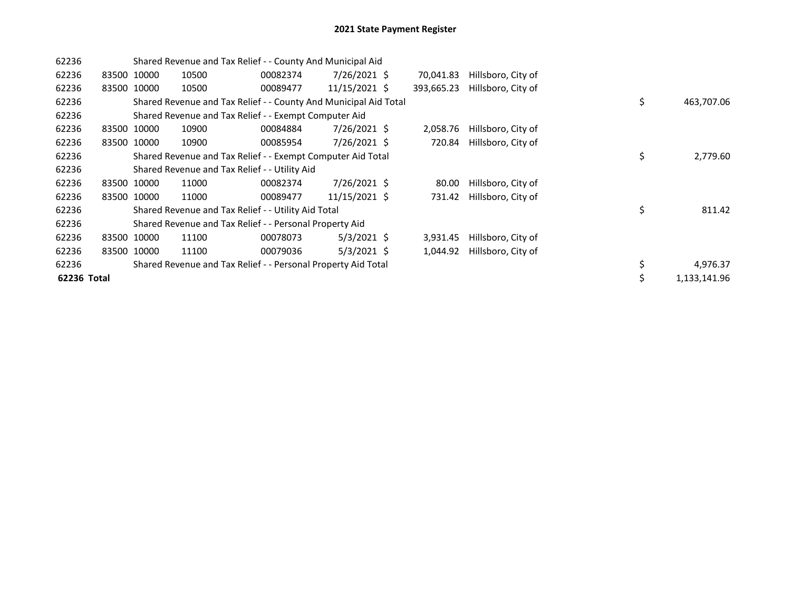| 62236       |             | Shared Revenue and Tax Relief - - County And Municipal Aid       |          |               |  |            |                    |    |  |              |  |
|-------------|-------------|------------------------------------------------------------------|----------|---------------|--|------------|--------------------|----|--|--------------|--|
| 62236       | 83500 10000 | 10500                                                            | 00082374 | 7/26/2021 \$  |  | 70,041.83  | Hillsboro, City of |    |  |              |  |
| 62236       | 83500 10000 | 10500                                                            | 00089477 | 11/15/2021 \$ |  | 393,665.23 | Hillsboro, City of |    |  |              |  |
| 62236       |             | Shared Revenue and Tax Relief - - County And Municipal Aid Total |          |               |  |            |                    | \$ |  | 463,707.06   |  |
| 62236       |             | Shared Revenue and Tax Relief - - Exempt Computer Aid            |          |               |  |            |                    |    |  |              |  |
| 62236       | 83500 10000 | 10900                                                            | 00084884 | 7/26/2021 \$  |  | 2,058.76   | Hillsboro, City of |    |  |              |  |
| 62236       | 83500 10000 | 10900                                                            | 00085954 | 7/26/2021 \$  |  | 720.84     | Hillsboro, City of |    |  |              |  |
| 62236       |             | Shared Revenue and Tax Relief - - Exempt Computer Aid Total      |          |               |  |            |                    | \$ |  | 2,779.60     |  |
| 62236       |             | Shared Revenue and Tax Relief - - Utility Aid                    |          |               |  |            |                    |    |  |              |  |
| 62236       | 83500 10000 | 11000                                                            | 00082374 | 7/26/2021 \$  |  | 80.00      | Hillsboro, City of |    |  |              |  |
| 62236       | 83500 10000 | 11000                                                            | 00089477 | 11/15/2021 \$ |  | 731.42     | Hillsboro, City of |    |  |              |  |
| 62236       |             | Shared Revenue and Tax Relief - - Utility Aid Total              |          |               |  |            |                    | \$ |  | 811.42       |  |
| 62236       |             | Shared Revenue and Tax Relief - - Personal Property Aid          |          |               |  |            |                    |    |  |              |  |
| 62236       | 83500 10000 | 11100                                                            | 00078073 | $5/3/2021$ \$ |  | 3,931.45   | Hillsboro, City of |    |  |              |  |
| 62236       | 83500 10000 | 11100                                                            | 00079036 | $5/3/2021$ \$ |  | 1,044.92   | Hillsboro, City of |    |  |              |  |
| 62236       |             | Shared Revenue and Tax Relief - - Personal Property Aid Total    |          |               |  |            |                    | \$ |  | 4,976.37     |  |
| 62236 Total |             |                                                                  |          |               |  |            |                    | \$ |  | 1,133,141.96 |  |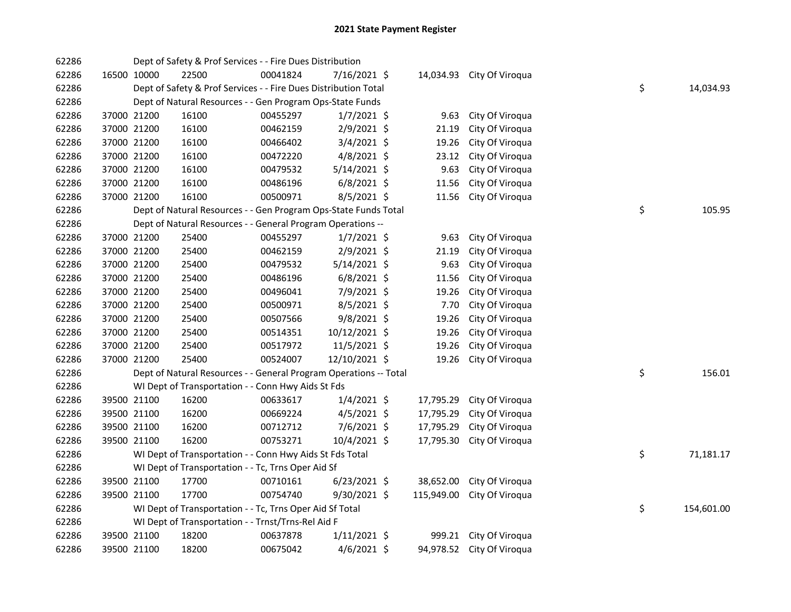| 62286 |             | Dept of Safety & Prof Services - - Fire Dues Distribution         |          |                |            |                           |    |            |
|-------|-------------|-------------------------------------------------------------------|----------|----------------|------------|---------------------------|----|------------|
| 62286 | 16500 10000 | 22500                                                             | 00041824 | 7/16/2021 \$   | 14,034.93  | City Of Viroqua           |    |            |
| 62286 |             | Dept of Safety & Prof Services - - Fire Dues Distribution Total   |          |                |            |                           | \$ | 14,034.93  |
| 62286 |             | Dept of Natural Resources - - Gen Program Ops-State Funds         |          |                |            |                           |    |            |
| 62286 | 37000 21200 | 16100                                                             | 00455297 | $1/7/2021$ \$  | 9.63       | City Of Viroqua           |    |            |
| 62286 | 37000 21200 | 16100                                                             | 00462159 | 2/9/2021 \$    | 21.19      | City Of Viroqua           |    |            |
| 62286 | 37000 21200 | 16100                                                             | 00466402 | $3/4/2021$ \$  | 19.26      | City Of Viroqua           |    |            |
| 62286 | 37000 21200 | 16100                                                             | 00472220 | $4/8/2021$ \$  | 23.12      | City Of Viroqua           |    |            |
| 62286 | 37000 21200 | 16100                                                             | 00479532 | 5/14/2021 \$   | 9.63       | City Of Viroqua           |    |            |
| 62286 | 37000 21200 | 16100                                                             | 00486196 | $6/8/2021$ \$  | 11.56      | City Of Viroqua           |    |            |
| 62286 | 37000 21200 | 16100                                                             | 00500971 | 8/5/2021 \$    | 11.56      | City Of Viroqua           |    |            |
| 62286 |             | Dept of Natural Resources - - Gen Program Ops-State Funds Total   |          |                |            |                           | \$ | 105.95     |
| 62286 |             | Dept of Natural Resources - - General Program Operations --       |          |                |            |                           |    |            |
| 62286 | 37000 21200 | 25400                                                             | 00455297 | $1/7/2021$ \$  | 9.63       | City Of Viroqua           |    |            |
| 62286 | 37000 21200 | 25400                                                             | 00462159 | 2/9/2021 \$    | 21.19      | City Of Viroqua           |    |            |
| 62286 | 37000 21200 | 25400                                                             | 00479532 | 5/14/2021 \$   | 9.63       | City Of Viroqua           |    |            |
| 62286 | 37000 21200 | 25400                                                             | 00486196 | $6/8/2021$ \$  | 11.56      | City Of Viroqua           |    |            |
| 62286 | 37000 21200 | 25400                                                             | 00496041 | 7/9/2021 \$    | 19.26      | City Of Viroqua           |    |            |
| 62286 | 37000 21200 | 25400                                                             | 00500971 | 8/5/2021 \$    | 7.70       | City Of Viroqua           |    |            |
| 62286 | 37000 21200 | 25400                                                             | 00507566 | $9/8/2021$ \$  | 19.26      | City Of Viroqua           |    |            |
| 62286 | 37000 21200 | 25400                                                             | 00514351 | 10/12/2021 \$  | 19.26      | City Of Viroqua           |    |            |
| 62286 | 37000 21200 | 25400                                                             | 00517972 | 11/5/2021 \$   | 19.26      | City Of Viroqua           |    |            |
| 62286 | 37000 21200 | 25400                                                             | 00524007 | 12/10/2021 \$  | 19.26      | City Of Viroqua           |    |            |
| 62286 |             | Dept of Natural Resources - - General Program Operations -- Total |          |                |            |                           | \$ | 156.01     |
| 62286 |             | WI Dept of Transportation - - Conn Hwy Aids St Fds                |          |                |            |                           |    |            |
| 62286 | 39500 21100 | 16200                                                             | 00633617 | $1/4/2021$ \$  | 17,795.29  | City Of Viroqua           |    |            |
| 62286 | 39500 21100 | 16200                                                             | 00669224 | $4/5/2021$ \$  | 17,795.29  | City Of Viroqua           |    |            |
| 62286 | 39500 21100 | 16200                                                             | 00712712 | $7/6/2021$ \$  | 17,795.29  | City Of Viroqua           |    |            |
| 62286 | 39500 21100 | 16200                                                             | 00753271 | 10/4/2021 \$   | 17,795.30  | City Of Viroqua           |    |            |
| 62286 |             | WI Dept of Transportation - - Conn Hwy Aids St Fds Total          |          |                |            |                           | \$ | 71,181.17  |
| 62286 |             | WI Dept of Transportation - - Tc, Trns Oper Aid Sf                |          |                |            |                           |    |            |
| 62286 | 39500 21100 | 17700                                                             | 00710161 | 6/23/2021 \$   | 38,652.00  | City Of Viroqua           |    |            |
| 62286 | 39500 21100 | 17700                                                             | 00754740 | 9/30/2021 \$   | 115,949.00 | City Of Viroqua           |    |            |
| 62286 |             | WI Dept of Transportation - - Tc, Trns Oper Aid Sf Total          |          |                |            |                           | \$ | 154,601.00 |
| 62286 |             | WI Dept of Transportation - - Trnst/Trns-Rel Aid F                |          |                |            |                           |    |            |
| 62286 | 39500 21100 | 18200                                                             | 00637878 | $1/11/2021$ \$ | 999.21     | City Of Viroqua           |    |            |
| 62286 | 39500 21100 | 18200                                                             | 00675042 | $4/6/2021$ \$  |            | 94,978.52 City Of Viroqua |    |            |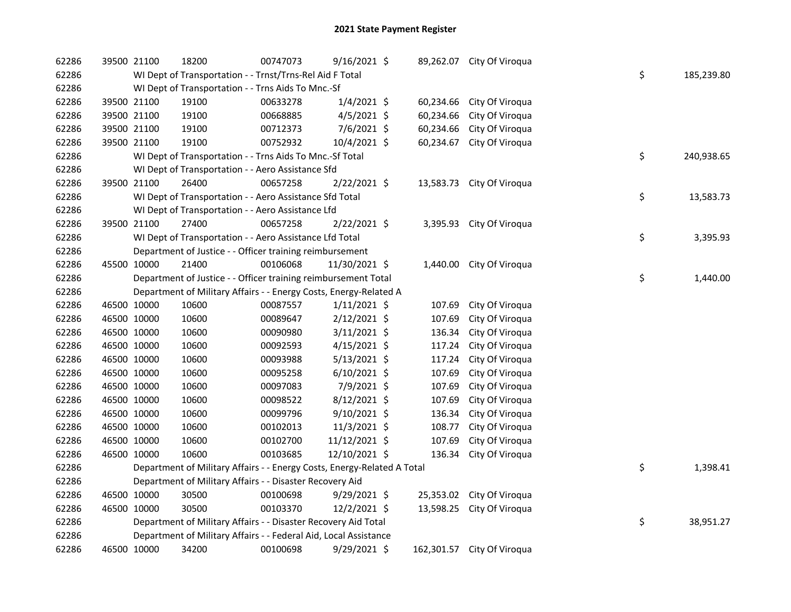| 62286 | 39500 21100 |             | 18200                                                                   | 00747073 | $9/16/2021$ \$ |           | 89,262.07 City Of Viroqua  |    |            |
|-------|-------------|-------------|-------------------------------------------------------------------------|----------|----------------|-----------|----------------------------|----|------------|
| 62286 |             |             | WI Dept of Transportation - - Trnst/Trns-Rel Aid F Total                |          |                |           |                            | \$ | 185,239.80 |
| 62286 |             |             | WI Dept of Transportation - - Trns Aids To Mnc.-Sf                      |          |                |           |                            |    |            |
| 62286 |             | 39500 21100 | 19100                                                                   | 00633278 | $1/4/2021$ \$  | 60,234.66 | City Of Viroqua            |    |            |
| 62286 |             | 39500 21100 | 19100                                                                   | 00668885 | $4/5/2021$ \$  | 60,234.66 | City Of Viroqua            |    |            |
| 62286 |             | 39500 21100 | 19100                                                                   | 00712373 | 7/6/2021 \$    | 60,234.66 | City Of Viroqua            |    |            |
| 62286 |             | 39500 21100 | 19100                                                                   | 00752932 | 10/4/2021 \$   | 60,234.67 | City Of Viroqua            |    |            |
| 62286 |             |             | WI Dept of Transportation - - Trns Aids To Mnc.-Sf Total                |          |                |           |                            | \$ | 240,938.65 |
| 62286 |             |             | WI Dept of Transportation - - Aero Assistance Sfd                       |          |                |           |                            |    |            |
| 62286 | 39500 21100 |             | 26400                                                                   | 00657258 | 2/22/2021 \$   | 13,583.73 | City Of Viroqua            |    |            |
| 62286 |             |             | WI Dept of Transportation - - Aero Assistance Sfd Total                 |          |                |           |                            | \$ | 13,583.73  |
| 62286 |             |             | WI Dept of Transportation - - Aero Assistance Lfd                       |          |                |           |                            |    |            |
| 62286 | 39500 21100 |             | 27400                                                                   | 00657258 | 2/22/2021 \$   |           | 3,395.93 City Of Viroqua   |    |            |
| 62286 |             |             | WI Dept of Transportation - - Aero Assistance Lfd Total                 |          |                |           |                            | \$ | 3,395.93   |
| 62286 |             |             | Department of Justice - - Officer training reimbursement                |          |                |           |                            |    |            |
| 62286 |             | 45500 10000 | 21400                                                                   | 00106068 | 11/30/2021 \$  | 1,440.00  | City Of Viroqua            |    |            |
| 62286 |             |             | Department of Justice - - Officer training reimbursement Total          |          |                |           |                            | \$ | 1,440.00   |
| 62286 |             |             | Department of Military Affairs - - Energy Costs, Energy-Related A       |          |                |           |                            |    |            |
| 62286 |             | 46500 10000 | 10600                                                                   | 00087557 | $1/11/2021$ \$ | 107.69    | City Of Viroqua            |    |            |
| 62286 |             | 46500 10000 | 10600                                                                   | 00089647 | 2/12/2021 \$   | 107.69    | City Of Viroqua            |    |            |
| 62286 |             | 46500 10000 | 10600                                                                   | 00090980 | $3/11/2021$ \$ | 136.34    | City Of Viroqua            |    |            |
| 62286 |             | 46500 10000 | 10600                                                                   | 00092593 | $4/15/2021$ \$ | 117.24    | City Of Viroqua            |    |            |
| 62286 |             | 46500 10000 | 10600                                                                   | 00093988 | $5/13/2021$ \$ | 117.24    | City Of Viroqua            |    |            |
| 62286 |             | 46500 10000 | 10600                                                                   | 00095258 | $6/10/2021$ \$ | 107.69    | City Of Viroqua            |    |            |
| 62286 |             | 46500 10000 | 10600                                                                   | 00097083 | 7/9/2021 \$    | 107.69    | City Of Viroqua            |    |            |
| 62286 |             | 46500 10000 | 10600                                                                   | 00098522 | 8/12/2021 \$   | 107.69    | City Of Viroqua            |    |            |
| 62286 |             | 46500 10000 | 10600                                                                   | 00099796 | 9/10/2021 \$   | 136.34    | City Of Viroqua            |    |            |
| 62286 |             | 46500 10000 | 10600                                                                   | 00102013 | 11/3/2021 \$   | 108.77    | City Of Viroqua            |    |            |
| 62286 |             | 46500 10000 | 10600                                                                   | 00102700 | 11/12/2021 \$  | 107.69    | City Of Viroqua            |    |            |
| 62286 |             | 46500 10000 | 10600                                                                   | 00103685 | 12/10/2021 \$  | 136.34    | City Of Viroqua            |    |            |
| 62286 |             |             | Department of Military Affairs - - Energy Costs, Energy-Related A Total |          |                |           |                            | \$ | 1,398.41   |
| 62286 |             |             | Department of Military Affairs - - Disaster Recovery Aid                |          |                |           |                            |    |            |
| 62286 |             | 46500 10000 | 30500                                                                   | 00100698 | $9/29/2021$ \$ | 25,353.02 | City Of Viroqua            |    |            |
| 62286 |             | 46500 10000 | 30500                                                                   | 00103370 | 12/2/2021 \$   | 13,598.25 | City Of Viroqua            |    |            |
| 62286 |             |             | Department of Military Affairs - - Disaster Recovery Aid Total          |          |                |           |                            | \$ | 38,951.27  |
| 62286 |             |             | Department of Military Affairs - - Federal Aid, Local Assistance        |          |                |           |                            |    |            |
| 62286 |             | 46500 10000 | 34200                                                                   | 00100698 | 9/29/2021 \$   |           | 162,301.57 City Of Viroqua |    |            |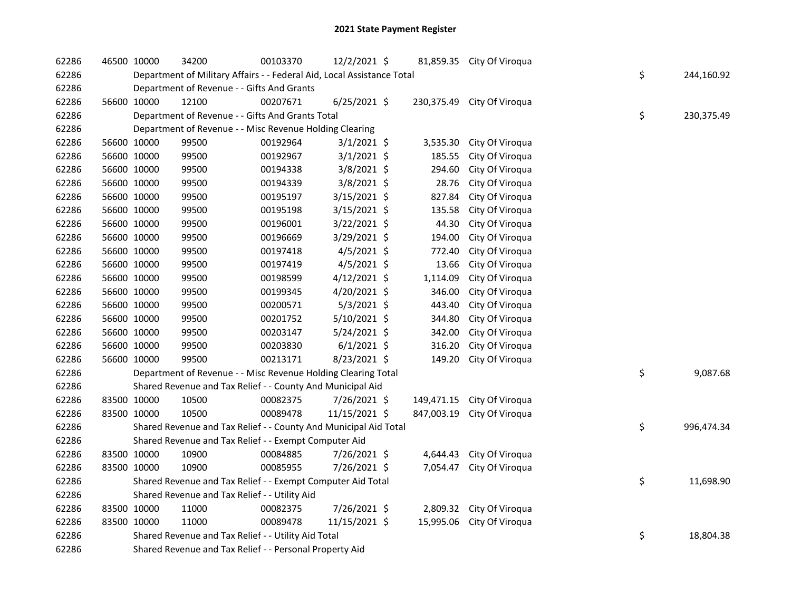| 62286 | 46500 10000 | 34200                                                                  | 00103370 | 12/2/2021 \$   |            | 81,859.35 City Of Viroqua |    |            |
|-------|-------------|------------------------------------------------------------------------|----------|----------------|------------|---------------------------|----|------------|
| 62286 |             | Department of Military Affairs - - Federal Aid, Local Assistance Total |          |                |            |                           | \$ | 244,160.92 |
| 62286 |             | Department of Revenue - - Gifts And Grants                             |          |                |            |                           |    |            |
| 62286 | 56600 10000 | 12100                                                                  | 00207671 | $6/25/2021$ \$ | 230,375.49 | City Of Viroqua           |    |            |
| 62286 |             | Department of Revenue - - Gifts And Grants Total                       |          |                |            |                           | \$ | 230,375.49 |
| 62286 |             | Department of Revenue - - Misc Revenue Holding Clearing                |          |                |            |                           |    |            |
| 62286 | 56600 10000 | 99500                                                                  | 00192964 | $3/1/2021$ \$  | 3,535.30   | City Of Viroqua           |    |            |
| 62286 | 56600 10000 | 99500                                                                  | 00192967 | $3/1/2021$ \$  | 185.55     | City Of Viroqua           |    |            |
| 62286 | 56600 10000 | 99500                                                                  | 00194338 | 3/8/2021 \$    | 294.60     | City Of Viroqua           |    |            |
| 62286 | 56600 10000 | 99500                                                                  | 00194339 | $3/8/2021$ \$  | 28.76      | City Of Viroqua           |    |            |
| 62286 | 56600 10000 | 99500                                                                  | 00195197 | 3/15/2021 \$   | 827.84     | City Of Viroqua           |    |            |
| 62286 | 56600 10000 | 99500                                                                  | 00195198 | 3/15/2021 \$   | 135.58     | City Of Viroqua           |    |            |
| 62286 | 56600 10000 | 99500                                                                  | 00196001 | 3/22/2021 \$   | 44.30      | City Of Viroqua           |    |            |
| 62286 | 56600 10000 | 99500                                                                  | 00196669 | 3/29/2021 \$   | 194.00     | City Of Viroqua           |    |            |
| 62286 | 56600 10000 | 99500                                                                  | 00197418 | $4/5/2021$ \$  | 772.40     | City Of Viroqua           |    |            |
| 62286 | 56600 10000 | 99500                                                                  | 00197419 | 4/5/2021 \$    | 13.66      | City Of Viroqua           |    |            |
| 62286 | 56600 10000 | 99500                                                                  | 00198599 | 4/12/2021 \$   | 1,114.09   | City Of Viroqua           |    |            |
| 62286 | 56600 10000 | 99500                                                                  | 00199345 | 4/20/2021 \$   | 346.00     | City Of Viroqua           |    |            |
| 62286 | 56600 10000 | 99500                                                                  | 00200571 | $5/3/2021$ \$  | 443.40     | City Of Viroqua           |    |            |
| 62286 | 56600 10000 | 99500                                                                  | 00201752 | 5/10/2021 \$   | 344.80     | City Of Viroqua           |    |            |
| 62286 | 56600 10000 | 99500                                                                  | 00203147 | 5/24/2021 \$   | 342.00     | City Of Viroqua           |    |            |
| 62286 | 56600 10000 | 99500                                                                  | 00203830 | $6/1/2021$ \$  | 316.20     | City Of Viroqua           |    |            |
| 62286 | 56600 10000 | 99500                                                                  | 00213171 | 8/23/2021 \$   | 149.20     | City Of Viroqua           |    |            |
| 62286 |             | Department of Revenue - - Misc Revenue Holding Clearing Total          |          |                |            |                           | \$ | 9,087.68   |
| 62286 |             | Shared Revenue and Tax Relief - - County And Municipal Aid             |          |                |            |                           |    |            |
| 62286 | 83500 10000 | 10500                                                                  | 00082375 | 7/26/2021 \$   | 149,471.15 | City Of Viroqua           |    |            |
| 62286 | 83500 10000 | 10500                                                                  | 00089478 | 11/15/2021 \$  | 847,003.19 | City Of Viroqua           |    |            |
| 62286 |             | Shared Revenue and Tax Relief - - County And Municipal Aid Total       |          |                |            |                           | \$ | 996,474.34 |
| 62286 |             | Shared Revenue and Tax Relief - - Exempt Computer Aid                  |          |                |            |                           |    |            |
| 62286 | 83500 10000 | 10900                                                                  | 00084885 | 7/26/2021 \$   | 4,644.43   | City Of Viroqua           |    |            |
| 62286 | 83500 10000 | 10900                                                                  | 00085955 | 7/26/2021 \$   | 7,054.47   | City Of Viroqua           |    |            |
| 62286 |             | Shared Revenue and Tax Relief - - Exempt Computer Aid Total            |          |                |            |                           | \$ | 11,698.90  |
| 62286 |             | Shared Revenue and Tax Relief - - Utility Aid                          |          |                |            |                           |    |            |
| 62286 | 83500 10000 | 11000                                                                  | 00082375 | 7/26/2021 \$   |            | 2,809.32 City Of Viroqua  |    |            |
| 62286 | 83500 10000 | 11000                                                                  | 00089478 | 11/15/2021 \$  | 15,995.06  | City Of Viroqua           |    |            |
| 62286 |             | Shared Revenue and Tax Relief - - Utility Aid Total                    |          |                |            |                           | \$ | 18,804.38  |
| 62286 |             | Shared Revenue and Tax Relief - - Personal Property Aid                |          |                |            |                           |    |            |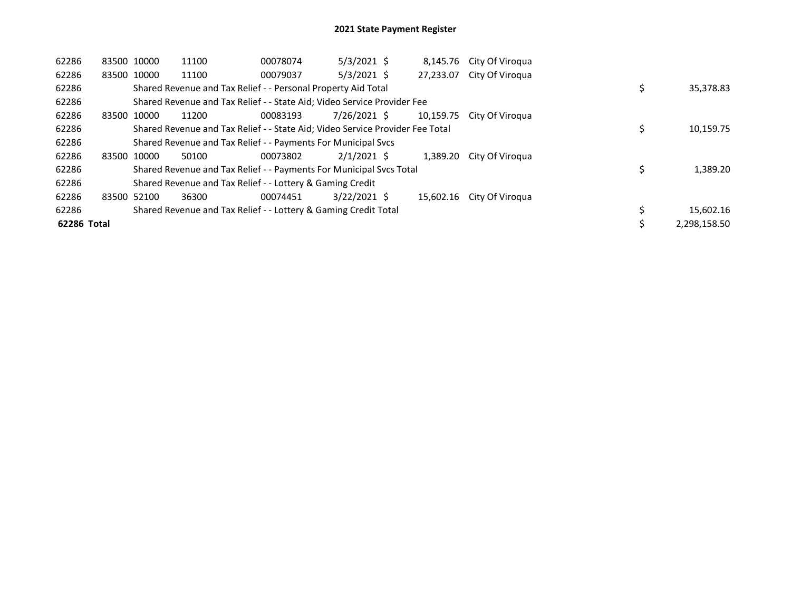| 62286       |             | 83500 10000 | 11100 | 00078074                                                                      | $5/3/2021$ \$  | 8,145.76  | City Of Virogua |  |              |
|-------------|-------------|-------------|-------|-------------------------------------------------------------------------------|----------------|-----------|-----------------|--|--------------|
| 62286       | 83500 10000 |             | 11100 | 00079037                                                                      | $5/3/2021$ \$  | 27,233.07 | City Of Viroqua |  |              |
| 62286       |             |             |       | Shared Revenue and Tax Relief - - Personal Property Aid Total                 |                |           |                 |  | 35,378.83    |
| 62286       |             |             |       | Shared Revenue and Tax Relief - - State Aid; Video Service Provider Fee       |                |           |                 |  |              |
| 62286       | 83500 10000 |             | 11200 | 00083193                                                                      | 7/26/2021 \$   | 10.159.75 | City Of Virogua |  |              |
| 62286       |             |             |       | Shared Revenue and Tax Relief - - State Aid; Video Service Provider Fee Total |                |           |                 |  | 10,159.75    |
| 62286       |             |             |       | Shared Revenue and Tax Relief - - Payments For Municipal Svcs                 |                |           |                 |  |              |
| 62286       |             | 83500 10000 | 50100 | 00073802                                                                      | $2/1/2021$ \$  | 1.389.20  | City Of Viroqua |  |              |
| 62286       |             |             |       | Shared Revenue and Tax Relief - - Payments For Municipal Svcs Total           |                |           |                 |  | 1,389.20     |
| 62286       |             |             |       | Shared Revenue and Tax Relief - - Lottery & Gaming Credit                     |                |           |                 |  |              |
| 62286       | 83500 52100 |             | 36300 | 00074451                                                                      | $3/22/2021$ \$ | 15.602.16 | City Of Viroqua |  |              |
| 62286       |             |             |       | Shared Revenue and Tax Relief - - Lottery & Gaming Credit Total               |                |           |                 |  | 15,602.16    |
| 62286 Total |             |             |       |                                                                               |                |           |                 |  | 2.298.158.50 |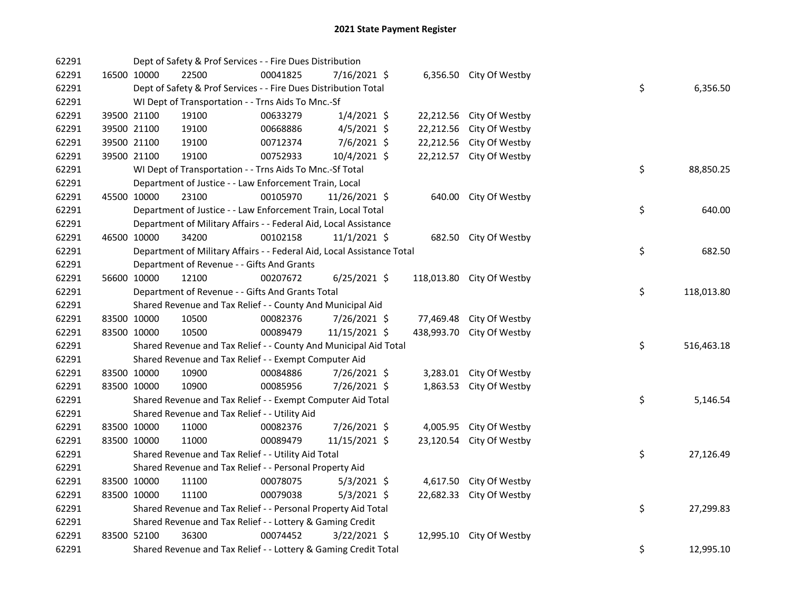| 62291 |             | Dept of Safety & Prof Services - - Fire Dues Distribution              |          |                |            |                           |    |            |
|-------|-------------|------------------------------------------------------------------------|----------|----------------|------------|---------------------------|----|------------|
| 62291 | 16500 10000 | 22500                                                                  | 00041825 | 7/16/2021 \$   |            | 6,356.50 City Of Westby   |    |            |
| 62291 |             | Dept of Safety & Prof Services - - Fire Dues Distribution Total        |          |                |            |                           | \$ | 6,356.50   |
| 62291 |             | WI Dept of Transportation - - Trns Aids To Mnc.-Sf                     |          |                |            |                           |    |            |
| 62291 | 39500 21100 | 19100                                                                  | 00633279 | $1/4/2021$ \$  |            | 22,212.56 City Of Westby  |    |            |
| 62291 | 39500 21100 | 19100                                                                  | 00668886 | $4/5/2021$ \$  |            | 22,212.56 City Of Westby  |    |            |
| 62291 | 39500 21100 | 19100                                                                  | 00712374 | 7/6/2021 \$    |            | 22,212.56 City Of Westby  |    |            |
| 62291 | 39500 21100 | 19100                                                                  | 00752933 | 10/4/2021 \$   |            | 22,212.57 City Of Westby  |    |            |
| 62291 |             | WI Dept of Transportation - - Trns Aids To Mnc.-Sf Total               |          |                |            |                           | \$ | 88,850.25  |
| 62291 |             | Department of Justice - - Law Enforcement Train, Local                 |          |                |            |                           |    |            |
| 62291 | 45500 10000 | 23100                                                                  | 00105970 | 11/26/2021 \$  |            | 640.00 City Of Westby     |    |            |
| 62291 |             | Department of Justice - - Law Enforcement Train, Local Total           |          |                |            |                           | \$ | 640.00     |
| 62291 |             | Department of Military Affairs - - Federal Aid, Local Assistance       |          |                |            |                           |    |            |
| 62291 | 46500 10000 | 34200                                                                  | 00102158 | $11/1/2021$ \$ |            | 682.50 City Of Westby     |    |            |
| 62291 |             | Department of Military Affairs - - Federal Aid, Local Assistance Total |          |                |            |                           | \$ | 682.50     |
| 62291 |             | Department of Revenue - - Gifts And Grants                             |          |                |            |                           |    |            |
| 62291 | 56600 10000 | 12100                                                                  | 00207672 | $6/25/2021$ \$ |            | 118,013.80 City Of Westby |    |            |
| 62291 |             | Department of Revenue - - Gifts And Grants Total                       |          |                |            |                           | \$ | 118,013.80 |
| 62291 |             | Shared Revenue and Tax Relief - - County And Municipal Aid             |          |                |            |                           |    |            |
| 62291 | 83500 10000 | 10500                                                                  | 00082376 | 7/26/2021 \$   |            | 77,469.48 City Of Westby  |    |            |
| 62291 | 83500 10000 | 10500                                                                  | 00089479 | 11/15/2021 \$  | 438,993.70 | City Of Westby            |    |            |
| 62291 |             | Shared Revenue and Tax Relief - - County And Municipal Aid Total       |          |                |            |                           | \$ | 516,463.18 |
| 62291 |             | Shared Revenue and Tax Relief - - Exempt Computer Aid                  |          |                |            |                           |    |            |
| 62291 | 83500 10000 | 10900                                                                  | 00084886 | 7/26/2021 \$   |            | 3,283.01 City Of Westby   |    |            |
| 62291 | 83500 10000 | 10900                                                                  | 00085956 | 7/26/2021 \$   |            | 1,863.53 City Of Westby   |    |            |
| 62291 |             | Shared Revenue and Tax Relief - - Exempt Computer Aid Total            |          |                |            |                           | \$ | 5,146.54   |
| 62291 |             | Shared Revenue and Tax Relief - - Utility Aid                          |          |                |            |                           |    |            |
| 62291 | 83500 10000 | 11000                                                                  | 00082376 | 7/26/2021 \$   |            | 4,005.95 City Of Westby   |    |            |
| 62291 | 83500 10000 | 11000                                                                  | 00089479 | 11/15/2021 \$  |            | 23,120.54 City Of Westby  |    |            |
| 62291 |             | Shared Revenue and Tax Relief - - Utility Aid Total                    |          |                |            |                           | \$ | 27,126.49  |
| 62291 |             | Shared Revenue and Tax Relief - - Personal Property Aid                |          |                |            |                           |    |            |
| 62291 | 83500 10000 | 11100                                                                  | 00078075 | $5/3/2021$ \$  |            | 4,617.50 City Of Westby   |    |            |
| 62291 | 83500 10000 | 11100                                                                  | 00079038 | $5/3/2021$ \$  |            | 22,682.33 City Of Westby  |    |            |
| 62291 |             | Shared Revenue and Tax Relief - - Personal Property Aid Total          |          |                |            |                           | \$ | 27,299.83  |
| 62291 |             | Shared Revenue and Tax Relief - - Lottery & Gaming Credit              |          |                |            |                           |    |            |
| 62291 | 83500 52100 | 36300                                                                  | 00074452 | $3/22/2021$ \$ |            | 12,995.10 City Of Westby  |    |            |
| 62291 |             | Shared Revenue and Tax Relief - - Lottery & Gaming Credit Total        |          |                |            |                           | \$ | 12,995.10  |